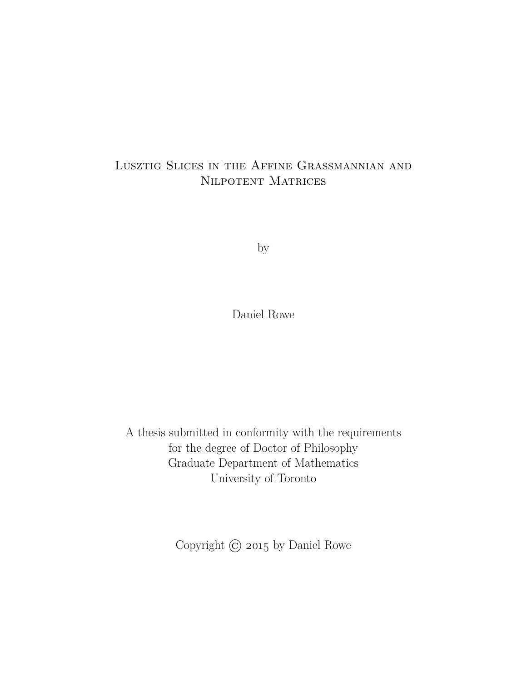#### Lusztig Slices in the Affine Grassmannian and Nilpotent Matrices

by

Daniel Rowe

A thesis submitted in conformity with the requirements for the degree of Doctor of Philosophy Graduate Department of Mathematics University of Toronto

Copyright  $\odot$  2015 by Daniel Rowe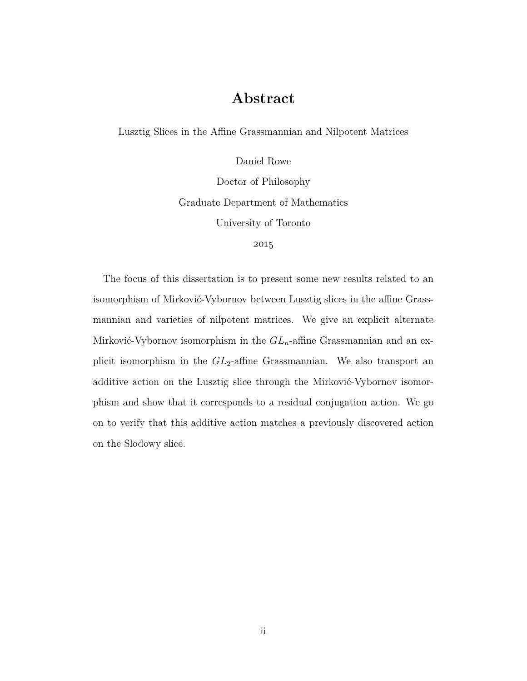#### **Abstract**

Lusztig Slices in the Affine Grassmannian and Nilpotent Matrices

Daniel Rowe

Doctor of Philosophy Graduate Department of Mathematics University of Toronto

2015

The focus of this dissertation is to present some new results related to an isomorphism of Mirković-Vybornov between Lusztig slices in the affine Grassmannian and varieties of nilpotent matrices. We give an explicit alternate Mirković-Vybornov isomorphism in the  $GL_n$ -affine Grassmannian and an explicit isomorphism in the *GL*2-affine Grassmannian. We also transport an additive action on the Lusztig slice through the Mirković-Vybornov isomorphism and show that it corresponds to a residual conjugation action. We go on to verify that this additive action matches a previously discovered action on the Slodowy slice.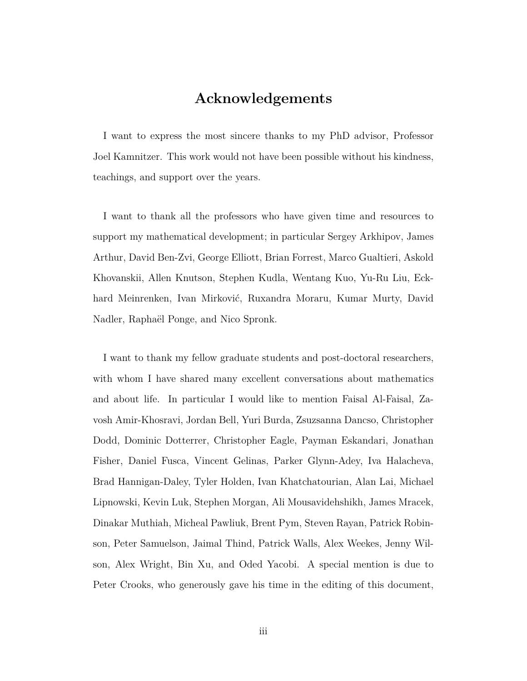#### **Acknowledgements**

I want to express the most sincere thanks to my PhD advisor, Professor Joel Kamnitzer. This work would not have been possible without his kindness, teachings, and support over the years.

I want to thank all the professors who have given time and resources to support my mathematical development; in particular Sergey Arkhipov, James Arthur, David Ben-Zvi, George Elliott, Brian Forrest, Marco Gualtieri, Askold Khovanskii, Allen Knutson, Stephen Kudla, Wentang Kuo, Yu-Ru Liu, Eckhard Meinrenken, Ivan Mirković, Ruxandra Moraru, Kumar Murty, David Nadler, Raphaël Ponge, and Nico Spronk.

I want to thank my fellow graduate students and post-doctoral researchers, with whom I have shared many excellent conversations about mathematics and about life. In particular I would like to mention Faisal Al-Faisal, Zavosh Amir-Khosravi, Jordan Bell, Yuri Burda, Zsuzsanna Dancso, Christopher Dodd, Dominic Dotterrer, Christopher Eagle, Payman Eskandari, Jonathan Fisher, Daniel Fusca, Vincent Gelinas, Parker Glynn-Adey, Iva Halacheva, Brad Hannigan-Daley, Tyler Holden, Ivan Khatchatourian, Alan Lai, Michael Lipnowski, Kevin Luk, Stephen Morgan, Ali Mousavidehshikh, James Mracek, Dinakar Muthiah, Micheal Pawliuk, Brent Pym, Steven Rayan, Patrick Robinson, Peter Samuelson, Jaimal Thind, Patrick Walls, Alex Weekes, Jenny Wilson, Alex Wright, Bin Xu, and Oded Yacobi. A special mention is due to Peter Crooks, who generously gave his time in the editing of this document,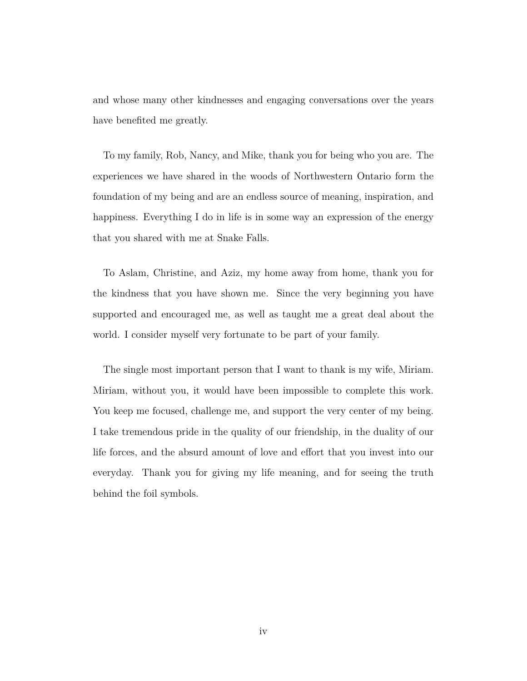and whose many other kindnesses and engaging conversations over the years have benefited me greatly.

To my family, Rob, Nancy, and Mike, thank you for being who you are. The experiences we have shared in the woods of Northwestern Ontario form the foundation of my being and are an endless source of meaning, inspiration, and happiness. Everything I do in life is in some way an expression of the energy that you shared with me at Snake Falls.

To Aslam, Christine, and Aziz, my home away from home, thank you for the kindness that you have shown me. Since the very beginning you have supported and encouraged me, as well as taught me a great deal about the world. I consider myself very fortunate to be part of your family.

The single most important person that I want to thank is my wife, Miriam. Miriam, without you, it would have been impossible to complete this work. You keep me focused, challenge me, and support the very center of my being. I take tremendous pride in the quality of our friendship, in the duality of our life forces, and the absurd amount of love and effort that you invest into our everyday. Thank you for giving my life meaning, and for seeing the truth behind the foil symbols.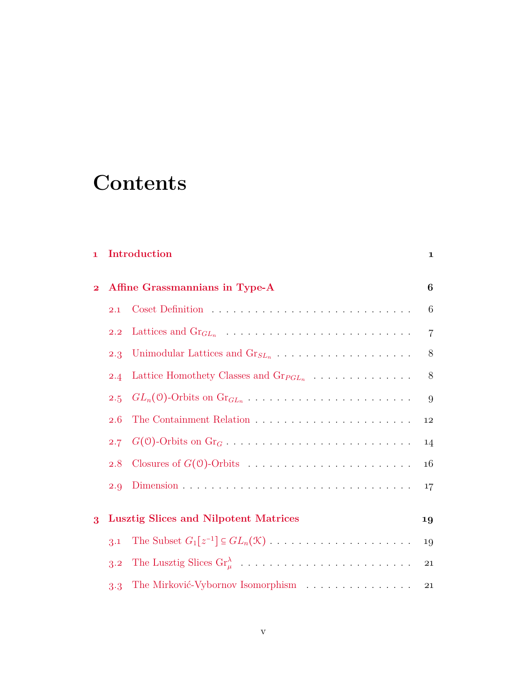# **Contents**

| $\mathbf{1}$            | Introduction                   |                                                                                                       |                |  |  |  |  |  |  |
|-------------------------|--------------------------------|-------------------------------------------------------------------------------------------------------|----------------|--|--|--|--|--|--|
| $\overline{\mathbf{2}}$ | Affine Grassmannians in Type-A |                                                                                                       |                |  |  |  |  |  |  |
|                         | 2.1                            |                                                                                                       | 6              |  |  |  |  |  |  |
|                         | 2.2                            |                                                                                                       | $\overline{7}$ |  |  |  |  |  |  |
|                         | 2.3                            |                                                                                                       | 8              |  |  |  |  |  |  |
|                         | 2.4                            | Lattice Homothety Classes and $\mathrm{Gr}_{PGL_n}$                                                   | 8              |  |  |  |  |  |  |
|                         | 2.5                            |                                                                                                       | 9              |  |  |  |  |  |  |
|                         | 2.6                            |                                                                                                       | 12             |  |  |  |  |  |  |
|                         | 2.7                            | $G(\mathcal{O})$ -Orbits on $\text{Gr}_G \dots \dots \dots \dots \dots \dots \dots \dots \dots \dots$ | 14             |  |  |  |  |  |  |
|                         | 2.8                            |                                                                                                       | 16             |  |  |  |  |  |  |
|                         | 2.9                            |                                                                                                       | 17             |  |  |  |  |  |  |
| 3                       |                                | <b>Lusztig Slices and Nilpotent Matrices</b>                                                          | 19             |  |  |  |  |  |  |
|                         | 3.1                            |                                                                                                       | 19             |  |  |  |  |  |  |
|                         | 3.2                            |                                                                                                       | 21             |  |  |  |  |  |  |
|                         | 3.3                            | The Mirković-Vybornov Isomorphism                                                                     | 21             |  |  |  |  |  |  |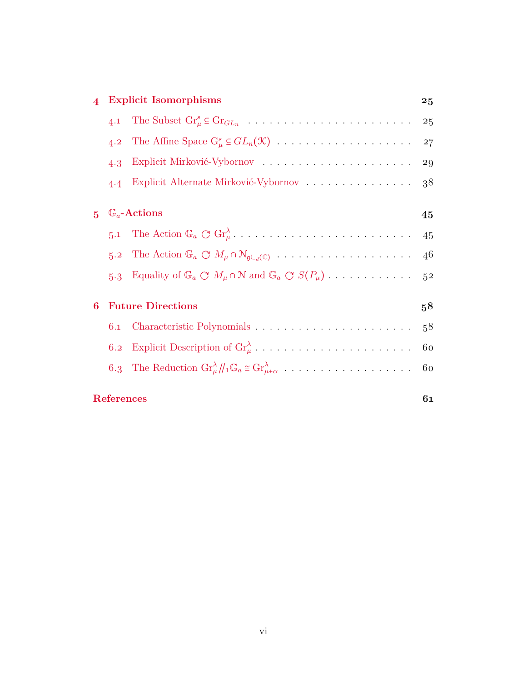| 4              |                   | <b>Explicit Isomorphisms</b>                                                                                   | 25             |
|----------------|-------------------|----------------------------------------------------------------------------------------------------------------|----------------|
|                | 4.1               |                                                                                                                | 25             |
|                | 4.2               |                                                                                                                | 27             |
|                | 4.3               |                                                                                                                | 29             |
|                | 4.4               | Explicit Alternate Mirković-Vybornov                                                                           | 38             |
| $\overline{5}$ |                   | $\mathbb{G}_a$ -Actions                                                                                        | 45             |
|                | 5.1               |                                                                                                                | 45             |
|                | 5.2               | The Action $\mathbb{G}_a \subset M_\mu \cap N_{\mathfrak{gl}_{-d}(\mathbb{C})}$                                | 46             |
|                | 5.3               | Equality of $\mathbb{G}_a \subset M_\mu \cap \mathbb{N}$ and $\mathbb{G}_a \subset S(P_\mu) \dots \dots \dots$ | 5 <sub>2</sub> |
| 6              |                   | <b>Future Directions</b>                                                                                       | 58             |
|                | 6.1               |                                                                                                                | 58             |
|                | 6.2               |                                                                                                                | 60             |
|                | 6.3               | The Reduction $\mathrm{Gr}_{\mu}^{\lambda}/\!\!/_{1}\mathbb{G}_{a} \cong \mathrm{Gr}_{\mu+\alpha}^{\lambda}$   | 60             |
|                | <b>References</b> |                                                                                                                | 61             |
|                |                   |                                                                                                                |                |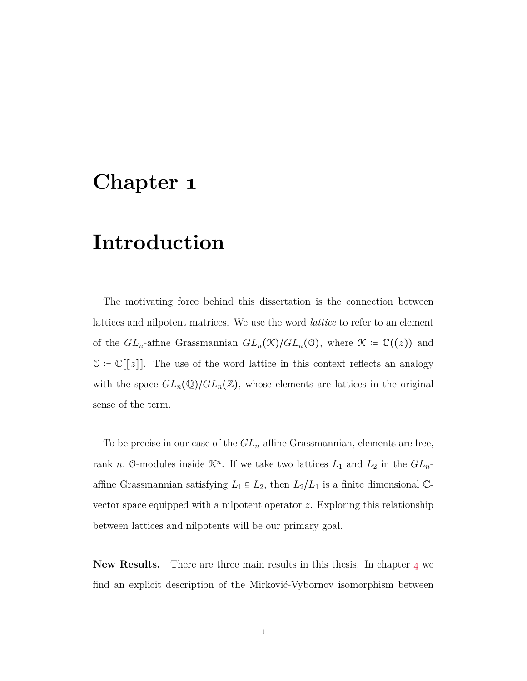### <span id="page-6-0"></span>**Chapter**

### **Introduction**

The motivating force behind this dissertation is the connection between lattices and nilpotent matrices. We use the word *lattice* to refer to an element of the  $GL_n$ -affine Grassmannian  $GL_n(\mathcal{K})/GL_n(\mathcal{O})$ , where  $\mathcal{K} := \mathbb{C}((z))$  and  $\mathcal{O} \coloneqq \mathbb{C}[[z]].$  The use of the word lattice in this context reflects an analogy with the space  $GL_n(\mathbb{Q})/GL_n(\mathbb{Z})$ , whose elements are lattices in the original sense of the term.

To be precise in our case of the *GLn*-affine Grassmannian, elements are free, rank *n*, 0-modules inside  $\mathcal{K}^n$ . If we take two lattices  $L_1$  and  $L_2$  in the  $GL_n$ affine Grassmannian satisfying  $L_1 \subseteq L_2$ , then  $L_2/L_1$  is a finite dimensional  $\mathbb{C}$ vector space equipped with a nilpotent operator *z*. Exploring this relationship between lattices and nilpotents will be our primary goal.

**New Results.** There are three main results in this thesis. In chapter  $4$  we find an explicit description of the Mirković-Vybornov isomorphism between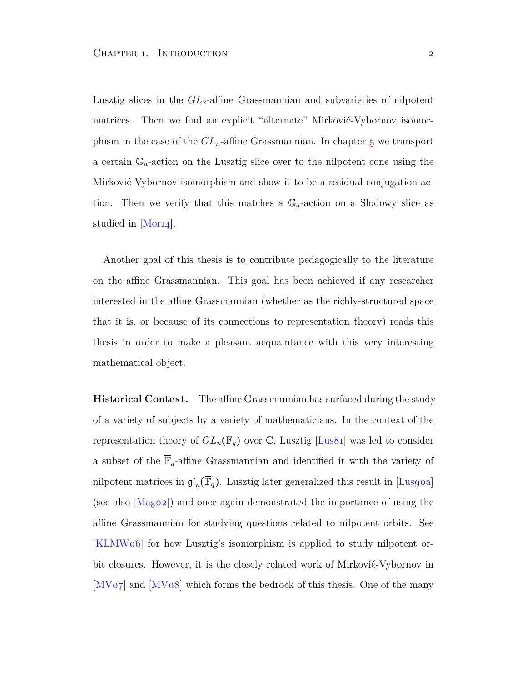Lusztig slices in the *GL*2-affine Grassmannian and subvarieties of nilpotent matrices. Then we find an explicit "alternate" Mirković-Vybornov isomorphism in the case of the  $GL_n$ -affine Grassmannian. In chapter  $5$  we transport a certain G*a*-action on the Lusztig slice over to the nilpotent cone using the Mirković-Vybornov isomorphism and show it to be a residual conjugation action. Then we verify that this matches a  $\mathbb{G}_a$ -action on a Slodowy slice as studiedin  $[Mor14]$ .

Another goal of this thesis is to contribute pedagogically to the literature on the affine Grassmannian. This goal has been achieved if any researcher interested in the affine Grassmannian (whether as the richly-structured space that it is, or because of its connections to representation theory) reads this thesis in order to make a pleasant acquaintance with this very interesting mathematical object.

**Historical Context.** The affine Grassmannian has surfaced during the study of a variety of subjects by a variety of mathematicians. In the context of the representation theory of  $GL_n(\mathbb{F}_q)$  over  $\mathbb C$ , Lusztig [\[Lus](#page-68-1)81] was led to consider a subset of the  $\overline{\mathbb{F}}_q$ -affine Grassmannian and identified it with the variety of nilpotent matrices in  $\mathfrak{gl}_n(\mathbb{F}_q)$ . Lusztig later generalized this result in [Lusgoa] (see also  $[\text{MagO2}]$  $[\text{MagO2}]$  $[\text{MagO2}]$ ) and once again demonstrated the importance of using the affine Grassmannian for studying questions related to nilpotent orbits. See  $\text{KLMW06}$  for how Lusztig's isomorphism is applied to study nilpotent orbit closures. However, it is the closely related work of Mirković-Vybornov in  $[MV_{07}]$  $[MV_{07}]$  and  $[MV_{08}]$  which forms the bedrock of this thesis. One of the many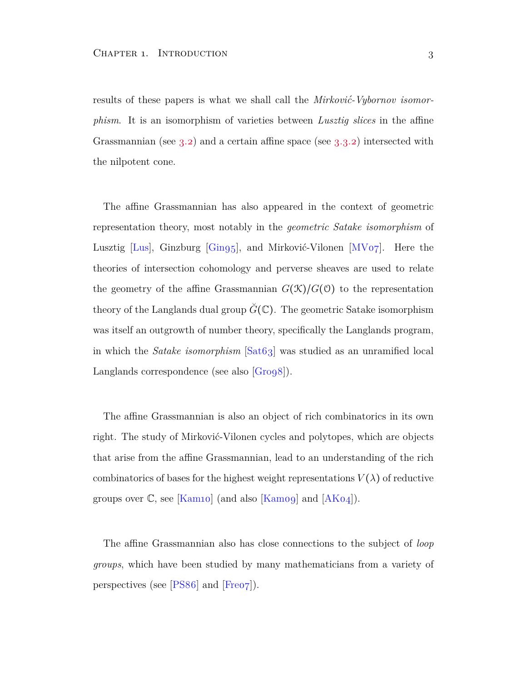results of these papers is what we shall call the *Mirkovic-Vybornov isomor-* ´ *phism*. It is an isomorphism of varieties between *Lusztig slices* in the affine Grassmannian (see  $3.2$  $3.2$  $3.2$ ) and a certain affine space (see  $3.3.2$ ) intersected with the nilpotent cone.

The affine Grassmannian has also appeared in the context of geometric representation theory, most notably in the *geometric Satake isomorphism* of Lusztig [\[Lus\]](#page-67-1), Ginzburg [\[Gin](#page-66-0)g5], and Mirković-Vilonen [MV $\sigma$ 7]. Here the theories of intersection cohomology and perverse sheaves are used to relate the geometry of the affine Grassmannian  $G(\mathcal{K})/G(\mathcal{O})$  to the representation theory of the Langlands dual group  $\tilde{G}(\mathbb{C})$ . The geometric Satake isomorphism was itself an outgrowth of number theory, specifically the Langlands program, in which the *Satake isomorphism* [\[Sat](#page-69-2)63] was studied as an unramified local Langlands correspondence (see also  $|G_{0}8|$ ).

The affine Grassmannian is also an object of rich combinatorics in its own right. The study of Mirković-Vilonen cycles and polytopes, which are objects that arise from the affine Grassmannian, lead to an understanding of the rich combinatorics of bases for the highest weight representations  $V(\lambda)$  of reductive groupsover  $\mathbb{C}$ , see [Kam10] (and also [Kam09] and [AK04]).

The affine Grassmannian also has close connections to the subject of *loop groups*, which have been studied by many mathematicians from a variety of perspectives (see  $[PS86]$  $[PS86]$  $[PS86]$  and  $[Free7]$ ).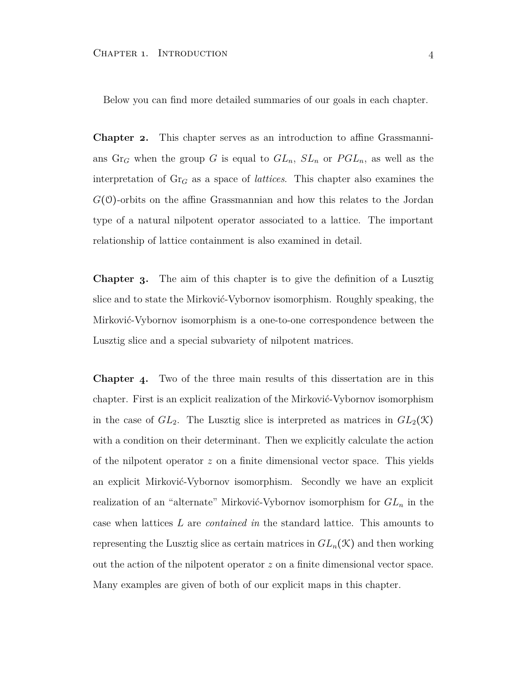Below you can find more detailed summaries of our goals in each chapter.

**Chapter 2.** This chapter serves as an introduction to affine Grassmannians  $\text{Gr}_G$  when the group G is equal to  $GL_n$ ,  $SL_n$  or  $PGL_n$ , as well as the interpretation of Gr*<sup>G</sup>* as a space of *lattices*. This chapter also examines the *<sup>G</sup>*(O)-orbits on the affine Grassmannian and how this relates to the Jordan type of a natural nilpotent operator associated to a lattice. The important relationship of lattice containment is also examined in detail.

**Chapter 3.** The aim of this chapter is to give the definition of a Lusztig slice and to state the Mirković-Vybornov isomorphism. Roughly speaking, the Mirković-Vybornov isomorphism is a one-to-one correspondence between the Lusztig slice and a special subvariety of nilpotent matrices.

**Chapter 4.** Two of the three main results of this dissertation are in this chapter. First is an explicit realization of the Mirković-Vybornov isomorphism in the case of  $GL_2$ . The Lusztig slice is interpreted as matrices in  $GL_2(\mathcal{K})$ with a condition on their determinant. Then we explicitly calculate the action of the nilpotent operator *z* on a finite dimensional vector space. This yields an explicit Mirković-Vybornov isomorphism. Secondly we have an explicit realization of an "alternate" Mirković-Vybornov isomorphism for  $GL_n$  in the case when lattices *L* are *contained in* the standard lattice. This amounts to representing the Lusztig slice as certain matrices in  $GL_n(\mathcal{K})$  and then working out the action of the nilpotent operator *z* on a finite dimensional vector space. Many examples are given of both of our explicit maps in this chapter.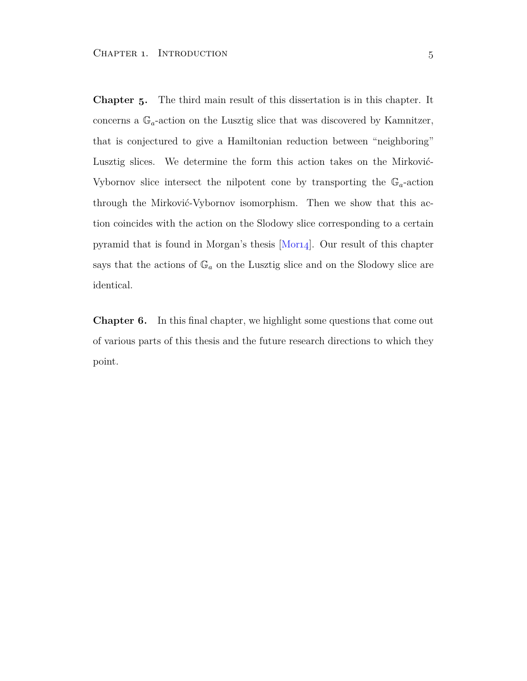**Chapter 5.** The third main result of this dissertation is in this chapter. It concerns a  $\mathbb{G}_a$ -action on the Lusztig slice that was discovered by Kamnitzer, that is conjectured to give a Hamiltonian reduction between "neighboring" Lusztig slices. We determine the form this action takes on the Mirković-Vybornov slice intersect the nilpotent cone by transporting the  $\mathbb{G}_a$ -action through the Mirković-Vybornov isomorphism. Then we show that this action coincides with the action on the Slodowy slice corresponding to a certain pyramid that is found in Morgan's thesis  $[Mor14]$ . Our result of this chapter says that the actions of  $\mathbb{G}_a$  on the Lusztig slice and on the Slodowy slice are identical.

**Chapter 6.** In this final chapter, we highlight some questions that come out of various parts of this thesis and the future research directions to which they point.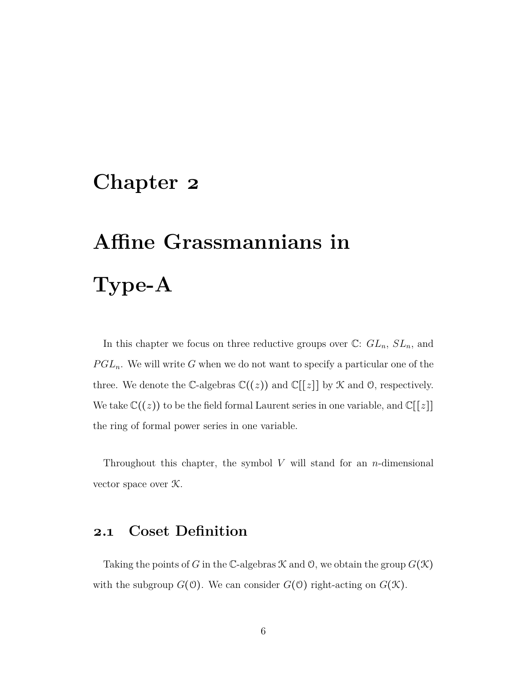### <span id="page-11-2"></span><span id="page-11-0"></span>**Chapter**

# **Affine Grassmannians in Type-A**

In this chapter we focus on three reductive groups over  $\mathbb{C}$ :  $GL_n$ ,  $SL_n$ , and  $PGL_n$ . We will write *G* when we do not want to specify a particular one of the three. We denote the C-algebras  $\mathbb{C}((z))$  and  $\mathbb{C}[[z]]$  by  $\mathcal K$  and  $\mathcal O$ , respectively. We take  $\mathbb{C}((z))$  to be the field formal Laurent series in one variable, and  $\mathbb{C}[[z]]$ the ring of formal power series in one variable.

Throughout this chapter, the symbol *V* will stand for an *n*-dimensional vector space over K.

### <span id="page-11-1"></span>**. Coset Definition**

Taking the points of G in the C-algebras  $\mathcal K$  and  $\mathcal O$ , we obtain the group  $G(\mathcal K)$ with the subgroup  $G(\mathcal{O})$ . We can consider  $G(\mathcal{O})$  right-acting on  $G(\mathcal{K})$ .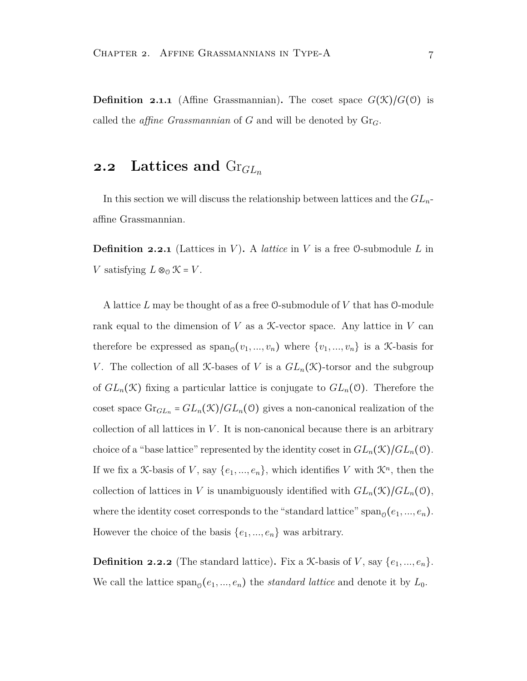<span id="page-12-1"></span>**Definition 2.1.1** (Affine Grassmannian). The coset space  $G(\mathcal{K})/G(\mathcal{O})$  is called the *affine Grassmannian* of *G* and will be denoted by Gr*G*.

#### <span id="page-12-0"></span>**2.2** Lattices and  $\text{Gr}_{GL_n}$

In this section we will discuss the relationship between lattices and the *GLn*affine Grassmannian.

**Definition 2.2.1** (Lattices in V). A *lattice* in V is a free 0-submodule L in *V* satisfying  $L \otimes_{\mathcal{O}} \mathcal{K} = V$ .

A lattice *L* may be thought of as a free O-submodule of *V* that has O-module rank equal to the dimension of  $V$  as a  $K$ -vector space. Any lattice in  $V$  can therefore be expressed as  $\text{span}_{\mathcal{O}}(v_1, ..., v_n)$  where  $\{v_1, ..., v_n\}$  is a *K*-basis for *V*. The collection of all *K*-bases of *V* is a  $GL_n(\mathcal{K})$ -torsor and the subgroup of  $GL_n(\mathcal{K})$  fixing a particular lattice is conjugate to  $GL_n(\mathcal{O})$ . Therefore the coset space  $\text{Gr}_{GL_n} = GL_n(\mathcal{K})/GL_n(\mathcal{O})$  gives a non-canonical realization of the collection of all lattices in *V* . It is non-canonical because there is an arbitrary choice of a "base lattice" represented by the identity coset in  $GL_n(\mathcal{K})/GL_n(\mathcal{O})$ . If we fix a *K*-basis of *V*, say  $\{e_1, ..., e_n\}$ , which identifies *V* with  $\mathcal{K}^n$ , then the collection of lattices in *V* is unambiguously identified with  $GL_n(\mathfrak{X})/GL_n(\mathfrak{O})$ , where the identity coset corresponds to the "standard lattice"  $\text{span}_{\mathcal{O}}(e_1, ..., e_n)$ . However the choice of the basis  $\{e_1, ..., e_n\}$  was arbitrary.

**Definition 2.2.2** (The standard lattice). Fix a *K*-basis of *V*, say  $\{e_1, ..., e_n\}$ . We call the lattice  $\text{span}_{\mathcal{O}}(e_1, ..., e_n)$  the *standard lattice* and denote it by  $L_0$ .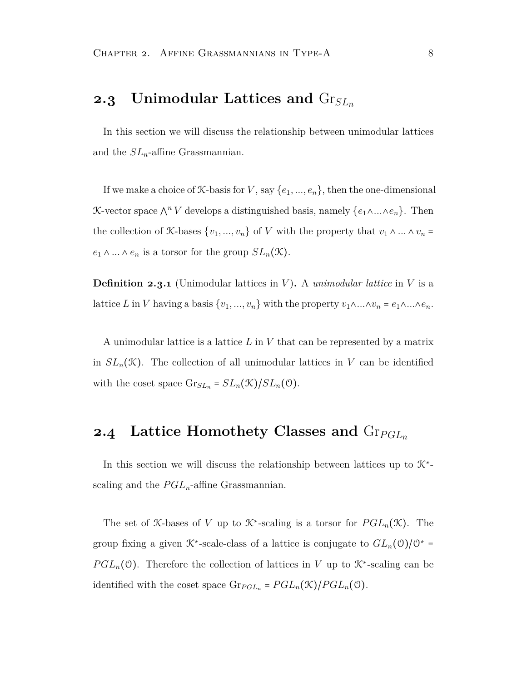#### <span id="page-13-2"></span><span id="page-13-0"></span>**2.3** Unimodular Lattices and  $\text{Gr}_{SL_n}$

In this section we will discuss the relationship between unimodular lattices and the *SLn*-affine Grassmannian.

If we make a choice of *X*-basis for *V*, say  $\{e_1, ..., e_n\}$ , then the one-dimensional  $\mathcal{K}\text{-vector space }\bigwedge^n V$  develops a distinguished basis, namely  $\{e_1 \wedge \ldots \wedge e_n\}$ . Then the collection of X-bases  $\{v_1, ..., v_n\}$  of  $V$  with the property that  $v_1 \wedge ... \wedge v_n =$ *e*<sub>1</sub> ∧ *...* ∧ *e*<sub>*n*</sub> is a torsor for the group  $SL_n(\mathcal{K})$ .

**Definition 2.3.1** (Unimodular lattices in  $V$ ). A *unimodular lattice* in  $V$  is a lattice *L* in *V* having a basis  $\{v_1, ..., v_n\}$  with the property  $v_1 \land ... \land v_n = e_1 \land ... \land e_n$ .

A unimodular lattice is a lattice *L* in *V* that can be represented by a matrix in  $SL_n(\mathcal{K})$ . The collection of all unimodular lattices in *V* can be identified with the coset space  $\mathrm{Gr}_{SL_n} = SL_n(\mathcal{K})/SL_n(\mathcal{O})$ .

#### <span id="page-13-1"></span>**2.4** Lattice Homothety Classes and  $\text{Gr}_{PGL_n}$

In this section we will discuss the relationship between lattices up to  $\mathcal{K}^*$ scaling and the  $PGL_n$ -affine Grassmannian.

The set of *K*-bases of *V* up to  $K^*$ -scaling is a torsor for  $PGL_n(\mathcal{K})$ . The group fixing a given  $\mathcal{K}^*$ -scale-class of a lattice is conjugate to  $GL_n(\mathcal{O})/\mathcal{O}^*$  =  $PGL_n(\mathcal{O})$ . Therefore the collection of lattices in *V* up to  $\mathcal{K}^*$ -scaling can be identified with the coset space  $\text{Gr}_{PGL_n} = PGL_n(\mathcal{K})/PGL_n(\mathcal{O})$ .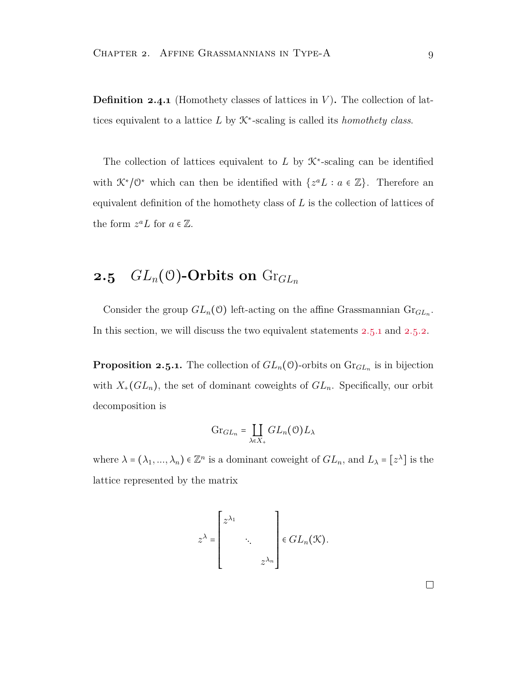<span id="page-14-2"></span>**Definition 2.4.1** (Homothety classes of lattices in  $V$ ). The collection of lattices equivalent to a lattice *L* by K<sup>∗</sup> -scaling is called its *homothety class*.

The collection of lattices equivalent to  $L$  by  $\mathcal{K}^*$ -scaling can be identified with <sup>K</sup><sup>∗</sup>/O<sup>∗</sup> which can then be identified with {*<sup>z</sup> <sup>a</sup><sup>L</sup>* <sup>∶</sup> *<sup>a</sup>* <sup>∈</sup> <sup>Z</sup>}. Therefore an equivalent definition of the homothety class of *L* is the collection of lattices of the form  $z^a L$  for  $a \in \mathbb{Z}$ .

### <span id="page-14-0"></span>**2.5** *GL*<sup>n</sup>(0)-Orbits on  $\text{Gr}_{GL_n}$

Consider the group  $GL_n(\mathcal{O})$  left-acting on the affine Grassmannian  $\mathrm{Gr}_{GL_n}$ . In this section, we will discuss the two equivalent statements  $2.5.1$  and  $2.5.2$ .

<span id="page-14-1"></span>**Proposition 2.5.1.** The collection of  $GL_n(\mathcal{O})$ -orbits on  $\mathrm{Gr}_{GL_n}$  is in bijection with  $X_+(GL_n)$ , the set of dominant coweights of  $GL_n$ . Specifically, our orbit decomposition is

$$
\mathrm{Gr}_{GL_n}=\coprod_{\lambda\in X_+}GL_n(\mathfrak{O})L_\lambda
$$

where  $\lambda = (\lambda_1, ..., \lambda_n) \in \mathbb{Z}^n$  is a dominant coweight of  $GL_n$ , and  $L_{\lambda} = [z^{\lambda}]$  is the lattice represented by the matrix

$$
z^{\lambda} = \begin{bmatrix} z^{\lambda_1} & & \\ & \ddots & \\ & & z^{\lambda_n} \end{bmatrix} \in GL_n(\mathcal{K}).
$$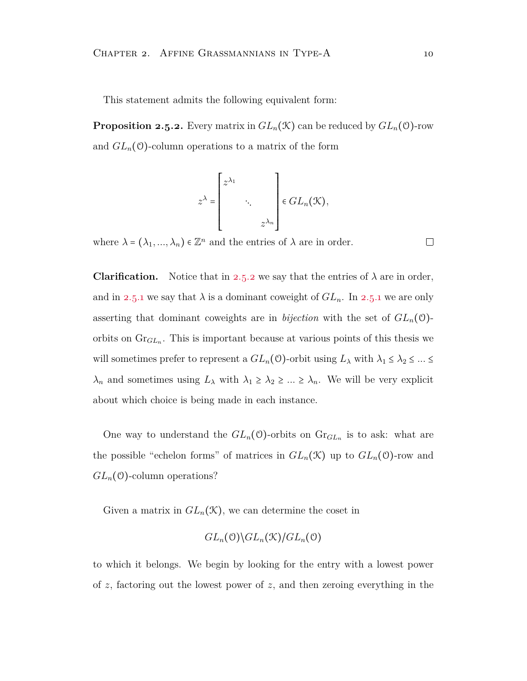This statement admits the following equivalent form:

<span id="page-15-0"></span>**Proposition 2.5.2.** Every matrix in  $GL_n(\mathcal{K})$  can be reduced by  $GL_n(\mathcal{O})$ -row and  $GL_n(\mathcal{O})$ -column operations to a matrix of the form

$$
z^{\lambda} = \begin{bmatrix} z^{\lambda_1} & & \\ & \ddots & \\ & & z^{\lambda_n} \end{bmatrix} \in GL_n(\mathcal{K}),
$$

where  $\lambda = (\lambda_1, ..., \lambda_n) \in \mathbb{Z}^n$  and the entries of  $\lambda$  are in order.

**Clarification.** Notice that in 2.5.2 we say that the entries of  $\lambda$  are in order, and in 2.5.1 we say that  $\lambda$  is a dominant coweight of  $GL_n$ . In 2.5.1 we are only asserting that dominant coweights are in *bijection* with the set of  $GL_n(\mathcal{O})$ orbits on Gr*GL<sup>n</sup>* . This is important because at various points of this thesis we will sometimes prefer to represent a  $GL_n(\mathcal{O})$ -orbit using  $L_\lambda$  with  $\lambda_1 \leq \lambda_2 \leq ... \leq$ *λ*<sup>*n*</sup> and sometimes using  $L_\lambda$  with  $\lambda_1 \geq \lambda_2 \geq ... \geq \lambda_n$ . We will be very explicit about which choice is being made in each instance.

One way to understand the  $GL_n(\mathcal{O})$ -orbits on  $Gr_{GL_n}$  is to ask: what are the possible "echelon forms" of matrices in  $GL_n(\mathfrak{K})$  up to  $GL_n(\mathfrak{O})$ -row and  $GL_n(\mathcal{O})$ -column operations?

Given a matrix in  $GL_n(\mathcal{K})$ , we can determine the coset in

$$
GL_n(\mathfrak{O})\backslash GL_n(\mathfrak{K})/GL_n(\mathfrak{O})
$$

to which it belongs. We begin by looking for the entry with a lowest power of *z*, factoring out the lowest power of *z*, and then zeroing everything in the

 $\Box$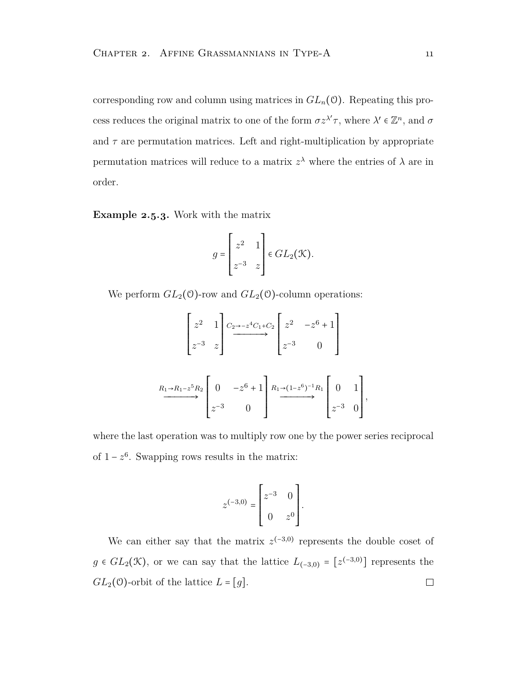corresponding row and column using matrices in  $GL_n(\mathcal{O})$ . Repeating this process reduces the original matrix to one of the form  $\sigma z^{\lambda'}\tau$ , where  $\lambda' \in \mathbb{Z}^n$ , and  $\sigma$ and  $\tau$  are permutation matrices. Left and right-multiplication by appropriate permutation matrices will reduce to a matrix  $z^{\lambda}$  where the entries of  $\lambda$  are in order.

**Example 2.5.3.** Work with the matrix

$$
g = \begin{bmatrix} z^2 & 1 \\ z^{-3} & z \end{bmatrix} \in GL_2(\mathcal{K}).
$$

We perform  $GL_2(\mathcal{O})$ -row and  $GL_2(\mathcal{O})$ -column operations:

$$
\left[z^{2} \quad 1 \atop z^{-3} \quad z\right] \xrightarrow{C_{2} \to -z^{4}C_{1} + C_{2}} \left[z^{2} \quad -z^{6} + 1 \atop z^{-3} \quad 0 \right]
$$
  

$$
\xrightarrow{R_{1} \to R_{1} - z^{5}R_{2}} \left[ \quad 0 \quad -z^{6} + 1 \atop z^{-3} \quad 0 \right] \xrightarrow{R_{1} \to (1 - z^{6})^{-1}R_{1}} \left[ \quad 0 \quad 1 \atop z^{-3} \quad 0 \right],
$$

where the last operation was to multiply row one by the power series reciprocal of  $1 - z^6$ . Swapping rows results in the matrix:

$$
z^{(-3,0)} = \begin{bmatrix} z^{-3} & 0 \\ 0 & z^{0} \end{bmatrix}.
$$

We can either say that the matrix  $z^{(-3,0)}$  represents the double coset of *g* ∈  $GL_2(\mathcal{K})$ , or we can say that the lattice  $L_{(-3,0)} = [z^{(-3,0)}]$  represents the  $\Box$  $GL_2(\mathcal{O})$ -orbit of the lattice  $L = [g]$ .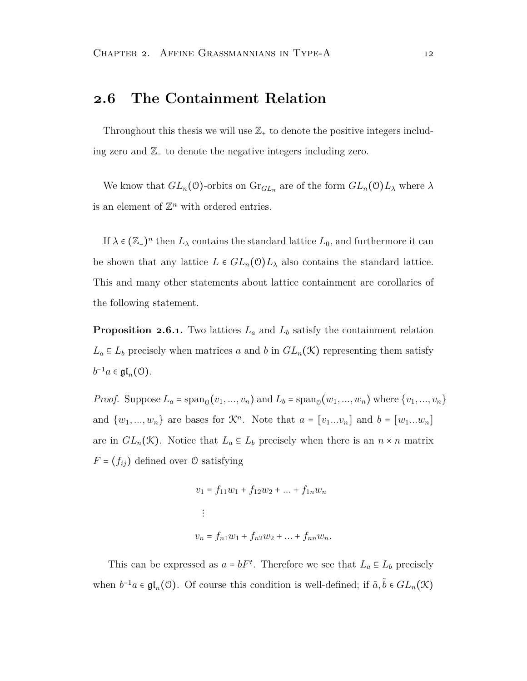#### <span id="page-17-1"></span><span id="page-17-0"></span>**. The Containment Relation**

Throughout this thesis we will use  $\mathbb{Z}_+$  to denote the positive integers including zero and Z<sup>−</sup> to denote the negative integers including zero.

We know that  $GL_n(\mathcal{O})$ -orbits on  $\mathrm{Gr}_{GL_n}$  are of the form  $GL_n(\mathcal{O})L_\lambda$  where  $\lambda$ is an element of  $\mathbb{Z}^n$  with ordered entries.

If  $\lambda \in (\mathbb{Z}_-)^n$  then  $L_\lambda$  contains the standard lattice  $L_0$ , and furthermore it can be shown that any lattice  $L \in GL_n(\mathcal{O})$ , also contains the standard lattice. This and many other statements about lattice containment are corollaries of the following statement.

**Proposition 2.6.1.** Two lattices  $L_a$  and  $L_b$  satisfy the containment relation *L*<sup>*a*</sup> ⊆ *L*<sup>*b*</sup> precisely when matrices *a* and *b* in  $GL_n(\mathcal{K})$  representing them satisfy  $b^{-1}a \in \mathfrak{gl}_n(\mathfrak{O}).$ 

*Proof.* Suppose  $L_a = \text{span}_{\mathcal{O}}(v_1, ..., v_n)$  and  $L_b = \text{span}_{\mathcal{O}}(w_1, ..., w_n)$  where  $\{v_1, ..., v_n\}$ and  $\{w_1, ..., w_n\}$  are bases for  $\mathcal{K}^n$ . Note that  $a = [v_1...v_n]$  and  $b = [w_1...w_n]$ are in  $GL_n(\mathcal{K})$ . Notice that  $L_a \subseteq L_b$  precisely when there is an  $n \times n$  matrix  $F = (f_{ij})$  defined over 0 satisfying

$$
v_1 = f_{11}w_1 + f_{12}w_2 + \dots + f_{1n}w_n
$$
  
 
$$
\vdots
$$
  
\n
$$
v_n = f_{n1}w_1 + f_{n2}w_2 + \dots + f_{nn}w_n.
$$

This can be expressed as  $a = bF^t$ . Therefore we see that  $L_a \subseteq L_b$  precisely when  $b^{-1}a \in \mathfrak{gl}_n(\mathfrak{O})$ . Of course this condition is well-defined; if  $\tilde{a}, \tilde{b} \in GL_n(\mathfrak{K})$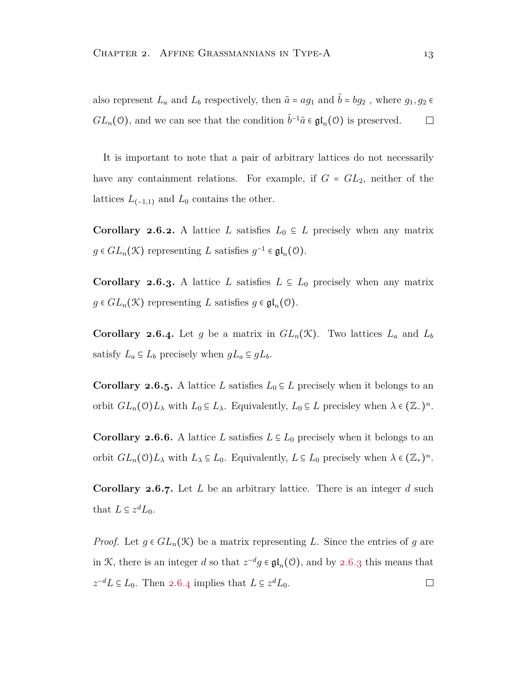also represent  $L_a$  and  $L_b$  respectively, then  $\tilde{a} = ag_1$  and  $\tilde{b} = bg_2$ , where  $g_1, g_2 \in$  $GL_n(\mathcal{O})$ , and we can see that the condition  $\tilde{b}^{-1}\tilde{a} \in \mathfrak{gl}_n(\mathcal{O})$  is preserved.  $\Box$ 

It is important to note that a pair of arbitrary lattices do not necessarily have any containment relations. For example, if  $G = GL_2$ , neither of the lattices  $L_{(-1,1)}$  and  $L_0$  contains the other.

**Corollary 2.6.2.** A lattice *L* satisfies  $L_0 \subseteq L$  precisely when any matrix  $g \in GL_n(\mathcal{K})$  representing *L* satisfies  $g^{-1} \in \mathfrak{gl}_n(\mathcal{O})$ .

<span id="page-18-0"></span>**Corollary 2.6.3.** A lattice *L* satisfies  $L \subseteq L_0$  precisely when any matrix  $g \in GL_n(\mathcal{K})$  representing *L* satisfies  $g \in \mathfrak{gl}_n(\mathcal{O})$ .

<span id="page-18-1"></span>**Corollary 2.6.4.** Let g be a matrix in  $GL_n(\mathcal{K})$ . Two lattices  $L_a$  and  $L_b$ satisfy  $L_a \subseteq L_b$  precisely when  $gL_a \subseteq gL_b$ .

<span id="page-18-3"></span>**Corollary 2.6.5.** A lattice *L* satisfies  $L_0 \subseteq L$  precisely when it belongs to an orbit  $GL_n(\mathcal{O})L_\lambda$  with  $L_0 \subseteq L_\lambda$ . Equivalently,  $L_0 \subseteq L$  precisley when  $\lambda \in (\mathbb{Z}_-)^n$ .

<span id="page-18-4"></span>**Corollary 2.6.6.** A lattice *L* satisfies  $L \subseteq L_0$  precisely when it belongs to an orbit  $GL_n(\mathcal{O})L_\lambda$  with  $L_\lambda \subseteq L_0$ . Equivalently,  $L \subseteq L_0$  precisely when  $\lambda \in (\mathbb{Z}_+)^n$ .

<span id="page-18-2"></span>**Corollary 2.6.7.** Let L be an arbitrary lattice. There is an integer d such that  $L \subseteq z^d L_0$ .

*Proof.* Let  $g \in GL_n(\mathcal{K})$  be a matrix representing L. Since the entries of g are in K, there is an integer *d* so that  $z^{-d}g \in \mathfrak{gl}_n(\mathcal{O})$ , and by 2.6.3 this means that  $z^{-d}L \subseteq L_0$ . Then 2.6.4 implies that  $L \subseteq z^dL_0$ .  $\Box$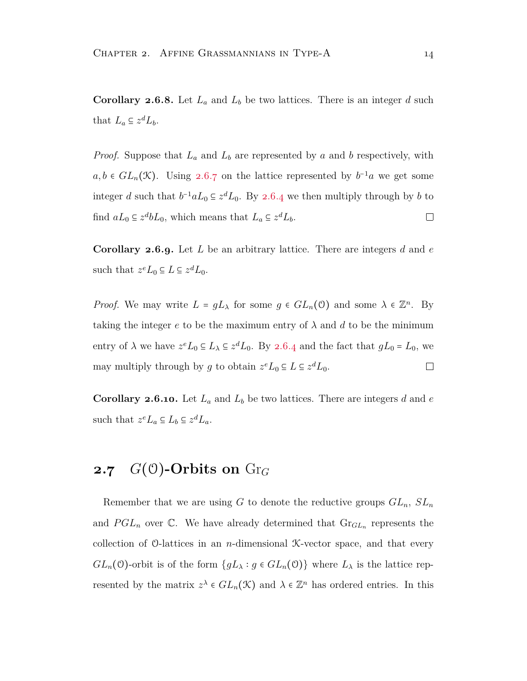**Corollary 2.6.8.** Let  $L_a$  and  $L_b$  be two lattices. There is an integer *d* such that  $L_a \subseteq z^d L_b$ .

*Proof.* Suppose that *L<sup>a</sup>* and *L<sup>b</sup>* are represented by *a* and *b* respectively, with *a*, *b* ∈  $GL_n(\mathcal{K})$ . Using 2.6.7 on the lattice represented by  $b^{-1}a$  we get some integer *d* such that  $b^{-1}aL_0 \subseteq z^dL_0$ . By 2.6.4 we then multiply through by *b* to find  $aL_0 \subseteq z^d bL_0$ , which means that  $L_a \subseteq z^d L_b$ .  $\Box$ 

**Corollary 2.6.9.** Let *L* be an arbitrary lattice. There are integers *d* and *e* such that  $z^e L_0 \subseteq L \subseteq z^d L_0$ .

*Proof.* We may write  $L = gL_\lambda$  for some  $g \in GL_n(\mathbb{O})$  and some  $\lambda \in \mathbb{Z}^n$ . By taking the integer  $e$  to be the maximum entry of  $\lambda$  and  $d$  to be the minimum entry of  $\lambda$  we have  $z^e L_0 \subseteq L_\lambda \subseteq z^d L_0$ . By 2.6.4 and the fact that  $gL_0 = L_0$ , we may multiply through by *g* to obtain  $z^e L_0 \subseteq L \subseteq z^d L_0$ .  $\Box$ 

<span id="page-19-1"></span>**Corollary 2.6.10.** Let  $L_a$  and  $L_b$  be two lattices. There are integers *d* and *e* such that  $z^e L_a \subseteq L_b \subseteq z^d L_a$ .

### <span id="page-19-0"></span>**2.7**  $G(\theta)$ -Orbits on  $\text{Gr}_G$

Remember that we are using *G* to denote the reductive groups *GLn*, *SL<sup>n</sup>* and  $PGL_n$  over  $\mathbb{C}$ . We have already determined that  $\mathrm{Gr}_{GL_n}$  represents the collection of O-lattices in an *n*-dimensional K-vector space, and that every *GL*<sub>*n*</sub>(0)-orbit is of the form  ${gL_{\lambda}: g \in GL_n(\mathbb{O})}$  where  $L_{\lambda}$  is the lattice represented by the matrix  $z^{\lambda} \in GL_n(\mathcal{K})$  and  $\lambda \in \mathbb{Z}^n$  has ordered entries. In this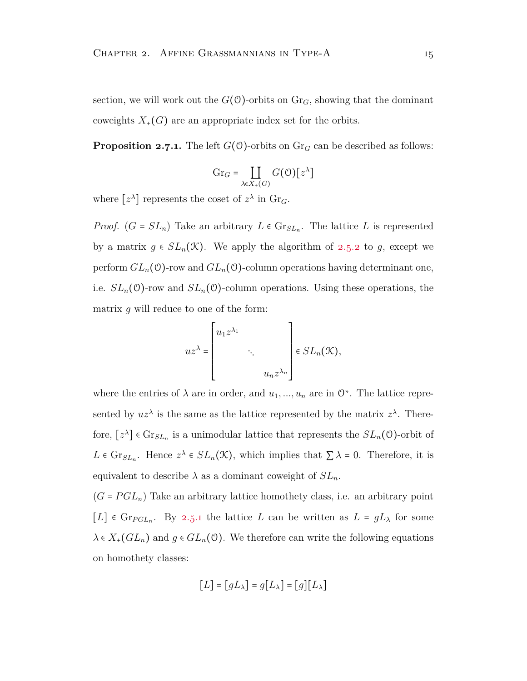section, we will work out the  $G(\mathcal{O})$ -orbits on  $\text{Gr}_G$ , showing that the dominant coweights  $X_+(G)$  are an appropriate index set for the orbits.

**Proposition 2.7.1.** The left  $G(0)$ -orbits on  $Gr_G$  can be described as follows:

$$
\mathrm{Gr}_G=\coprod_{\lambda\in X_+(G)}G\big(\mathbb{O}\big)[z^\lambda]
$$

where  $[z^{\lambda}]$  represents the coset of  $z^{\lambda}$  in  $\mathrm{Gr}_G$ .

*Proof.*  $(G = SL_n)$  Take an arbitrary  $L \in \text{Gr}_{SL_n}$ . The lattice  $L$  is represented by a matrix  $g \in SL_n(\mathfrak{X})$ . We apply the algorithm of 2.5.2 to g, except we perform  $GL_n(\mathcal{O})$ -row and  $GL_n(\mathcal{O})$ -column operations having determinant one, i.e.  $SL_n(\mathcal{O})$ -row and  $SL_n(\mathcal{O})$ -column operations. Using these operations, the matrix *g* will reduce to one of the form:

$$
uz^{\lambda} = \begin{bmatrix} u_1 z^{\lambda_1} & & \\ & \ddots & \\ & & u_n z^{\lambda_n} \end{bmatrix} \in SL_n(\mathcal{K}),
$$

where the entries of  $\lambda$  are in order, and  $u_1, ..., u_n$  are in  $\mathbb{O}^*$ . The lattice represented by  $uz^{\lambda}$  is the same as the lattice represented by the matrix  $z^{\lambda}$ . Therefore,  $[z^{\lambda}] \in \text{Gr}_{SL_n}$  is a unimodular lattice that represents the  $SL_n(\mathcal{O})$ -orbit of  $L \in \text{Gr}_{SL_n}$ . Hence  $z^{\lambda} \in SL_n(\mathcal{K})$ , which implies that  $\sum \lambda = 0$ . Therefore, it is equivalent to describe  $\lambda$  as a dominant coweight of  $SL_n$ .

 $(G = PGL_n)$  Take an arbitrary lattice homothety class, i.e. an arbitrary point  $[L] \in \text{Gr}_{PGL_n}$ . By 2.5.1 the lattice *L* can be written as  $L = gL_\lambda$  for some  $\lambda \in X_+(GL_n)$  and  $g \in GL_n(\mathcal{O})$ . We therefore can write the following equations on homothety classes:

$$
[L] = [gL_{\lambda}] = g[L_{\lambda}] = [g][L_{\lambda}]
$$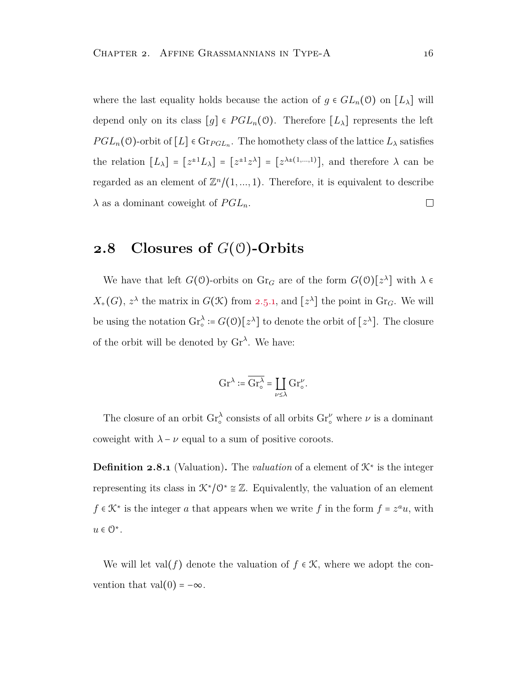<span id="page-21-1"></span>where the last equality holds because the action of  $g \in GL_n(\mathbb{O})$  on  $[L_\lambda]$  will depend only on its class  $[g] \in PGL_n(\mathcal{O})$ . Therefore  $[L_\lambda]$  represents the left  $PGL_n(\mathcal{O})$ -orbit of  $[L] \in \mathrm{Gr}_{PGL_n}$ . The homothety class of the lattice  $L_\lambda$  satisfies the relation  $[L_{\lambda}] = [z^{\pm 1}L_{\lambda}] = [z^{\pm 1}z^{\lambda}] = [z^{\lambda \pm (1,...,1)}]$ , and therefore  $\lambda$  can be regarded as an element of  $\mathbb{Z}^n/(1,...,1)$ . Therefore, it is equivalent to describe  $\lambda$  as a dominant coweight of  $PGL_n$ .  $\Box$ 

#### <span id="page-21-0"></span>**2.8** Closures of  $G(0)$ -Orbits

We have that left *G*( $\sigma$ )-orbits on  $\text{Gr}_G$  are of the form  $G(\sigma)[z^{\lambda}]$  with  $\lambda \in$  $X_+(G)$ ,  $z^{\lambda}$  the matrix in  $G(\mathcal{K})$  from 2.5.1, and  $[z^{\lambda}]$  the point in Gr<sub>*G*</sub>. We will be using the notation  $\operatorname{Gr}_{\circ}^{\lambda} := G(0)[z^{\lambda}]$  to denote the orbit of  $[z^{\lambda}]$ . The closure of the orbit will be denoted by Gr*<sup>λ</sup>* . We have:

$$
\mathrm{Gr}^\lambda:=\overline{\mathrm{Gr}_\circ^\lambda}=\coprod_{\nu\leq\lambda}\mathrm{Gr}_\circ^\nu.
$$

The closure of an orbit  $\operatorname{Gr}_\circ^\lambda$  consists of all orbits  $\operatorname{Gr}_\circ^\nu$  where  $\nu$  is a dominant coweight with  $\lambda - \nu$  equal to a sum of positive coroots.

**Definition 2.8.1** (Valuation). The *valuation* of a element of  $K^*$  is the integer representing its class in  $\mathcal{K}^*/\mathcal{O}^* \cong \mathbb{Z}$ . Equivalently, the valuation of an element *f* ∈  $K^*$  is the integer *a* that appears when we write *f* in the form  $f = z^a u$ , with  $u \in \mathbb{O}^*$ .

We will let val( $f$ ) denote the valuation of  $f \in \mathcal{K}$ , where we adopt the convention that val $(0) = -\infty$ .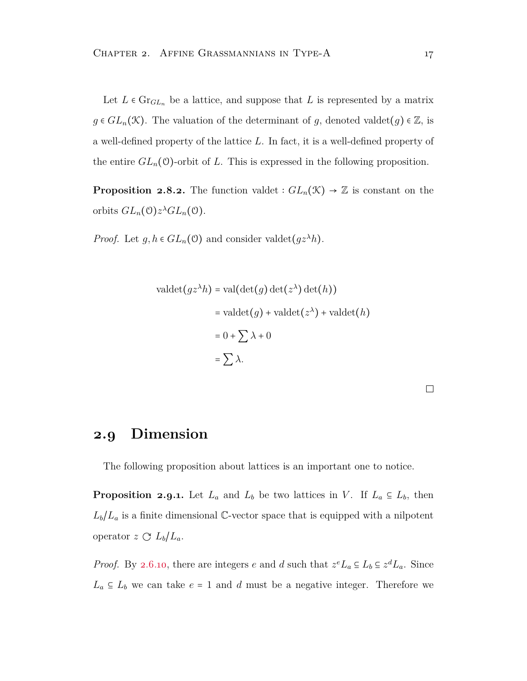Let  $L \in \mathrm{Gr}_{GL_n}$  be a lattice, and suppose that  $L$  is represented by a matrix  $g \in GL_n(\mathcal{K})$ . The valuation of the determinant of *g*, denoted valdet $(g) \in \mathbb{Z}$ , is a well-defined property of the lattice *L*. In fact, it is a well-defined property of the entire  $GL_n(\mathcal{O})$ -orbit of *L*. This is expressed in the following proposition.

**Proposition 2.8.2.** The function valdet  $: GL_n(\mathcal{K}) \to \mathbb{Z}$  is constant on the orbits  $GL_n(\mathcal{O})z^{\lambda}GL_n(\mathcal{O})$ .

*Proof.* Let  $g, h \in GL_n(\mathbb{O})$  and consider valdet $(gz^{\lambda}h)$ .

$$
\text{valdet}(gz^{\lambda}h) = \text{val}(\text{det}(g)\det(z^{\lambda})\det(h))
$$
\n
$$
= \text{valdet}(g) + \text{valdet}(z^{\lambda}) + \text{valdet}(h)
$$
\n
$$
= 0 + \sum \lambda + 0
$$
\n
$$
= \sum \lambda.
$$

#### <span id="page-22-0"></span>**. Dimension**

The following proposition about lattices is an important one to notice.

**Proposition 2.9.1.** Let  $L_a$  and  $L_b$  be two lattices in *V*. If  $L_a \subseteq L_b$ , then  $L_b/L_a$  is a finite dimensional C-vector space that is equipped with a nilpotent operator  $z \text{ }\mathcal{C}$   $L_b/L_a$ .

*Proof.* By 2.6.10, there are integers *e* and *d* such that  $z^e L_a \subseteq L_b \subseteq z^d L_a$ . Since  $L_a \subseteq L_b$  we can take  $e = 1$  and *d* must be a negative integer. Therefore we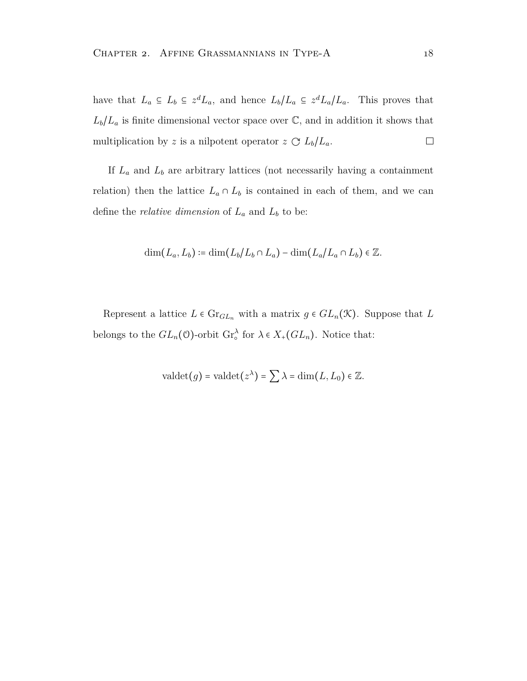have that  $L_a \subseteq L_b \subseteq z^d L_a$ , and hence  $L_b/L_a \subseteq z^d L_a/L_a$ . This proves that  $L_b/L_a$  is finite dimensional vector space over  $\mathbb{C}$ , and in addition it shows that multiplication by *z* is a nilpotent operator  $z \text{ }\mathcal{C}$   $L_b/L_a$ .  $\Box$ 

If  $L_a$  and  $L_b$  are arbitrary lattices (not necessarily having a containment relation) then the lattice  $L_a \cap L_b$  is contained in each of them, and we can define the *relative dimension* of  $L_a$  and  $L_b$  to be:

$$
\dim(L_a, L_b) \coloneqq \dim(L_b/L_b \cap L_a) - \dim(L_a/L_a \cap L_b) \in \mathbb{Z}.
$$

Represent a lattice  $L \in \mathrm{Gr}_{GL_n}$  with a matrix  $g \in GL_n(\mathcal{K})$ . Suppose that  $L$ belongs to the  $GL_n(\mathcal{O})$ -orbit  $\mathrm{Gr}_{\circ}^{\lambda}$  for  $\lambda \in X_+(GL_n)$ . Notice that:

$$
\mathrm{valdet}(g) = \mathrm{valdet}(z^{\lambda}) = \sum \lambda = \dim(L, L_0) \in \mathbb{Z}.
$$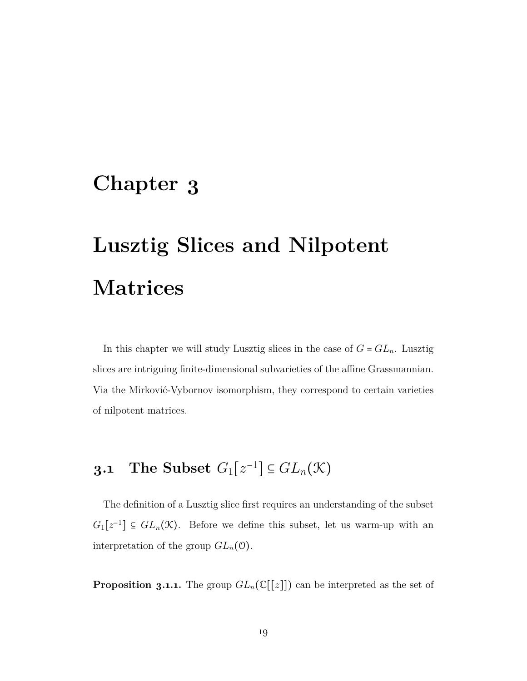### <span id="page-24-0"></span>**Chapter**

# **Lusztig Slices and Nilpotent Matrices**

In this chapter we will study Lusztig slices in the case of  $G = GL_n$ . Lusztig slices are intriguing finite-dimensional subvarieties of the affine Grassmannian. Via the Mirković-Vybornov isomorphism, they correspond to certain varieties of nilpotent matrices.

# <span id="page-24-1"></span>**3.1** The Subset  $G_1[z^{-1}] \subseteq GL_n(\mathcal{K})$

The definition of a Lusztig slice first requires an understanding of the subset  $G_1[z^{-1}] \subseteq GL_n(\mathcal{K})$ . Before we define this subset, let us warm-up with an interpretation of the group  $GL_n(\mathcal{O})$ .

**Proposition 3.1.1.** The group  $GL_n(\mathbb{C}[[z]])$  can be interpreted as the set of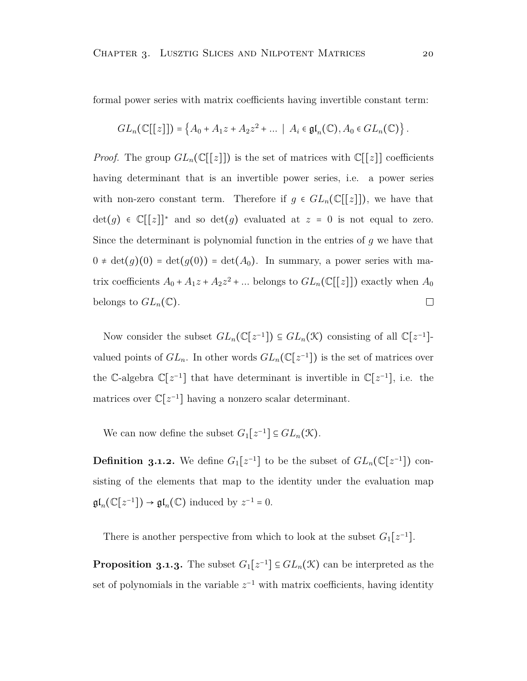<span id="page-25-0"></span>formal power series with matrix coefficients having invertible constant term:

$$
GL_n(\mathbb{C}[[z]]) = \left\{A_0 + A_1 z + A_2 z^2 + \dots \mid A_i \in \mathfrak{gl}_n(\mathbb{C}), A_0 \in GL_n(\mathbb{C})\right\}.
$$

*Proof.* The group  $GL_n(\mathbb{C}[[z]])$  is the set of matrices with  $\mathbb{C}[[z]]$  coefficients having determinant that is an invertible power series, i.e. a power series with non-zero constant term. Therefore if  $g \in GL_n(\mathbb{C}[[z]])$ , we have that det(*g*)  $\in \mathbb{C}[[z]]^*$  and so det(*g*) evaluated at *z* = 0 is not equal to zero. Since the determinant is polynomial function in the entries of *g* we have that  $0 \neq \det(g)(0) = \det(g(0)) = \det(A_0)$ . In summary, a power series with matrix coefficients  $A_0 + A_1 z + A_2 z^2 + \dots$  belongs to  $GL_n(\mathbb{C}[[z]])$  exactly when  $A_0$ belongs to  $GL_n(\mathbb{C})$ .  $\Box$ 

Now consider the subset  $GL_n(\mathbb{C}[z^{-1}]) \subseteq GL_n(\mathcal{K})$  consisting of all  $\mathbb{C}[z^{-1}]$ valued points of  $GL_n$ . In other words  $GL_n(\mathbb{C}[z^{-1}])$  is the set of matrices over the  $\mathbb{C}\text{-algebra } \mathbb{C}[z^{-1}]$  that have determinant is invertible in  $\mathbb{C}[z^{-1}]$ , i.e. the matrices over  $\mathbb{C}[z^{-1}]$  having a nonzero scalar determinant.

We can now define the subset  $G_1[z^{-1}] \subseteq GL_n(\mathcal{K})$ .

**Definition 3.1.2.** We define  $G_1[z^{-1}]$  to be the subset of  $GL_n(\mathbb{C}[z^{-1}])$  consisting of the elements that map to the identity under the evaluation map  $\mathfrak{gl}_n(\mathbb{C}[z^{-1}]) \to \mathfrak{gl}_n(\mathbb{C})$  induced by  $z^{-1} = 0$ .

There is another perspective from which to look at the subset  $G_1[z^{-1}]$ .

**Proposition 3.1.3.** The subset  $G_1[z^{-1}] \subseteq GL_n(\mathcal{K})$  can be interpreted as the set of polynomials in the variable  $z^{-1}$  with matrix coefficients, having identity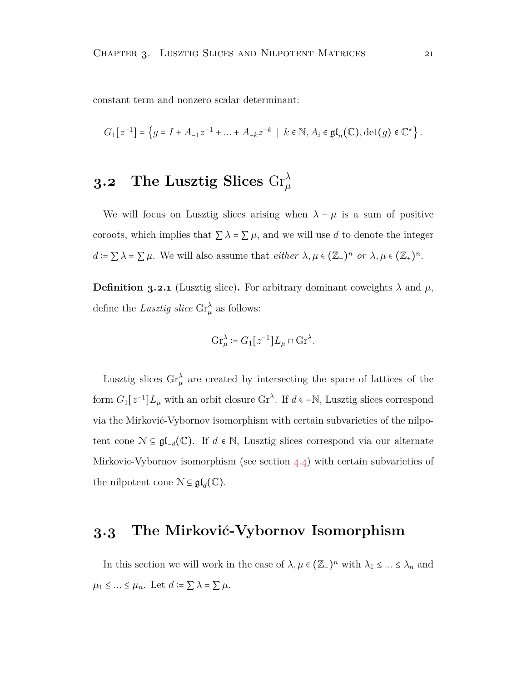<span id="page-26-2"></span>constant term and nonzero scalar determinant:

$$
G_1[z^{-1}] = \left\{ g = I + A_{-1}z^{-1} + ... + A_{-k}z^{-k} \mid k \in \mathbb{N}, A_i \in \mathfrak{gl}_n(\mathbb{C}), \det(g) \in \mathbb{C}^* \right\}.
$$

### <span id="page-26-0"></span>**3.2** The Lusztig Slices  $\mathrm{Gr}^{\lambda}_{\mu}$

We will focus on Lusztig slices arising when  $\lambda - \mu$  is a sum of positive coroots, which implies that  $\sum \lambda = \sum \mu$ , and we will use *d* to denote the integer  $d := \sum \lambda = \sum \mu$ . We will also assume that *either*  $\lambda, \mu \in (\mathbb{Z}_+)^n$  *or*  $\lambda, \mu \in (\mathbb{Z}_+)^n$ .

**Definition 3.2.1** (Lusztig slice). For arbitrary dominant coweights  $\lambda$  and  $\mu$ , define the *Lusztig slice*  $\text{Gr}_{\mu}^{\lambda}$  as follows:

$$
\operatorname{Gr}_{\mu}^{\lambda} \coloneqq G_1[z^{-1}]L_{\mu} \cap \operatorname{Gr}^{\lambda}.
$$

Lusztig slices  $\text{Gr}_{\mu}^{\lambda}$  are created by intersecting the space of lattices of the form  $G_1[z^{-1}]L_\mu$  with an orbit closure  $\text{Gr}^{\lambda}$ . If  $d \in -\mathbb{N}$ , Lusztig slices correspond via the Mirković-Vybornov isomorphism with certain subvarieties of the nilpotent cone <sup>N</sup> <sup>⊆</sup> gl−*<sup>d</sup>* (C). If *<sup>d</sup>* <sup>∈</sup> <sup>N</sup>, Lusztig slices correspond via our alternate Mirkovic-Vybornov isomorphism (see section  $4.4$ ) with certain subvarieties of the nilpotent cone  $\mathcal{N} \subseteq \mathfrak{gl}_d(\mathbb{C})$ .

#### <span id="page-26-1"></span>**. The Mirkovic-Vybornov Isomorphism** ´

In this section we will work in the case of  $\lambda, \mu \in (\mathbb{Z}_-)^n$  with  $\lambda_1 \leq ... \leq \lambda_n$  and  $\mu_1 \leq \ldots \leq \mu_n$ . Let  $d \coloneqq \sum \lambda = \sum \mu$ .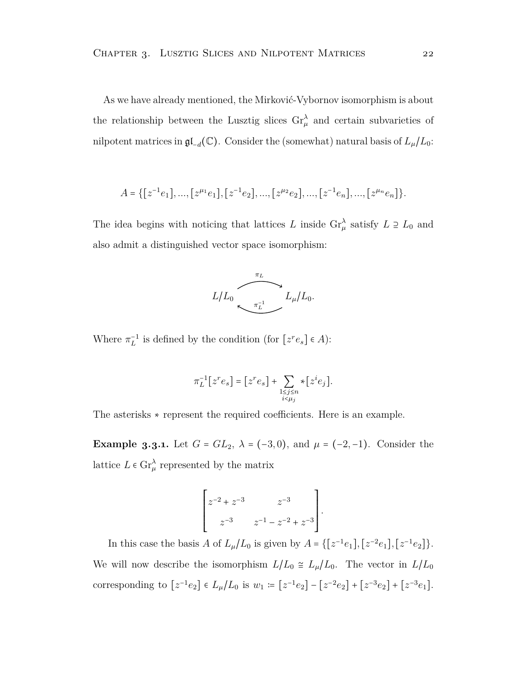As we have already mentioned, the Mirković-Vybornov isomorphism is about the relationship between the Lusztig slices  $\text{Gr}_{\mu}^{\lambda}$  and certain subvarieties of nilpotent matrices in gl−*<sup>d</sup>* (C). Consider the (somewhat) natural basis of *<sup>L</sup><sup>µ</sup>*/*L*0:

$$
A = \{ [z^{-1}e_1], ..., [z^{\mu_1}e_1], [z^{-1}e_2], ..., [z^{\mu_2}e_2], ..., [z^{-1}e_n], ..., [z^{\mu_n}e_n] \}.
$$

The idea begins with noticing that lattices *L* inside  $\text{Gr}_{\mu}^{\lambda}$  satisfy  $L \supseteq L_0$  and also admit a distinguished vector space isomorphism:



Where  $\pi_L^{-1}$  is defined by the condition (for  $[z^r e_s] \in A$ ):

$$
\pi_L^{-1}\big[z^r e_s\big]=\big[z^r e_s\big]+\sum_{\substack{1\leq j\leq n\\i<\mu_j}}\star\big[z^i e_j\big].
$$

The asterisks ∗ represent the required coefficients. Here is an example.

**Example 3.3.1.** Let  $G = GL_2$ ,  $\lambda = (-3, 0)$ , and  $\mu = (-2, -1)$ . Consider the lattice  $L \in \mathrm{Gr}_{\mu}^{\lambda}$  represented by the matrix

$$
\left[ \begin{array}{ccc} z^{-2} + z^{-3} & z^{-3} \\ z^{-3} & z^{-1} - z^{-2} + z^{-3} \end{array} \right].
$$

In this case the basis *A* of  $L_{\mu}/L_0$  is given by  $A = \{[z^{-1}e_1], [z^{-2}e_1], [z^{-1}e_2]\}.$ We will now describe the isomorphism  $L/L_0 \cong L_\mu/L_0$ . The vector in  $L/L_0$ corresponding to  $[z^{-1}e_2] \in L_{\mu}/L_0$  is  $w_1 := [z^{-1}e_2] - [z^{-2}e_2] + [z^{-3}e_2] + [z^{-3}e_1]$ .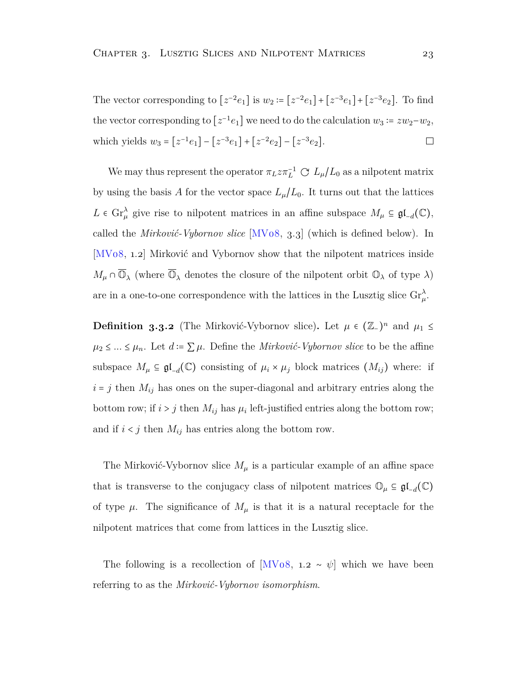<span id="page-28-1"></span>The vector corresponding to  $[z^{-2}e_1]$  is  $w_2 = [z^{-2}e_1] + [z^{-3}e_1] + [z^{-3}e_2]$ . To find the vector corresponding to  $[z^{-1}e_1]$  we need to do the calculation  $w_3 := zw_2-w_2$ , which yields  $w_3 = [z^{-1}e_1] - [z^{-3}e_1] + [z^{-2}e_2] - [z^{-3}e_2]$ .  $\Box$ 

We may thus represent the operator  $\pi_L z \pi_L^{-1} \text{C}$   $L_\mu/L_0$  as a nilpotent matrix by using the basis *A* for the vector space  $L_{\mu}/L_0$ . It turns out that the lattices *L* ∈  $\text{Gr}^{\lambda}_{\mu}$  give rise to nilpotent matrices in an affine subspace  $M_{\mu} \subseteq \mathfrak{gl}_{-d}(\mathbb{C}),$ called the *Mirković-Vybornov slice* [[MV](#page-69-1)<sub>0</sub>8, 3.3] (which is defined below). In  $[MV<sub>0</sub>8, 1.2]$  Mirković and Vybornov show that the nilpotent matrices inside  $M_{\mu} \cap \mathbb{O}_{\lambda}$  (where  $\mathbb{O}_{\lambda}$  denotes the closure of the nilpotent orbit  $\mathbb{O}_{\lambda}$  of type  $\lambda$ ) are in a one-to-one correspondence with the lattices in the Lusztig slice  $\mathrm{Gr}_{\mu}^{\lambda}$ .

<span id="page-28-0"></span>**Definition 3.3.2** (The Mirković-Vybornov slice). Let  $\mu \in (\mathbb{Z}_-)^n$  and  $\mu_1 \leq$  $\mu_2$  ≤ ... ≤  $\mu_n$ . Let *d* :=  $\sum \mu$ . Define the *Mirković-Vybornov slice* to be the affine subspace  $M_{\mu} \subseteq \mathfrak{gl}_{-d}(\mathbb{C})$  consisting of  $\mu_i \times \mu_j$  block matrices  $(M_{ij})$  where: if  $i = j$  then  $M_{ij}$  has ones on the super-diagonal and arbitrary entries along the bottom row; if  $i > j$  then  $M_{ij}$  has  $\mu_i$  left-justified entries along the bottom row; and if  $i < j$  then  $M_{ij}$  has entries along the bottom row.

The Mirković-Vybornov slice  $M_{\mu}$  is a particular example of an affine space that is transverse to the conjugacy class of nilpotent matrices  $\mathbb{O}_{\mu} \subseteq \mathfrak{gl}_{-d}(\mathbb{C})$ of type  $\mu$ . The significance of  $M_{\mu}$  is that it is a natural receptacle for the nilpotent matrices that come from lattices in the Lusztig slice.

Thefollowing is a recollection of  $[MV_08, 1.2 \sim \psi]$  which we have been referring to as the *Mirković-Vybornov isomorphism*.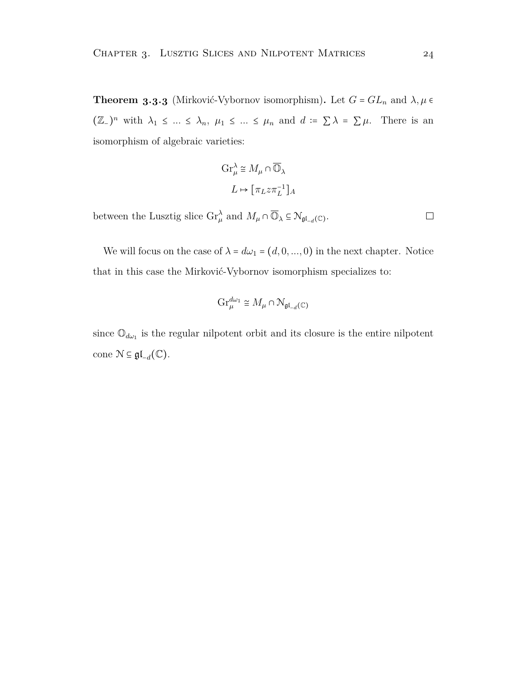<span id="page-29-0"></span>**Theorem 3.3.3** (Mirković-Vybornov isomorphism). Let  $G = GL_n$  and  $\lambda, \mu \in$  $(\mathbb{Z}_-)^n$  with  $\lambda_1 \leq ... \leq \lambda_n$ ,  $\mu_1 \leq ... \leq \mu_n$  and  $d := \sum \lambda = \sum \mu$ . There is an isomorphism of algebraic varieties:

$$
\mathrm{Gr}_{\mu}^{\lambda} \cong M_{\mu} \cap \overline{\mathbb{O}}_{\lambda}
$$

$$
L \mapsto [\pi_L z \pi_L^{-1}]_A
$$

between the Lusztig slice  $\mathrm{Gr}_{\mu}^{\lambda}$  and  $M_{\mu} \cap \overline{\mathbb{O}}_{\lambda} \subseteq \mathbb{N}_{\mathfrak{gl}_{-d}(\mathbb{C})}$ .

We will focus on the case of  $\lambda = d\omega_1 = (d, 0, ..., 0)$  in the next chapter. Notice that in this case the Mirković-Vybornov isomorphism specializes to:

$$
\operatorname{Gr}_{\mu}^{d\omega_1} \cong M_{\mu} \cap \mathcal{N}_{\mathfrak{gl}_{-d}}(\mathbb{C})
$$

since  $\mathbb{O}_{d\omega_1}$  is the regular nilpotent orbit and its closure is the entire nilpotent cone  $\mathcal{N} \subseteq \mathfrak{gl}_{-d}(\mathbb{C})$ .

 $\Box$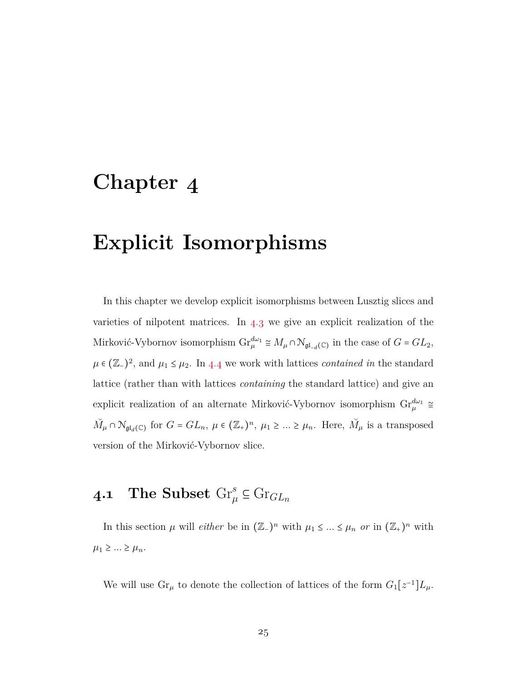### <span id="page-30-2"></span><span id="page-30-0"></span>**Chapter**

### **Explicit Isomorphisms**

In this chapter we develop explicit isomorphisms between Lusztig slices and varieties of nilpotent matrices[.](#page-34-0) In  $4.3$  we give an explicit realization of the Mirković-Vybornov isomorphism  $Gr_{\mu}^{d\omega_1} \cong M_{\mu} \cap \mathcal{N}_{\mathfrak{gl}_{-d}(\mathbb{C})}$  in the case of  $G = GL_2$ ,  $\mu \in (\mathbb{Z}_-)^2$ , and  $\mu_1 \leq \mu_2$ [.](#page-43-0) In 4.4 we work with lattices *contained in* the standard lattice (rather than with lattices *containing* the standard lattice) and give an explicit realization of an alternate Mirković-Vybornov isomorphism  $\text{Gr}_{\mu}^{d\omega_1} \cong$  $\widetilde{M}_{\mu} \cap \mathcal{N}_{\mathfrak{gl}_d(\mathbb{C})}$  for  $G = GL_n$ ,  $\mu \in (\mathbb{Z}_+)^n$ ,  $\mu_1 \geq \ldots \geq \mu_n$ . Here,  $\widetilde{M}_{\mu}$  is a transposed version of the Mirković-Vybornov slice.

# <span id="page-30-1"></span>**4.1** The Subset  $\mathrm{Gr}_{\mu}^{s} \subseteq \mathrm{Gr}_{GL_n}$

In this section  $\mu$  will *either* be in  $(\mathbb{Z}_-)^n$  with  $\mu_1 \leq \ldots \leq \mu_n$  *or* in  $(\mathbb{Z}_+)^n$  with  $\mu_1 \geq \ldots \geq \mu_n$ .

We will use  $\text{Gr}_{\mu}$  to denote the collection of lattices of the form  $G_1[z^{-1}]L_{\mu}$ .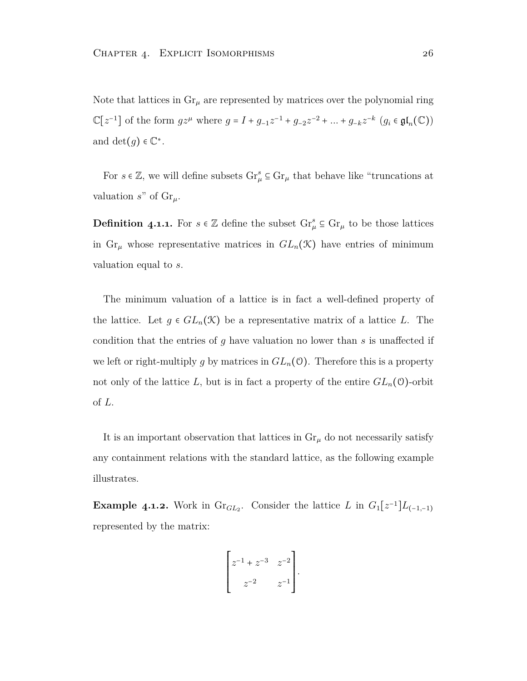<span id="page-31-0"></span>Note that lattices in  $\text{Gr}_{\mu}$  are represented by matrices over the polynomial ring  $\mathbb{C}[z^{-1}]$  of the form  $gz^{\mu}$  where  $g = I + g_{-1}z^{-1} + g_{-2}z^{-2} + ... + g_{-k}z^{-k}$   $(g_i \in \mathfrak{gl}_n(\mathbb{C}))$ and  $\det(g) \in \mathbb{C}^*$ .

For  $s\in\mathbb{Z},$  we will define subsets  $\mathrm{Gr}^s_\mu\subseteq\mathrm{Gr}_\mu$  that behave like "truncations at valuation  $s$ " of  $\text{Gr}_{\mu}$ .

**Definition 4.1.1.** For  $s \in \mathbb{Z}$  define the subset  $\text{Gr}_{\mu}^s \subseteq \text{Gr}_{\mu}$  to be those lattices in  $\text{Gr}_{\mu}$  whose representative matrices in  $GL_n(\mathcal{K})$  have entries of minimum valuation equal to *s*.

The minimum valuation of a lattice is in fact a well-defined property of the lattice. Let  $g \in GL_n(\mathcal{K})$  be a representative matrix of a lattice L. The condition that the entries of *g* have valuation no lower than *s* is unaffected if we left or right-multiply g by matrices in  $GL_n(\mathcal{O})$ . Therefore this is a property not only of the lattice L, but is in fact a property of the entire  $GL_n(\mathcal{O})$ -orbit of *L*.

It is an important observation that lattices in  $\text{Gr}_{\mu}$  do not necessarily satisfy any containment relations with the standard lattice, as the following example illustrates.

**Example 4.1.2.** Work in  $\text{Gr}_{GL_2}$ . Consider the lattice *L* in  $G_1[z^{-1}]L_{(-1,-1)}$ represented by the matrix:

$$
\begin{bmatrix} z^{-1} + z^{-3} & z^{-2} \\ z^{-2} & z^{-1} \end{bmatrix}.
$$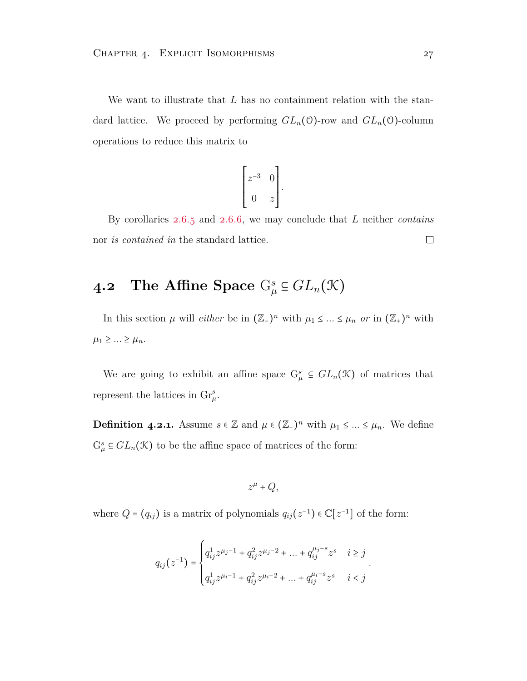<span id="page-32-2"></span>We want to illustrate that *L* has no containment relation with the standard lattice. We proceed by performing  $GL_n(\mathcal{O})$ -row and  $GL_n(\mathcal{O})$ -column operations to reduce this matrix to

$$
\begin{bmatrix} z^{-3} & 0 \\ 0 & z \end{bmatrix}.
$$

By corollaries 2.6.5 and 2.6.6, we may conclude that *L* neither *contains* nor *is contained in* the standard lattice.  $\Box$ 

# <span id="page-32-0"></span>**4.2** The Affine Space  $G^s_\mu \subseteq GL_n(\mathcal{K})$

In this section  $\mu$  will *either* be in  $(\mathbb{Z}_-)^n$  with  $\mu_1 \leq \ldots \leq \mu_n$  *or* in  $(\mathbb{Z}_+)^n$  with  $\mu_1 \geq \ldots \geq \mu_n$ .

We are going to exhibit an affine space  $G^s_\mu \subseteq GL_n(\mathcal{K})$  of matrices that represent the lattices in  $\mathrm{Gr}_{\mu}^{s}$ .

<span id="page-32-1"></span>**Definition 4.2.1.** Assume  $s \in \mathbb{Z}$  and  $\mu \in (\mathbb{Z}_-)^n$  with  $\mu_1 \leq \ldots \leq \mu_n$ . We define  $G^s_\mu \subseteq GL_n(\mathcal{K})$  to be the affine space of matrices of the form:

$$
z^{\mu}+Q,
$$

where  $Q = (q_{ij})$  is a matrix of polynomials  $q_{ij}(z^{-1}) \in \mathbb{C}[z^{-1}]$  of the form:

$$
q_{ij}(z^{-1}) = \begin{cases} q_{ij}^1 z^{\mu_j - 1} + q_{ij}^2 z^{\mu_j - 2} + \dots + q_{ij}^{\mu_j - s} z^s & i \ge j \\ q_{ij}^1 z^{\mu_i - 1} + q_{ij}^2 z^{\mu_i - 2} + \dots + q_{ij}^{\mu_i - s} z^s & i < j \end{cases}.
$$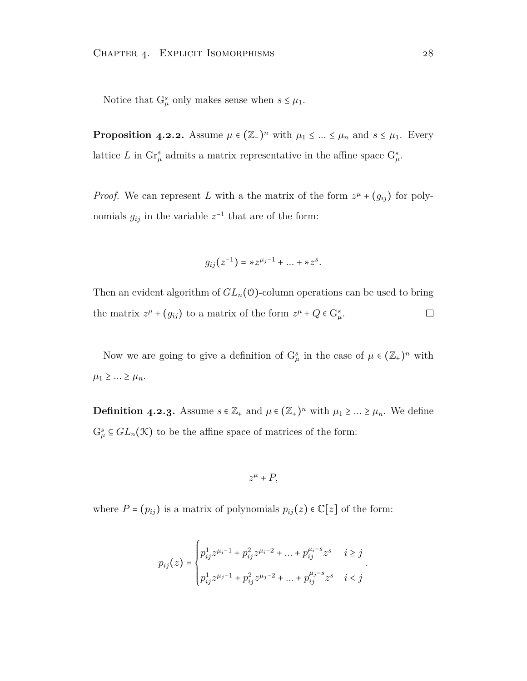<span id="page-33-1"></span>Notice that  $G^s_\mu$  only makes sense when  $s \leq \mu_1$ .

**Proposition 4.2.2.** Assume  $\mu \in (\mathbb{Z}_-)^n$  with  $\mu_1 \leq \ldots \leq \mu_n$  and  $s \leq \mu_1$ . Every lattice *L* in  $\text{Gr}_{\mu}^{s}$  admits a matrix representative in the affine space  $\text{G}_{\mu}^{s}$ .

*Proof.* We can represent *L* with a the matrix of the form  $z^{\mu} + (g_{ij})$  for polynomials  $g_{ij}$  in the variable  $z^{-1}$  that are of the form:

$$
g_{ij}(z^{-1}) = *z^{\mu_j - 1} + \ldots + *z^s.
$$

Then an evident algorithm of  $GL_n(\mathcal{O})$ -column operations can be used to bring the matrix  $z^{\mu} + (g_{ij})$  to a matrix of the form  $z^{\mu} + Q \in G_{\mu}^{s}$ .  $\Box$ 

Now we are going to give a definition of  $G^s_\mu$  in the case of  $\mu \in (\mathbb{Z}_+)^n$  with  $\mu_1$  ≥ ... ≥  $\mu_n$ .

<span id="page-33-0"></span>**Definition 4.2.3.** Assume  $s \in \mathbb{Z}_+$  and  $\mu \in (\mathbb{Z}_+)^n$  with  $\mu_1 \geq \ldots \geq \mu_n$ . We define  $G^s_\mu \subseteq GL_n(\mathcal{K})$  to be the affine space of matrices of the form:

$$
z^{\mu}+P,
$$

where  $P = (p_{ij})$  is a matrix of polynomials  $p_{ij}(z) \in \mathbb{C}[z]$  of the form:

$$
p_{ij}(z) = \begin{cases} p_{ij}^1 z^{\mu_i - 1} + p_{ij}^2 z^{\mu_i - 2} + \dots + p_{ij}^{\mu_i - s} z^s & i \ge j \\ p_{ij}^1 z^{\mu_j - 1} + p_{ij}^2 z^{\mu_j - 2} + \dots + p_{ij}^{\mu_j - s} z^s & i < j \end{cases}
$$

*.*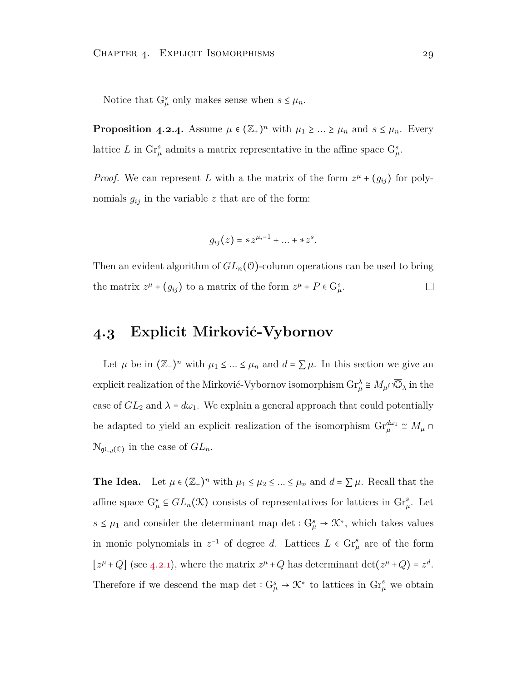Notice that  $G^s_\mu$  only makes sense when  $s \leq \mu_n$ .

**Proposition 4.2.4.** Assume  $\mu \in (\mathbb{Z}_+)^n$  with  $\mu_1 \geq \ldots \geq \mu_n$  and  $s \leq \mu_n$ . Every lattice *L* in  $\text{Gr}^s_\mu$  admits a matrix representative in the affine space  $\text{G}^s_\mu$ .

*Proof.* We can represent *L* with a the matrix of the form  $z^{\mu} + (g_{ij})$  for polynomials  $g_{ij}$  in the variable *z* that are of the form:

$$
g_{ij}(z) = *z^{\mu_i - 1} + \dots + *z^s.
$$

Then an evident algorithm of  $GL_n(\mathcal{O})$ -column operations can be used to bring the matrix  $z^{\mu} + (g_{ij})$  to a matrix of the form  $z^{\mu} + P \in G_{\mu}^{s}$ .  $\Box$ 

#### <span id="page-34-0"></span>**. Explicit Mirkovic-Vybornov** ´

Let  $\mu$  be in  $(\mathbb{Z}_-)^n$  with  $\mu_1 \leq \ldots \leq \mu_n$  and  $d = \sum \mu$ . In this section we give an explicit realization of the Mirković-Vybornov isomorphism  $Gr^{\lambda}_{\mu} \cong M_{\mu} \cap \overline{\mathbb{O}}_{\lambda}$  in the case of  $GL_2$  and  $\lambda = d\omega_1$ . We explain a general approach that could potentially be adapted to yield an explicit realization of the isomorphism  $\text{Gr}_{\mu}^{d\omega_1} \cong M_{\mu} \cap$  $\mathcal{N}_{\mathfrak{gl}_{-d}(\mathbb{C})}$  in the case of  $GL_n$ .

<span id="page-34-1"></span>**The Idea.** Let  $\mu \in (\mathbb{Z}_-)^n$  with  $\mu_1 \leq \mu_2 \leq \ldots \leq \mu_n$  and  $d = \sum \mu$ . Recall that the affine space  $G^s_\mu \subseteq GL_n(\mathcal{K})$  consists of representatives for lattices in  $Gr^s_\mu$ . Let *s* ≤  $\mu_1$  and consider the determinant map det :  $G^s_\mu$  →  $\mathcal{K}^*$ , which takes values in monic polynomials in  $z^{-1}$  of degree *d*. Lattices  $L \in \text{Gr}_{\mu}^{s}$  are of the form  $[z^{\mu} + Q]$  (see 4.2.1), where the matrix  $z^{\mu} + Q$  has determinant det $(z^{\mu} + Q) = z^{d}$ . Therefore if we descend the map  $\det: \mathbf{G}_{\mu}^{s}\to \mathcal{K}^{*}$  to lattices in  $\mathbf{Gr}_{\mu}^{s}$  we obtain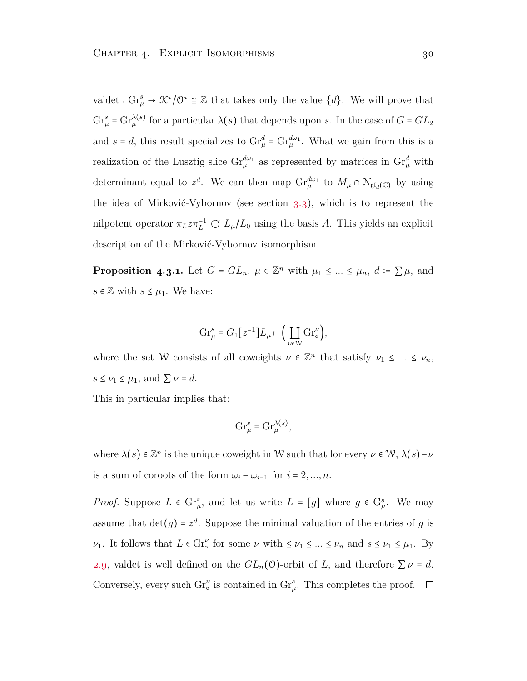valdet  $: Gr^s_\mu \to \mathcal{K}^*/\mathcal{O}^* \cong \mathbb{Z}$  that takes only the value  $\{d\}$ . We will prove that  $\text{Gr}_{\mu}^{s} = \text{Gr}_{\mu}^{\lambda(s)}$  for a particular  $\lambda(s)$  that depends upon *s*. In the case of  $G = GL_2$ and  $s = d$ , this result specializes to  $\text{Gr}_{\mu}^{d} = \text{Gr}_{\mu}^{d\omega_1}$ . What we gain from this is a realization of the Lusztig slice  $\mathrm{Gr}_{\mu}^{d\omega_1}$  as represented by matrices in  $\mathrm{Gr}_{\mu}^{d}$  with determinant equal to  $z^d$ . We can then map  $\text{Gr}_{\mu}^{d\omega_1}$  to  $M_{\mu} \cap \mathcal{N}_{\mathfrak{gl}_d(\mathbb{C})}$  by using the idea of Mirković-Vybornov (see section  $3.3$  $3.3$  $3.3$ ), which is to represent the nilpotent operator  $\pi_L z \pi_L^{-1} \text{ C} L_\mu/L_0$  using the basis *A*. This yields an explicit description of the Mirković-Vybornov isomorphism.

<span id="page-35-0"></span>**Proposition 4.3.1.** Let  $G = GL_n$ ,  $\mu \in \mathbb{Z}^n$  with  $\mu_1 \leq \ldots \leq \mu_n$ ,  $d := \sum \mu$ , and *s* ∈  $\mathbb{Z}$  with *s* ≤  $\mu_1$ . We have:

$$
\mathrm{Gr}_{\mu}^{s}=G_{1}[z^{-1}]L_{\mu}\cap\big(\coprod_{\nu\in\mathcal{W}}\mathrm{Gr}_{\circ}^{\nu}\big),
$$

where the set W consists of all coweights  $\nu \in \mathbb{Z}^n$  that satisfy  $\nu_1 \leq \ldots \leq \nu_n$ ,  $s \leq \nu_1 \leq \mu_1$ , and  $\sum \nu = d$ .

This in particular implies that:

$$
\operatorname{Gr}_{\mu}^{s}=\operatorname{Gr}_{\mu}^{\lambda(s)},
$$

where  $\lambda(s) \in \mathbb{Z}^n$  is the unique coweight in W such that for every  $\nu \in \mathcal{W}, \lambda(s) - \nu$ is a sum of coroots of the form  $\omega_i - \omega_{i-1}$  for  $i = 2, ..., n$ .

*Proof.* Suppose  $L \in \text{Gr}^s_\mu$ , and let us write  $L = [g]$  where  $g \in \text{G}^s_\mu$ . We may assume that  $\det(g) = z^d$ . Suppose the minimal valuation of the entries of *g* is *ν*<sub>1</sub>. It follows that  $L \in \text{Gr}_{\circ}^{\nu}$  for some *ν* with  $\leq \nu_1 \leq \dots \leq \nu_n$  and  $s \leq \nu_1 \leq \mu_1$ . By 2[.](#page-22-0)9, valdet is well defined on the  $GL_n(\mathcal{O})$ -orbit of *L*, and therefore  $\sum \nu = d$ . Conversely, every such  $\text{Gr}_{\circ}^{\nu}$  is contained in  $\text{Gr}_{\mu}^{s}$ . This completes the proof.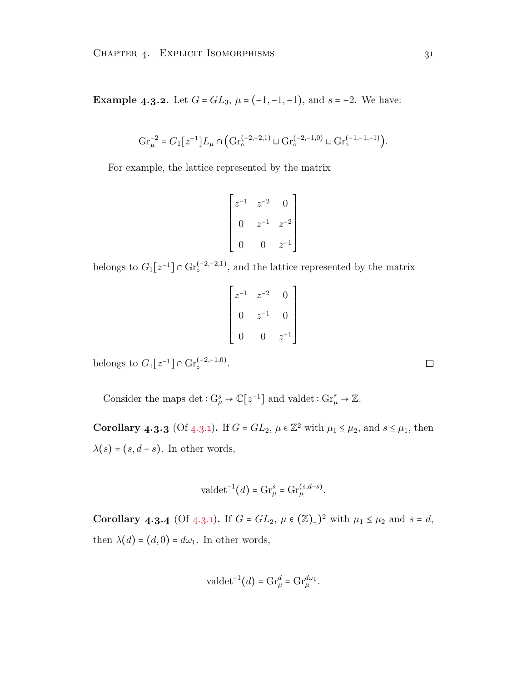**Example 4.3.2.** Let  $G = GL_3$ ,  $\mu = (-1, -1, -1)$ , and  $s = -2$ . We have:

$$
\operatorname{Gr}_{\mu}^{-2}=G_1[z^{-1}]L_{\mu}\cap\bigl(\operatorname{Gr}_{\circ}^{(-2,-2,1)}\sqcup\operatorname{Gr}_{\circ}^{(-2,-1,0)}\sqcup\operatorname{Gr}_{\circ}^{(-1,-1,-1)}\bigr).
$$

For example, the lattice represented by the matrix

$$
\begin{bmatrix} z^{-1} & z^{-2} & 0 \ 0 & z^{-1} & z^{-2} \ 0 & 0 & z^{-1} \end{bmatrix}
$$

belongs to  $G_1[z^{-1}] \cap \text{Gr}_{\circ}^{(-2,-2,1)}$ , and the lattice represented by the matrix

$$
\begin{bmatrix} z^{-1} & z^{-2} & 0 \\ 0 & z^{-1} & 0 \\ 0 & 0 & z^{-1} \end{bmatrix}
$$

belongs to  $G_1[z^{-1}] \cap \text{Gr}_{\circ}^{(-2,-1,0)}$ .

Consider the maps det  $: G^s_\mu \to \mathbb{C}[z^{-1}]$  and valdet  $: Gr^s_\mu \to \mathbb{Z}$ .

**Corollary 4.3.3** (Of 4.3.1). If  $G = GL_2$ ,  $\mu \in \mathbb{Z}^2$  with  $\mu_1 \leq \mu_2$ , and  $s \leq \mu_1$ , then  $\lambda(s) = (s, d - s)$ . In other words,

$$
\mathrm{valdet}^{-1}(d) = \mathrm{Gr}_{\mu}^{s} = \mathrm{Gr}_{\mu}^{(s,d-s)}.
$$

**Corollary 4.3.4** (Of 4.3.1). If  $G = GL_2$ ,  $\mu \in (\mathbb{Z})_2$  with  $\mu_1 \le \mu_2$  and  $s = d$ , then  $\lambda(d) = (d, 0) = d\omega_1$ . In other words,

$$
\mathrm{valdet}^{-1}\big(d\big)=\mathrm{Gr}^d_\mu=\mathrm{Gr}^{d\omega_1}_\mu.
$$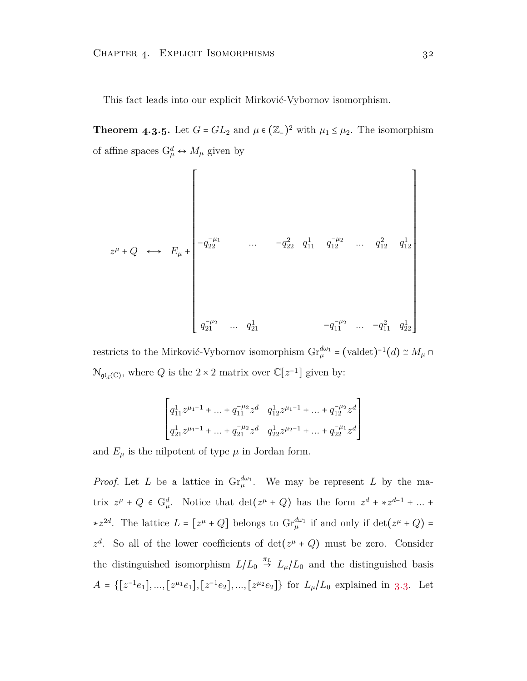This fact leads into our explicit Mirković-Vybornov isomorphism.

<span id="page-37-0"></span>**Theorem 4.3.5.** Let  $G = GL_2$  and  $\mu \in (\mathbb{Z}_-)^2$  with  $\mu_1 \leq \mu_2$ . The isomorphism of affine spaces  $G^d_\mu \leftrightarrow M_\mu$  given by

*z <sup>µ</sup>* <sup>+</sup> *<sup>Q</sup>* ←→ *<sup>E</sup><sup>µ</sup>* <sup>+</sup> ⎡ ⎢ ⎢ ⎢ ⎢ ⎢ ⎢ ⎢ ⎢ ⎢ ⎢ ⎢ ⎢ ⎢ ⎢ ⎢ ⎢ ⎢ ⎢ ⎢ ⎢ ⎢ ⎢ ⎢ ⎢ ⎢ ⎢ ⎢ ⎢ ⎢ ⎣ −*q* −*µ*<sup>1</sup> <sup>22</sup> *...* −*q* 2 <sup>22</sup> *q* 1 <sup>11</sup> *q* −*µ*<sup>2</sup> <sup>12</sup> *... q*<sup>2</sup> <sup>12</sup> *q* 1 12 *q* −*µ*<sup>2</sup> <sup>21</sup> *... q*<sup>1</sup> <sup>21</sup> −*q* −*µ*<sup>2</sup> <sup>11</sup> *...* −*q* 2 <sup>11</sup> *q* 1 22 ⎤ ⎥ ⎥ ⎥ ⎥ ⎥ ⎥ ⎥ ⎥ ⎥ ⎥ ⎥ ⎥ ⎥ ⎥ ⎥ ⎥ ⎥ ⎥ ⎥ ⎥ ⎥ ⎥ ⎥ ⎥ ⎥ ⎥ ⎥ ⎥ ⎥ ⎦

restricts to the Mirković-Vybornov isomorphism  $\text{Gr}_{\mu}^{d\omega_1} = (\text{valdet})^{-1}(d) \cong M_{\mu} \cap$  $\mathcal{N}_{\mathfrak{gl}_d(\mathbb{C})}$ , where *Q* is the 2 × 2 matrix over  $\mathbb{C}[z^{-1}]$  given by:

$$
\begin{bmatrix} q_{11}^1 z^{\mu_1 - 1} + \dots + q_{11}^{-\mu_2} z^d & q_{12}^1 z^{\mu_1 - 1} + \dots + q_{12}^{-\mu_2} z^d \\ q_{21}^1 z^{\mu_1 - 1} + \dots + q_{21}^{-\mu_2} z^d & q_{22}^1 z^{\mu_2 - 1} + \dots + q_{22}^{-\mu_1} z^d \end{bmatrix}
$$

and  $E_{\mu}$  is the nilpotent of type  $\mu$  in Jordan form.

*Proof.* Let *L* be a lattice in  $\text{Gr}_{\mu}^{d\omega_1}$ . We may be represent *L* by the matrix  $z^{\mu} + Q \in G_{\mu}^{d}$ . Notice that  $\det(z^{\mu} + Q)$  has the form  $z^{d} + *z^{d-1} + ...$ *∗z*<sup>2*d*</sup>. The lattice *L* =  $[z^{\mu} + Q]$  belongs to Gr<sup>*dω*1</sup></sub> if and only if det(*z*<sup>*μ*</sup> + *Q*) =  $z^d$ . So all of the lower coefficients of  $\det(z^{\mu} + Q)$  must be zero. Consider the distinguished isomorphism  $L/L_0 \stackrel{\pi_L}{\rightarrow} L_\mu/L_0$  and the distinguished basis *A* = { $[z^{-1}e_1]$ , [..](#page-26-1)., $[z^{\mu_1}e_1]$ ,  $[z^{-1}e_2]$ , ...,  $[z^{\mu_2}e_2]$ } for  $L_{\mu}/L_0$  explained in 3.3. Let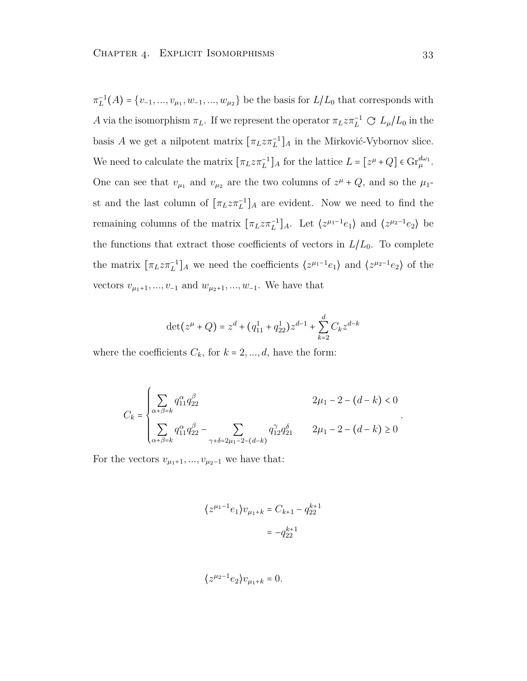$\pi_L^{-1}(A) = \{v_{-1}, ..., v_{\mu_1}, w_{-1}, ..., w_{\mu_2}\}\$ be the basis for  $L/L_0$  that corresponds with *A* via the isomorphism  $\pi_L$ . If we represent the operator  $\pi_L z \pi_L^{-1} \text{C}$   $L_\mu/L_0$  in the basis *A* we get a nilpotent matrix  $[\pi_L z \pi_L^{-1}]_A$  in the Mirković-Vybornov slice. We need to calculate the matrix  $[\pi_L z \pi_L^{-1}]_A$  for the lattice  $L = [z^{\mu} + Q] \in \text{Gr}_{\mu}^{d \omega_1}$ . One can see that  $v_{\mu_1}$  and  $v_{\mu_2}$  are the two columns of  $z^{\mu} + Q$ , and so the  $\mu_1$ st and the last column of  $[\pi_L z \pi_L^{-1}]_A$  are evident. Now we need to find the remaining columns of the matrix  $[\pi_L z \pi_L^{-1}]_A$ . Let  $\langle z^{\mu_1-1}e_1 \rangle$  and  $\langle z^{\mu_2-1}e_2 \rangle$  be the functions that extract those coefficients of vectors in  $L/L_0$ . To complete the matrix  $[\pi_L z \pi_L^{-1}]_A$  we need the coefficients  $\langle z^{\mu_1-1}e_1 \rangle$  and  $\langle z^{\mu_2-1}e_2 \rangle$  of the vectors  $v_{\mu_1+1}, ..., v_{-1}$  and  $w_{\mu_2+1}, ..., w_{-1}$ . We have that

$$
\det(z^{\mu} + Q) = z^d + (q_{11}^1 + q_{22}^1)z^{d-1} + \sum_{k=2}^d C_k z^{d-k}
$$

where the coefficients  $C_k$ , for  $k = 2, ..., d$ , have the form:

$$
C_{k} = \begin{cases} \sum_{\alpha + \beta = k} q_{11}^{\alpha} q_{22}^{\beta} & 2\mu_{1} - 2 - (d - k) < 0\\ \sum_{\alpha + \beta = k} q_{11}^{\alpha} q_{22}^{\beta} - \sum_{\gamma + \delta = 2\mu_{1} - 2 - (d - k)} q_{12}^{\gamma} q_{21}^{\delta} & 2\mu_{1} - 2 - (d - k) \ge 0 \end{cases}.
$$

For the vectors  $v_{\mu_1+1}, ..., v_{\mu_2-1}$  we have that:

$$
\langle z^{\mu_1 - 1} e_1 \rangle v_{\mu_1 + k} = C_{k+1} - q_{22}^{k+1}
$$

$$
= -q_{22}^{k+1}
$$

$$
\langle z^{\mu_2-1}e_2 \rangle v_{\mu_1+k} = 0.
$$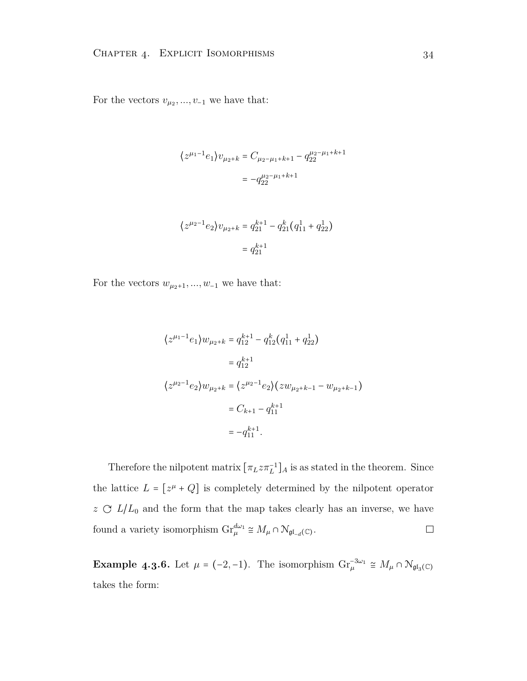For the vectors  $v_{\mu_2},..., v_{-1}$  we have that:

$$
\langle z^{\mu_1-1}e_1 \rangle v_{\mu_2+k} = C_{\mu_2-\mu_1+k+1} - q_{22}^{\mu_2-\mu_1+k+1}
$$

$$
= -q_{22}^{\mu_2-\mu_1+k+1}
$$

$$
\langle z^{\mu_2 - 1} e_2 \rangle v_{\mu_2 + k} = q_{21}^{k+1} - q_{21}^k (q_{11}^1 + q_{22}^1)
$$

$$
= q_{21}^{k+1}
$$

For the vectors  $w_{\mu_2+1}, ..., w_{-1}$  we have that:

$$
\langle z^{\mu_1-1}e_1 \rangle w_{\mu_2+k} = q_{12}^{k+1} - q_{12}^k (q_{11}^1 + q_{22}^1)
$$
  

$$
= q_{12}^{k+1}
$$
  

$$
\langle z^{\mu_2-1}e_2 \rangle w_{\mu_2+k} = \langle z^{\mu_2-1}e_2 \rangle (zw_{\mu_2+k-1} - w_{\mu_2+k-1})
$$
  

$$
= C_{k+1} - q_{11}^{k+1}
$$
  

$$
= -q_{11}^{k+1}.
$$

Therefore the nilpotent matrix  $[\pi_L z \pi_L^{-1}]_A$  is as stated in the theorem. Since the lattice  $L = [z^{\mu} + Q]$  is completely determined by the nilpotent operator  $z \text{ }\mathcal{C}$  *L*/*L*<sub>0</sub> and the form that the map takes clearly has an inverse, we have found a variety isomorphism  $\mathrm{Gr}_{\mu}^{d\omega_1} \cong M_{\mu} \cap \mathcal{N}_{\mathfrak{gl}_{-d}(\mathbb{C})}$ .  $\Box$ 

<span id="page-39-0"></span>**Example 4.3.6.** Let  $\mu = (-2, -1)$ . The isomorphism  $\text{Gr}_{\mu}^{-3\omega_1} \cong M_{\mu} \cap \mathcal{N}_{\mathfrak{gl}_3(\mathbb{C})}$ takes the form: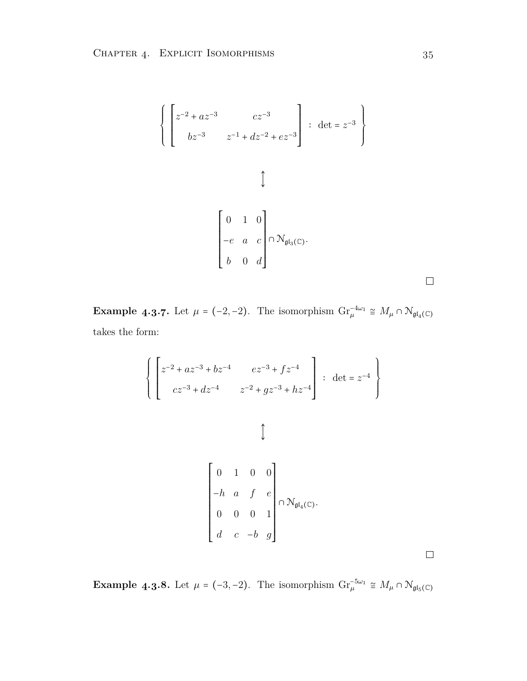$$
\left\{ \begin{bmatrix} z^{-2} + az^{-3} & cz^{-3} \\ bz^{-3} & z^{-1} + dz^{-2} + ez^{-3} \end{bmatrix} : \det = z^{-3} \right\}
$$
  

$$
\updownarrow
$$
  

$$
\downarrow
$$
  

$$
\left[ \begin{array}{ccc} 0 & 1 & 0 \\ -e & a & c \\ b & 0 & d \end{array} \right] \cap N_{\mathfrak{gl}_3(\mathbb{C})}.
$$

**Example 4.3.7.** Let  $\mu = (-2, -2)$ . The isomorphism  $\text{Gr}_{\mu}^{-4\omega_1} \cong M_{\mu} \cap \mathcal{N}_{\mathfrak{gl}_4(\mathbb{C})}$ takes the form:

$$
\left\{\begin{bmatrix} z^{-2} + az^{-3} + bz^{-4} & ez^{-3} + fz^{-4} \\ cz^{-3} + dz^{-4} & z^{-2} + gz^{-3} + hz^{-4} \end{bmatrix} : \det = z^{-4} \right\}
$$
  

$$
\updownarrow
$$
  

$$
\downarrow
$$
  

$$
\left[\begin{array}{cccc} 0 & 1 & 0 & 0 \\ -h & a & f & e \\ 0 & 0 & 0 & 1 \\ d & c & -b & g \end{array}\right] \cap N_{\mathfrak{gl}_4(\mathbb{C})}.
$$

**Example 4.3.8.** Let  $\mu = (-3, -2)$ . The isomorphism  $\text{Gr}_{\mu}^{-5\omega_1} \cong M_{\mu} \cap \mathcal{N}_{\mathfrak{gl}_5(\mathbb{C})}$ 

 $\Box$ 

 $\Box$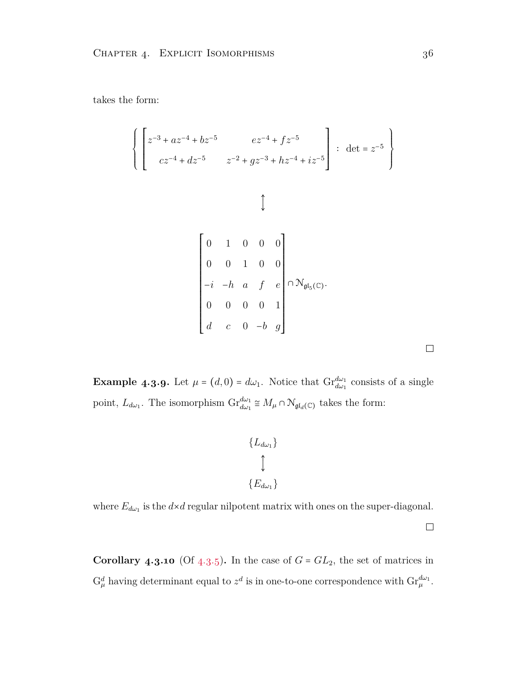takes the form:

$$
\begin{cases}\n\begin{bmatrix}\nz^{-3} + az^{-4} + bz^{-5} & ez^{-4} + fz^{-5} \\
cz^{-4} + dz^{-5} & z^{-2} + gz^{-3} + hz^{-4} + iz^{-5}\n\end{bmatrix} : \det = z^{-5}\n\end{cases}
$$
\n
$$
\uparrow
$$
\n
$$
\uparrow
$$
\n
$$
\downarrow
$$
\n
$$
\uparrow
$$
\n
$$
\downarrow
$$
\n
$$
\downarrow
$$
\n
$$
\downarrow
$$
\n
$$
\downarrow
$$
\n
$$
\downarrow
$$
\n
$$
\downarrow
$$
\n
$$
\downarrow
$$
\n
$$
\downarrow
$$
\n
$$
\downarrow
$$
\n
$$
\downarrow
$$
\n
$$
\downarrow
$$
\n
$$
\downarrow
$$
\n
$$
\downarrow
$$
\n
$$
\downarrow
$$
\n
$$
\downarrow
$$
\n
$$
\downarrow
$$
\n
$$
\downarrow
$$
\n
$$
\downarrow
$$
\n
$$
\downarrow
$$
\n
$$
\downarrow
$$
\n
$$
\downarrow
$$
\n
$$
\downarrow
$$
\n
$$
\downarrow
$$
\n
$$
\downarrow
$$
\n
$$
\downarrow
$$
\n
$$
\downarrow
$$
\n
$$
\downarrow
$$
\n
$$
\downarrow
$$
\n
$$
\downarrow
$$
\n
$$
\downarrow
$$
\n
$$
\downarrow
$$
\n
$$
\downarrow
$$
\n
$$
\downarrow
$$
\n
$$
\downarrow
$$
\n
$$
\downarrow
$$
\n
$$
\downarrow
$$
\n
$$
\downarrow
$$
\n
$$
\downarrow
$$
\n
$$
\downarrow
$$
\n
$$
\downarrow
$$
\n
$$
\downarrow
$$
\n
$$
\downarrow
$$
\n
$$
\downarrow
$$
\n
$$
\downarrow
$$
\n
$$
\downarrow
$$
\n
$$
\downarrow
$$
\n
$$
\downarrow
$$
\n
$$
\downarrow
$$
\n
$$
\downarrow
$$
\n
$$
\downarrow
$$
\n
$$
\downarrow
$$
\n
$$
\downarrow
$$

**Example 4.3.9.** Let  $\mu = (d, 0) = d\omega_1$ . Notice that  $\text{Gr}_{d\omega_1}^{d\omega_1}$  consists of a single point,  $L_{d\omega_1}$ . The isomorphism  $\text{Gr}_{d\omega_1}^{d\omega_1} \cong M_\mu \cap \mathcal{N}_{\mathfrak{gl}_d(\mathbb{C})}$  takes the form:

$$
\{L_{d\omega_1}\}\
$$

$$
\downarrow
$$

$$
\{E_{d\omega_1}\}\
$$

where  $E_{d\omega_1}$  is the  $d \times d$  regular nilpotent matrix with ones on the super-diagonal.

 $\Box$ 

**Corollary 4.3.10** (Of 4.3.5). In the case of  $G = GL_2$ , the set of matrices in  $G^d_\mu$  having determinant equal to  $z^d$  is in one-to-one correspondence with  $Gr^{d\omega_1}_\mu$ .

 $\Box$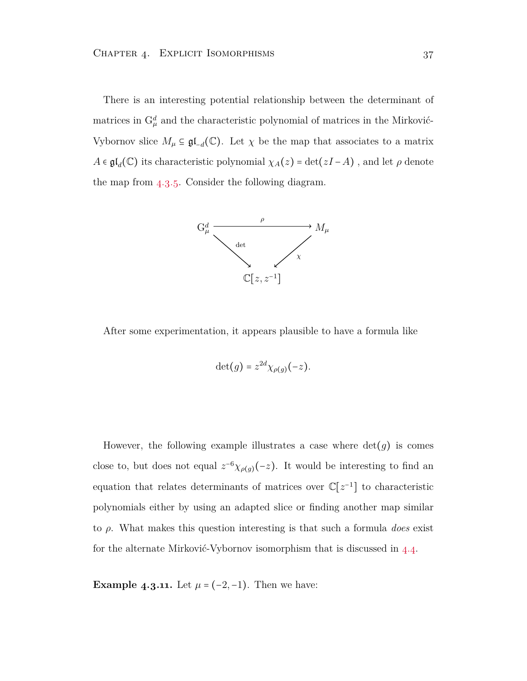<span id="page-42-0"></span>There is an interesting potential relationship between the determinant of matrices in  $G^d_\mu$  and the characteristic polynomial of matrices in the Mirković-Vybornov slice  $M_\mu \subseteq \mathfrak{gl}_{-d}(\mathbb{C})$ . Let  $\chi$  be the map that associates to a matrix  $A \in \mathfrak{gl}_d(\mathbb{C})$  its characteristic polynomial  $\chi_A(z) = \det(zI - A)$ , and let  $\rho$  denote the map from  $4.3.5$ . Consider the following diagram.



After some experimentation, it appears plausible to have a formula like

$$
\det(g) = z^{2d} \chi_{\rho(g)}(-z).
$$

However, the following example illustrates a case where  $\det(g)$  is comes close to, but does not equal  $z^{-6}\chi_{\rho(g)}(-z)$ . It would be interesting to find an equation that relates determinants of matrices over  $\mathbb{C}[z^{-1}]$  to characteristic polynomials either by using an adapted slice or finding another map similar to *ρ*. What makes this question interesting is that such a formula *does* exist for the alternate Mirković-Vybornov isomorphism that is discussed in  $4.4$ .

**Example 4.3.11.** Let  $\mu = (-2, -1)$ . Then we have: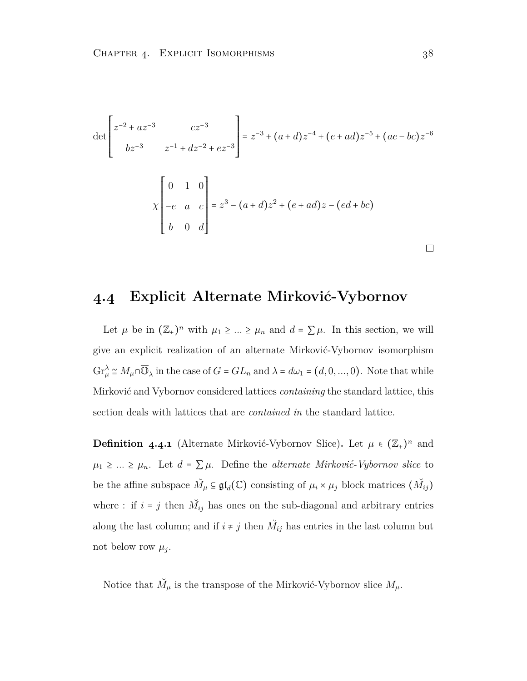<span id="page-43-2"></span>
$$
\det \begin{bmatrix} z^{-2} + az^{-3} & cz^{-3} \\ bz^{-3} & z^{-1} + dz^{-2} + ez^{-3} \end{bmatrix} = z^{-3} + (a+d)z^{-4} + (e+ad)z^{-5} + (ae-bc)z^{-6}
$$
  

$$
\chi \begin{bmatrix} 0 & 1 & 0 \\ -e & a & c \\ b & 0 & d \end{bmatrix} = z^3 - (a+d)z^2 + (e+ad)z - (ed+bc)
$$

#### <span id="page-43-0"></span>**. Explicit Alternate Mirkovic-Vybornov** ´

Let  $\mu$  be in  $(\mathbb{Z}_+)^n$  with  $\mu_1 \geq \ldots \geq \mu_n$  and  $d = \sum \mu$ . In this section, we will give an explicit realization of an alternate Mirković-Vybornov isomorphism  $\text{Gr}_{\mu}^{\lambda} \cong M_{\mu} \cap \overline{\mathbb{O}}_{\lambda}$  in the case of  $G = GL_n$  and  $\lambda = d\omega_1 = (d, 0, ..., 0)$ . Note that while Mirković and Vybornov considered lattices *containing* the standard lattice, this section deals with lattices that are *contained in* the standard lattice.

<span id="page-43-1"></span>**Definition 4.4.1** (Alternate Mirković-Vybornov Slice). Let  $\mu \in (\mathbb{Z}_+)^n$  and  $\mu_1$  ≥ ... ≥  $\mu_n$ . Let  $d = \sum \mu$ . Define the *alternate Mirković-Vybornov slice* to be the affine subspace  $\check{M}_{\mu} \subseteq \mathfrak{gl}_d(\mathbb{C})$  consisting of  $\mu_i \times \mu_j$  block matrices  $(\check{M}_{ij})$ where : if  $i = j$  then  $\tilde{M}_{ij}$  has ones on the sub-diagonal and arbitrary entries along the last column; and if  $i \neq j$  then  $\breve{M}_{ij}$  has entries in the last column but not below row  $\mu_j$ .

Notice that  $\check{M}_{\mu}$  is the transpose of the Mirković-Vybornov slice  $M_{\mu}$ .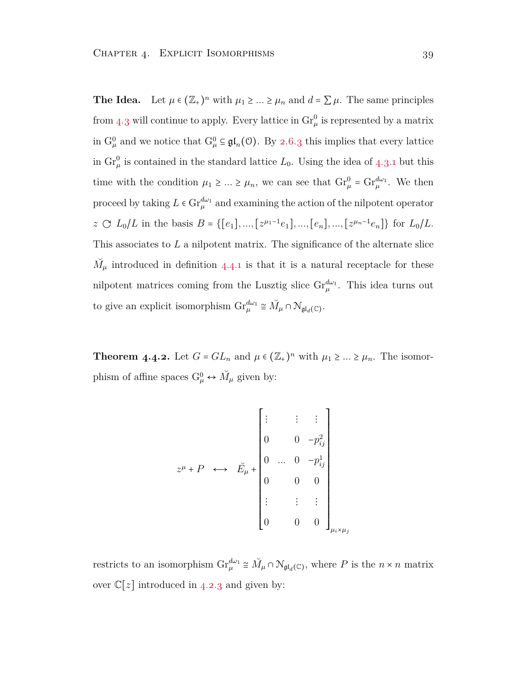**The Idea.** Let  $\mu \in (\mathbb{Z}_+)^n$  with  $\mu_1 \geq \ldots \geq \mu_n$  and  $d = \sum \mu$ . The same principles from 4[.](#page-34-1)3 will continue to apply. Every lattice in  $\text{Gr}_{\mu}^{0}$  is represented by a matrix in  $G^0_\mu$  and we notice that  $G^0_\mu \subseteq \mathfrak{gl}_n(\mathcal{O})$ . By 2.6.3 this implies that every lattice in  $\mathrm{Gr}^0_\mu$  is contained in the standard lattice  $L_0$ . Using the idea of 4.3.1 but this time with the condition  $\mu_1 \geq \ldots \geq \mu_n$ , we can see that  $\text{Gr}_{\mu}^0 = \text{Gr}_{\mu}^{d\omega_1}$ . We then proceed by taking  $L \in \mathrm{Gr}_{\mu}^{d\omega_1}$  and examining the action of the nilpotent operator  $z \in \mathbb{C}$  *L*<sub>0</sub>/*L* in the basis  $B = \{[e_1], ..., [z^{\mu_1-1}e_1], ..., [e_n], ..., [z^{\mu_n-1}e_n]\}$  for  $L_0/L$ . This associates to *L* a nilpotent matrix. The significance of the alternate slice  $\check{M}_{\mu}$  introduced in definition 4.4.1 is that it is a natural receptacle for these nilpotent matrices coming from the Lusztig slice  $\text{Gr}_{\mu}^{d\omega_1}$ . This idea turns out to give an explicit isomorphism  $\mathrm{Gr}_{\mu}^{d\omega_1} \cong \check{M}_{\mu} \cap \mathcal{N}_{\mathfrak{gl}_d(\mathbb{C})}$ .

<span id="page-44-0"></span>**Theorem 4.4.2.** Let  $G = GL_n$  and  $\mu \in (\mathbb{Z}_+)^n$  with  $\mu_1 \geq \ldots \geq \mu_n$ . The isomorphism of affine spaces  $G^0_\mu \leftrightarrow \check{M}_\mu$  given by:

$$
z^{\mu} + P \leftrightarrow \tilde{E}_{\mu} + \begin{bmatrix} \vdots & \vdots & \vdots \\ 0 & 0 & -p_{ij}^{2} \\ 0 & \cdots & 0 & -p_{ij}^{1} \\ 0 & 0 & 0 \\ \vdots & \vdots & \vdots \\ 0 & 0 & 0 \end{bmatrix}_{\mu_{i} \times \mu_{j}}
$$

restricts to an isomorphism  $\text{Gr}_{\mu}^{d\omega_1} \cong \check{M}_{\mu} \cap \mathcal{N}_{\mathfrak{gl}_d(\mathbb{C})}$ , where P is the  $n \times n$  matrix over  $\mathbb{C}[z]$  introduced in 4.2.3 and given by: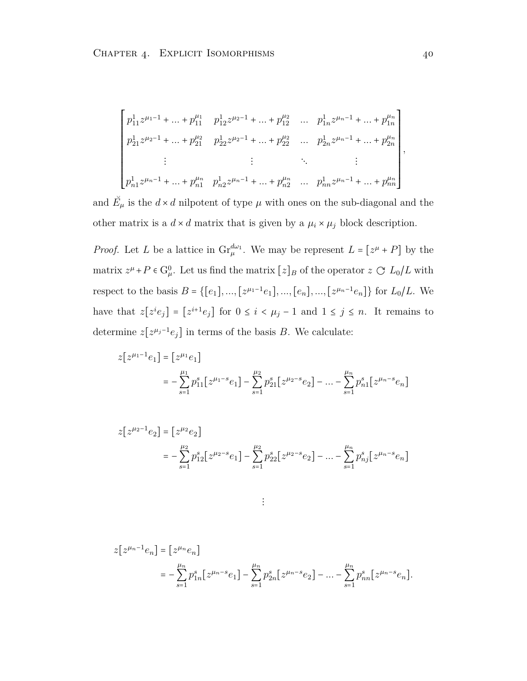$$
\begin{bmatrix} p_{11}^1 z^{\mu_1 - 1} + \dots + p_{11}^{\mu_1} & p_{12}^1 z^{\mu_2 - 1} + \dots + p_{12}^{\mu_2} & \dots & p_{1n}^1 z^{\mu_n - 1} + \dots + p_{1n}^{\mu_n} \\ p_{21}^1 z^{\mu_2 - 1} + \dots + p_{21}^{\mu_2} & p_{22}^1 z^{\mu_2 - 1} + \dots + p_{22}^{\mu_2} & \dots & p_{2n}^1 z^{\mu_n - 1} + \dots + p_{2n}^{\mu_n} \\ \vdots & \vdots & \ddots & \vdots \\ p_{n1}^1 z^{\mu_n - 1} + \dots + p_{n1}^{\mu_n} & p_{n2}^1 z^{\mu_n - 1} + \dots + p_{n2}^{\mu_n} & \dots & p_{nn}^1 z^{\mu_n - 1} + \dots + p_{nn}^{\mu_n} \end{bmatrix},
$$

and  $\check{E}_{\mu}$  is the  $d \times d$  nilpotent of type  $\mu$  with ones on the sub-diagonal and the other matrix is a  $d \times d$  matrix that is given by a  $\mu_i \times \mu_j$  block description.

*Proof.* Let *L* be a lattice in  $\text{Gr}_{\mu}^{d\omega_1}$ . We may be represent  $L = [z^{\mu} + P]$  by the matrix  $z^{\mu} + P \in G_{\mu}^{0}$ . Let us find the matrix  $[z]_B$  of the operator  $z \text{ }\mathcal{O}(L)$  with respect to the basis  $B = \{[e_1], ..., [z^{\mu_1-1}e_1], ..., [e_n], ..., [z^{\mu_n-1}e_n]\}$  for  $L_0/L$ . We have that  $z[z^i e_j] = [z^{i+1} e_j]$  for  $0 \le i \le \mu_j - 1$  and  $1 \le j \le n$ . It remains to determine  $z[z^{\mu_j-1}e_j]$  in terms of the basis *B*. We calculate:

$$
z[z^{\mu_1-1}e_1] = [z^{\mu_1}e_1]
$$
  
=  $-\sum_{s=1}^{\mu_1} p_{11}^s [z^{\mu_1-s}e_1] - \sum_{s=1}^{\mu_2} p_{21}^s [z^{\mu_2-s}e_2] - ... - \sum_{s=1}^{\mu_n} p_{n1}^s [z^{\mu_n-s}e_n]$ 

$$
\begin{split} z\big[z^{\mu_2-1}e_2\big] & = \big[z^{\mu_2}e_2\big] \\ & = -\sum_{s=1}^{\mu_2}p_{12}^s\big[z^{\mu_2-s}e_1\big] - \sum_{s=1}^{\mu_2}p_{22}^s\big[z^{\mu_2-s}e_2\big] - \ldots - \sum_{s=1}^{\mu_n}p_{nj}^s\big[z^{\mu_n-s}e_n\big] \end{split}
$$

 $\vdots$ 

$$
z[z^{\mu_n-1}e_n] = [z^{\mu_n}e_n]
$$
  
=  $-\sum_{s=1}^{\mu_n} p_{1n}^s [z^{\mu_n-s}e_1] - \sum_{s=1}^{\mu_n} p_{2n}^s [z^{\mu_n-s}e_2] - \dots - \sum_{s=1}^{\mu_n} p_{nn}^s [z^{\mu_n-s}e_n].$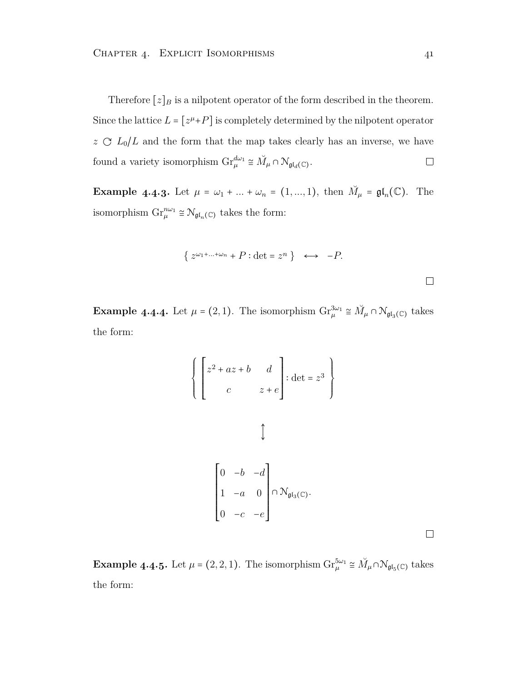Therefore  $[z]_B$  is a nilpotent operator of the form described in the theorem. Since the lattice  $L = [z^{\mu} + P]$  is completely determined by the nilpotent operator  $z \text{ }\mathcal{C}$   $L_0/L$  and the form that the map takes clearly has an inverse, we have found a variety isomorphism  $\text{Gr}_{\mu}^{d\omega_1} \cong \breve{M}_{\mu} \cap \mathcal{N}_{\mathfrak{gl}_d(\mathbb{C})}.$  $\Box$ 

**Example 4.4.3.** Let  $\mu = \omega_1 + ... + \omega_n = (1, ..., 1)$ , then  $\breve{M}_\mu = \mathfrak{gl}_n(\mathbb{C})$ . The isomorphism  $\text{Gr}_{\mu}^{n\omega_1} \cong \mathcal{N}_{\mathfrak{gl}_n(\mathbb{C})}$  takes the form:

$$
\{ z^{\omega_1 + \dots + \omega_n} + P : \det = z^n \} \longleftrightarrow -P.
$$

**Example 4.4.4.** Let  $\mu = (2, 1)$ . The isomorphism  $\text{Gr}_{\mu}^{3\omega_1} \cong \tilde{M}_{\mu} \cap \mathcal{N}_{\mathfrak{gl}_3(\mathbb{C})}$  takes the form:

$$
\left\{ \begin{bmatrix} z^2 + az + b & d \\ c & z + e \end{bmatrix} : \det = z^3 \right\}
$$
  

$$
\updownarrow
$$
  

$$
\updownarrow
$$
  

$$
\updownarrow
$$
  

$$
\updownarrow
$$
  

$$
\updownarrow
$$
  

$$
\updownarrow
$$
  

$$
\updownarrow
$$
  

$$
\updownarrow
$$
  

$$
\updownarrow
$$
  

$$
\updownarrow
$$
  

$$
\updownarrow
$$
  

$$
\updownarrow
$$
  

$$
\updownarrow
$$
  

$$
\updownarrow
$$
  

$$
\updownarrow
$$
  

$$
\updownarrow
$$
  

$$
\updownarrow
$$
  

$$
\updownarrow
$$
  

$$
\updownarrow
$$
  

$$
\updownarrow
$$
  

$$
\updownarrow
$$
  

$$
\updownarrow
$$
  

$$
\updownarrow
$$
  

$$
\updownarrow
$$
  

$$
\downarrow
$$
  

$$
\downarrow
$$
  

$$
\downarrow
$$
  

$$
\downarrow
$$
  

$$
\downarrow
$$
  

$$
\downarrow
$$
  

$$
\downarrow
$$
  

$$
\downarrow
$$
  

$$
\downarrow
$$
  

$$
\downarrow
$$
  

$$
\downarrow
$$
  

$$
\downarrow
$$
  

$$
\downarrow
$$
  

$$
\downarrow
$$
  

$$
\downarrow
$$
  

$$
\downarrow
$$
  

$$
\downarrow
$$
  

$$
\downarrow
$$
  

$$
\downarrow
$$
  

$$
\downarrow
$$
  

$$
\downarrow
$$
  

$$
\downarrow
$$
  

$$
\downarrow
$$
  

$$
\downarrow
$$
  

$$
\downarrow
$$
  

$$
\downarrow
$$
  

$$
\downarrow
$$
  

$$
\downarrow
$$
  

$$
\downarrow
$$
  

$$
\downarrow
$$
  

$$
\downarrow
$$
  

$$
\downarrow
$$
  

$$
\downarrow
$$
  

$$
\down
$$

**Example 4.4.5.** Let  $\mu = (2, 2, 1)$ . The isomorphism  $\text{Gr}_{\mu}^{5\omega_1} \cong \check{M}_{\mu} \cap \mathcal{N}_{\mathfrak{gl}_5(\mathbb{C})}$  takes the form:

 $\Box$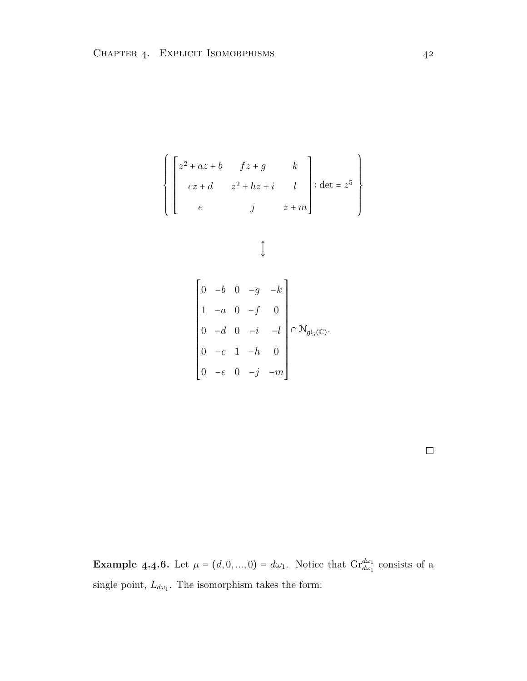$$
\left\{\begin{bmatrix} z^2 + az + b & fz + g & k \\ cz + d & z^2 + hz + i & l \\ e & j & z + m \end{bmatrix} : \det = z^5 \right\}
$$

$$
\big\downarrow
$$

$$
\begin{bmatrix} 0 & -b & 0 & -g & -k \\ 1 & -a & 0 & -f & 0 \\ 0 & -d & 0 & -i & -l \\ 0 & -c & 1 & -h & 0 \\ 0 & -e & 0 & -j & -m \end{bmatrix} \cap \mathcal{N}_{\mathfrak{gl}_5(\mathbb{C})}.
$$

**Example 4.4.6.** Let  $\mu = (d, 0, ..., 0) = d\omega_1$ . Notice that  $\text{Gr}_{d\omega_1}^{d\omega_1}$  consists of a single point,  $L_{d\omega_1}$ . The isomorphism takes the form: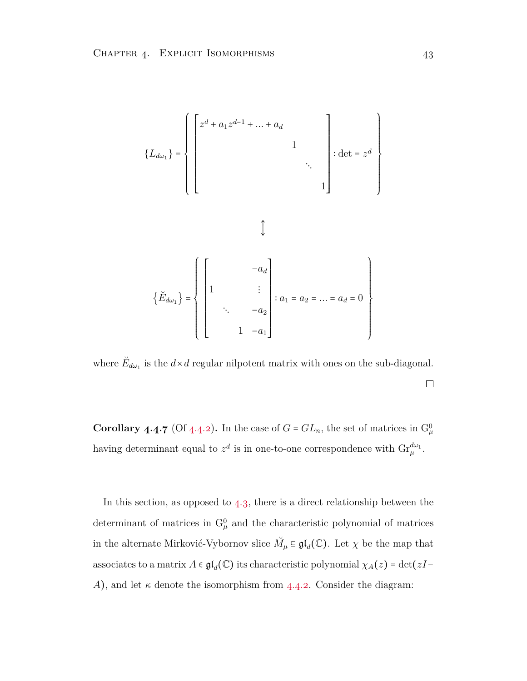$$
\{L_{d\omega_{1}}\} = \left\{ \begin{bmatrix} z^{d} + a_{1}z^{d-1} + \dots + a_{d} & & & \\ & & 1 & & \\ & & & \ddots & \\ & & & & 1 \end{bmatrix} : \det = z^{d} \right\}
$$
  

$$
\{\breve{E}_{d\omega_{1}}\} = \left\{ \begin{bmatrix} & & & \\ 1 & & \vdots & \\ & & \ddots & -a_{2} \\ & & & 1 & -a_{1} \end{bmatrix} : a_{1} = a_{2} = \dots = a_{d} = 0 \right\}
$$

where  $\tilde{E}_{d\omega_1}$  is the  $d \times d$  regular nilpotent matrix with ones on the sub-diagonal.  $\Box$ 

**Corollary 4.4.7** (Of 4.4.2). In the case of  $G = GL_n$ , the set of matrices in  $G^0_\mu$ having determinant equal to  $z^d$  is in one-to-one correspondence with  $\mathrm{Gr}^{d\omega_1}_{\mu}$ .

<span id="page-48-0"></span>In this section, as opposed to  $4.3$  $4.3$  $4.3$ , there is a direct relationship between the determinant of matrices in  $G^0_\mu$  and the characteristic polynomial of matrices in the alternate Mirković-Vybornov slice  $\check{M}_{\mu} \subseteq \mathfrak{gl}_d(\mathbb{C})$ . Let  $\chi$  be the map that associates to a matrix  $A \in \mathfrak{gl}_d(\mathbb{C})$  its characteristic polynomial  $\chi_A(z) = \det(zI -$ *A*), and let  $\kappa$  denote the isomorphism from 4.4.2. Consider the diagram: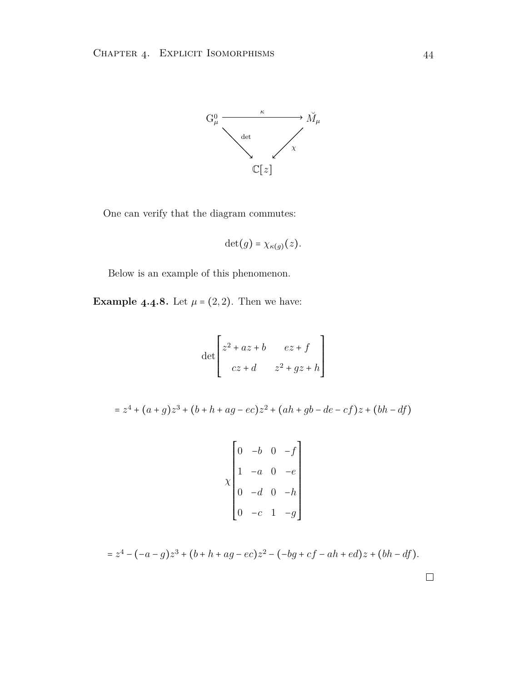

One can verify that the diagram commutes:

$$
\det(g)=\chi_{\kappa(g)}(z).
$$

Below is an example of this phenomenon.

**Example 4.4.8.** Let  $\mu = (2, 2)$ . Then we have:

$$
\det \begin{bmatrix} z^2 + az + b & ez + f \\ cz + d & z^2 + gz + h \end{bmatrix}
$$

$$
= z4 + (a + g)z3 + (b + h + ag - ec)z2 + (ah + gb - de - cf)z + (bh - df)
$$

$$
\chi \begin{bmatrix} 0 & -b & 0 & -f \\ 1 & -a & 0 & -e \\ 0 & -d & 0 & -h \\ 0 & -c & 1 & -g \end{bmatrix}
$$

$$
= z4 - (-a - g)z3 + (b + h + ag - ec)z2 - (-bg + cf - ah + ed)z + (bh - df).
$$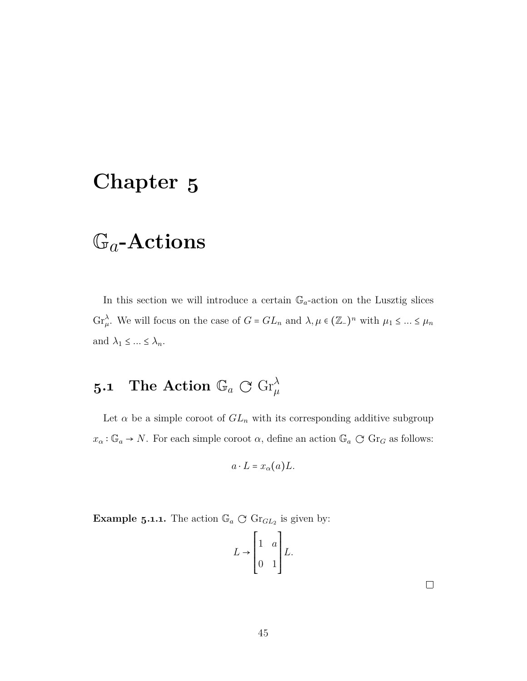### <span id="page-50-0"></span>**Chapter**

### G*a***-Actions**

In this section we will introduce a certain  $\mathbb{G}_a$ -action on the Lusztig slices Gr<sub> $\mu$ </sub><sup>2</sup>. We will focus on the case of *G* = *GL*<sub>*n*</sub> and  $\lambda, \mu \in (\mathbb{Z}_-)^n$  with  $\mu_1 \leq \ldots \leq \mu_n$ and  $\lambda_1 \leq \ldots \leq \lambda_n$ .

# <span id="page-50-1"></span> $\mathbf{5.1} \quad \textbf{The Action } \mathbb{G}_a \subset \mathrm{Gr}^\lambda_\mu$

Let  $\alpha$  be a simple coroot of  $GL_n$  with its corresponding additive subgroup  $x_{\alpha} : \mathbb{G}_a \to N$ . For each simple coroot  $\alpha$ , define an action  $\mathbb{G}_a \subset \text{Gr}_G$  as follows:

$$
a \cdot L = x_{\alpha}(a) L.
$$

**Example 5.1.1.** The action  $\mathbb{G}_a \subset \mathrm{Gr}_{GL_2}$  is given by:

$$
L \rightarrow \begin{bmatrix} 1 & a \\ 0 & 1 \end{bmatrix} L.
$$

 $\Box$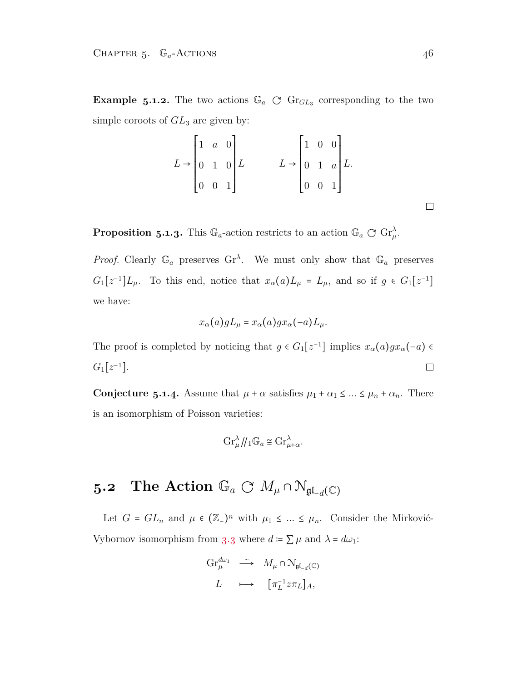**Example 5.1.2.** The two actions  $\mathbb{G}_a$   $\bigcirc$   $\mathrm{Gr}_{GL_3}$  corresponding to the two simple coroots of  $GL_3$  are given by:

$$
L \rightarrow \begin{bmatrix} 1 & a & 0 \\ 0 & 1 & 0 \\ 0 & 0 & 1 \end{bmatrix} L \qquad L \rightarrow \begin{bmatrix} 1 & 0 & 0 \\ 0 & 1 & a \\ 0 & 0 & 1 \end{bmatrix} L.
$$

**Proposition 5.1.3.** This  $\mathbb{G}_a$ -action restricts to an action  $\mathbb{G}_a \subset G$   $\Omega^{\lambda}_{\mu}$ .

*Proof.* Clearly  $\mathbb{G}_a$  preserves  $\text{Gr}^{\lambda}$ . We must only show that  $\mathbb{G}_a$  preserves  $G_1[z^{-1}]L_\mu$ . To this end, notice that  $x_\alpha(a)L_\mu = L_\mu$ , and so if  $g \in G_1[z^{-1}]$ we have:

$$
x_{\alpha}(a)gL_{\mu}=x_{\alpha}(a)gx_{\alpha}(-a)L_{\mu}.
$$

The proof is completed by noticing that  $g \in G_1[z^{-1}]$  implies  $x_\alpha(a)gx_\alpha(-a)$  $G_1[z^{-1}].$  $\Box$ 

<span id="page-51-1"></span>**Conjecture 5.1.4.** Assume that  $\mu + \alpha$  satisfies  $\mu_1 + \alpha_1 \leq \ldots \leq \mu_n + \alpha_n$ . There is an isomorphism of Poisson varieties:

$$
\operatorname{Gr}_{\mu}^{\lambda}/\!/_1 \mathbb{G}_a \cong \operatorname{Gr}_{\mu+\alpha}^{\lambda}.
$$

## <span id="page-51-0"></span>**5.2** The Action  $\mathbb{G}_a \subset M_\mu \cap \mathcal{N}_{\mathfrak{gl}_{-d}}(\mathbb{C})$

Let  $G = GL_n$  and  $\mu \in (\mathbb{Z}_-)^n$  with  $\mu_1 \leq \ldots \leq \mu_n$ . Consider the Mirković-Vybornov isomorphism from 3[.](#page-26-1)3 where  $d\coloneqq\sum\mu$  and  $\lambda=d\omega_1$ :

$$
\begin{array}{ccc}\n\operatorname{Gr}_{\mu}^{d\omega_{1}} & \xrightarrow{\sim} & M_{\mu} \cap \mathcal{N}_{\mathfrak{gl}_{-d}(\mathbb{C})} \\
L & \longmapsto & \left[ \pi_{L}^{-1} z \pi_{L} \right]_{A},\n\end{array}
$$

 $\Box$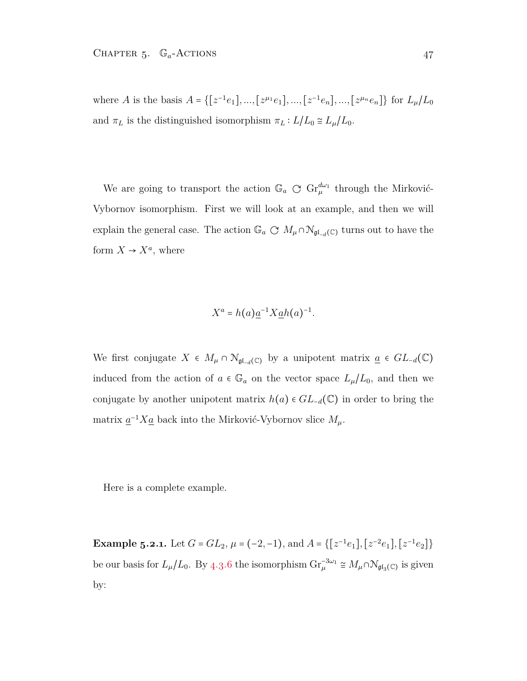where A is the basis  $A = \{ [z^{-1}e_1], ..., [z^{\mu_1}e_1], ..., [z^{-1}e_n], ..., [z^{\mu_n}e_n] \}$  for  $L_{\mu}/L_0$ and  $\pi_L$  is the distinguished isomorphism  $\pi_L : L/L_0 \cong L_\mu/L_0$ .

We are going to transport the action  $\mathbb{G}_a \subset \mathrm{Gr}^{d\omega_1}_{\mu}$  through the Mirković-Vybornov isomorphism. First we will look at an example, and then we will explain the general case. The action  $\mathbb{G}_a \subset M_\mu \cap \mathcal{N}_{\mathfrak{gl}_{-d}(\mathbb{C})}$  turns out to have the form  $X \to X^a$ , where

$$
X^a = h(a)\underline{a}^{-1}X\underline{a}h(a)^{-1}.
$$

We first conjugate  $X \in M_\mu \cap \mathcal{N}_{\mathfrak{gl}_-d}(\mathbb{C})$  by a unipotent matrix  $\underline{a} \in GL_{-d}(\mathbb{C})$ induced from the action of  $a \in \mathbb{G}_a$  on the vector space  $L_\mu/L_0$ , and then we conjugate by another unipotent matrix  $h(a) \in GL_{-d}(\mathbb{C})$  in order to bring the matrix  $\underline{a}^{-1}X\underline{a}$  back into the Mirković-Vybornov slice  $M_{\mu}$ .

Here is a complete example.

**Example 5.2.1.** Let  $G = GL_2$ ,  $\mu = (-2, -1)$ , and  $A = \{[z^{-1}e_1], [z^{-2}e_1], [z^{-1}e_2]\}$ be our basis for  $L_{\mu}/L_0$ . By 4.3.6 the isomorphism  $\text{Gr}_{\mu}^{-3\omega_1} \cong M_{\mu} \cap \mathcal{N}_{\mathfrak{gl}_3(\mathbb{C})}$  is given by: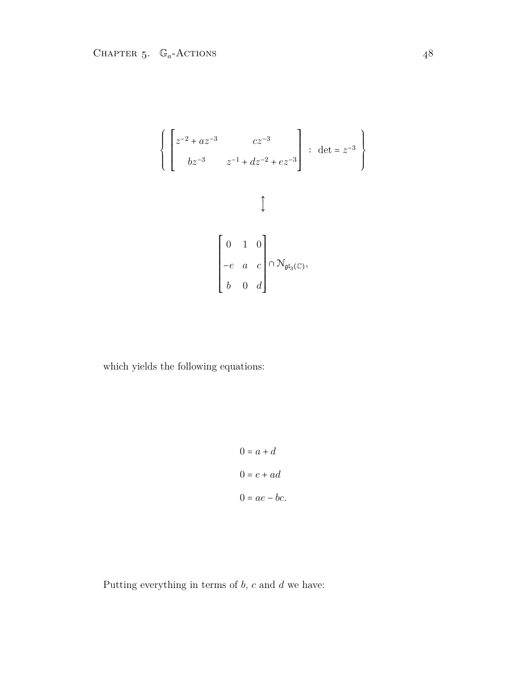$$
\left\{\begin{bmatrix} z^{-2} + az^{-3} & cz^{-3} \\ bz^{-3} & z^{-1} + dz^{-2} + ez^{-3} \end{bmatrix} : \det = z^{-3} \right\}
$$
  

$$
\downarrow
$$
  

$$
\downarrow
$$
  

$$
\left[\begin{array}{ccc} 0 & 1 & 0 \\ -e & a & c \\ b & 0 & d \end{array}\right] \cap N_{\mathfrak{gl}_3(\mathbb{C})},
$$

which yields the following equations:

$$
0 = a + d
$$

$$
0 = e + ad
$$

$$
0 = ae - bc.
$$

Putting everything in terms of *b*, *c* and *d* we have: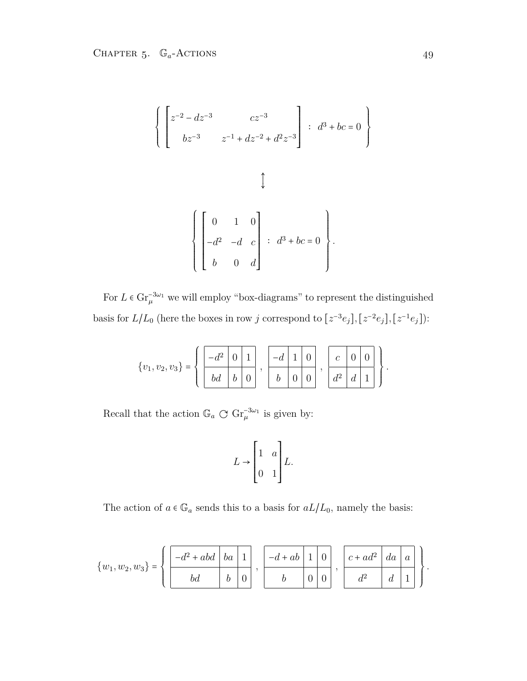$$
\left\{\begin{bmatrix} z^{-2} - dz^{-3} & cz^{-3} \\ bz^{-3} & z^{-1} + dz^{-2} + d^2z^{-3} \end{bmatrix} : d^3 + bc = 0 \right\}
$$
  

$$
\downarrow
$$
  

$$
\left\{\begin{bmatrix} 0 & 1 & 0 \\ -d^2 & -d & c \\ b & 0 & d \end{bmatrix} : d^3 + bc = 0 \right\}.
$$

<span id="page-54-0"></span>For  $L \in \text{Gr}_{\mu}^{-3\omega_1}$  we will employ "box-diagrams" to represent the distinguished basis for  $L/L_0$  (here the boxes in row *j* correspond to  $[z^{-3}e_j]$ ,  $[z^{-2}e_j]$ ,  $[z^{-1}e_j]$ ):

$$
\{v_1, v_2, v_3\} = \left\{ \begin{array}{c|c|c} -d^2 & 0 & 1 \\ \hline bd & b & 0 \end{array}, \begin{array}{c|c|c} -d & 1 & 0 \\ \hline b & 0 & 0 \end{array}, \begin{array}{c|c|c} c & 0 & 0 \\ \hline d^2 & d & 1 \end{array} \right\}.
$$

Recall that the action  $\mathbb{G}_a \subset \mathrm{Gr}_{\mu}^{-3\omega_1}$  is given by:

$$
L \rightarrow \begin{bmatrix} 1 & a \\ 0 & 1 \end{bmatrix} L.
$$

The action of  $a \in \mathbb{G}_a$  sends this to a basis for  $aL/L_0$ , namely the basis:

$$
\{w_1, w_2, w_3\} = \left\{ \begin{array}{|c|c|c|c|c|c|} \hline -d^2 + abd & ba & 1 \\ \hline bd & b & 0 \end{array} \right., \begin{array}{|c|c|c|c|c|c|c|} \hline -d + ab & 1 & 0 \\ \hline b & 0 & 0 \end{array} \right., \begin{array}{|c|c|c|c|c|} \hline c + ad^2 & da & a \\ \hline d^2 & d & 1 \end{array} \right\}.
$$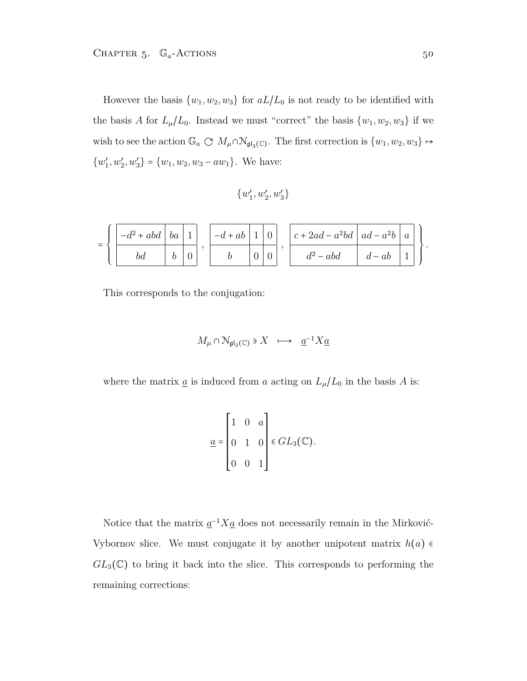<span id="page-55-0"></span>However the basis  $\{w_1, w_2, w_3\}$  for  $aL/L_0$  is not ready to be identified with the basis *A* for  $L_{\mu}/L_0$ . Instead we must "correct" the basis  $\{w_1, w_2, w_3\}$  if we wish to see the action  $\mathbb{G}_a \subset M_\mu \cap \mathcal{N}_{\mathfrak{gl}_3(\mathbb{C})}$ . The first correction is  $\{w_1, w_2, w_3\} \mapsto$  $\{w'_1, w'_2, w'_3\} = \{w_1, w_2, w_3 - aw_1\}.$  We have:

$$
\{w_1', w_2', w_3'\}
$$

|  | $-d^2 + abd$ | bа | $\blacktriangleleft$ | $-d + ab$ |  | $c+2ad-a^2bd \mid ad-a^2b$ |          | $\boldsymbol{a}$ |  |
|--|--------------|----|----------------------|-----------|--|----------------------------|----------|------------------|--|
|  |              |    |                      |           |  | $d^2 - abd$                | $d - ab$ |                  |  |

This corresponds to the conjugation:

$$
M_{\mu} \cap \mathcal{N}_{\mathfrak{gl}_3(\mathbb{C})} \ni X \quad \longmapsto \quad \underline{a}^{-1} X \underline{a}
$$

where the matrix  $\underline{a}$  is induced from *a* acting on  $L_{\mu}/L_0$  in the basis *A* is:

$$
\underline{a} = \begin{bmatrix} 1 & 0 & a \\ 0 & 1 & 0 \\ 0 & 0 & 1 \end{bmatrix} \in GL_3(\mathbb{C}).
$$

Notice that the matrix  $a^{-1}Xa$  does not necessarily remain in the Mirković-Vybornov slice. We must conjugate it by another unipotent matrix  $h(a) \in$  $GL_3(\mathbb{C})$  to bring it back into the slice. This corresponds to performing the remaining corrections: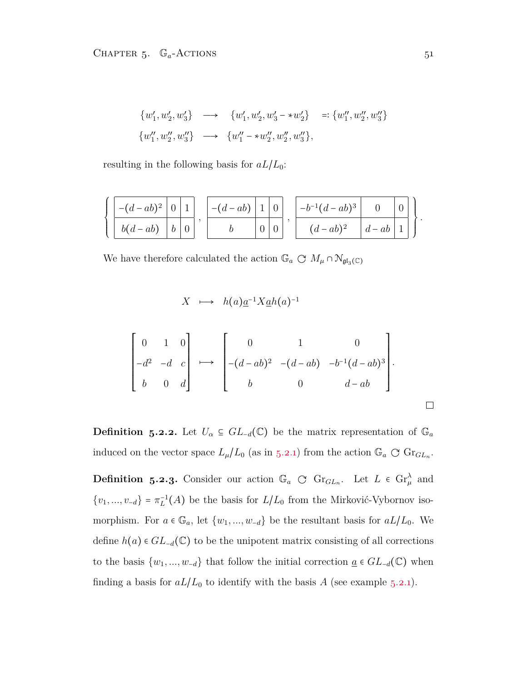<span id="page-56-1"></span>CHAPTER 5.  $\mathbb{G}_a$ -ACTIONS 51

$$
\{w'_1, w'_2, w'_3\} \longrightarrow \{w'_1, w'_2, w'_3 - *w'_2\} =: \{w''_1, w''_2, w''_3\}
$$
  

$$
\{w''_1, w''_2, w''_3\} \longrightarrow \{w''_1 - *w''_2, w''_2, w''_3\},
$$

resulting in the following basis for *aL*/*L*0:

| $-(d-ab)^2\mid 0\mid 1$ |               |  | $\vert -(d - ab) \vert 1 \vert 0$ |  | $ _{-b^{-1}(d - ab)^3} $ |          |  |
|-------------------------|---------------|--|-----------------------------------|--|--------------------------|----------|--|
| $b(d - ab)$             | $\mathfrak b$ |  |                                   |  | $(d - ab)^2$             | $d - ab$ |  |

We have therefore calculated the action  $\mathbb{G}_a \subset M_\mu \cap \mathcal{N}_{\mathfrak{gl}_3(\mathbb{C})}$ 

 $X \mapsto h(a)\underline{a}^{-1}X\underline{a}h(a)^{-1}$ 

$$
\begin{bmatrix} 0 & 1 & 0 \ -d^2 & -d & c \ b & 0 & d \end{bmatrix} \longrightarrow \begin{bmatrix} 0 & 1 & 0 \ -(d - ab)^2 & -(d - ab) & -b^{-1}(d - ab)^3 \ b & 0 & d - ab \end{bmatrix}.
$$

<span id="page-56-0"></span>**Definition 5.2.2.** Let  $U_{\alpha} \subseteq GL_{-d}(\mathbb{C})$  be the matrix representation of  $\mathbb{G}_a$ induced on the vector space  $L_{\mu}/L_0$  (as in 5.2.1) from the action  $\mathbb{G}_a \subset \mathrm{Gr}_{GL_n}$ .

**Definition 5.2.3.** Consider our action  $\mathbb{G}_a$   $\subset$   $\mathrm{Gr}_{GL_n}$ . Let  $L \in \mathrm{Gr}_{\mu}^{\lambda}$  and  $\{v_1, ..., v_{-d}\} = \pi_L^{-1}(A)$  be the basis for  $L/L_0$  from the Mirković-Vybornov isomorphism. For  $a \in \mathbb{G}_a$ , let  $\{w_1, ..., w_{-d}\}$  be the resultant basis for  $aL/L_0$ . We define  $h(a) \in GL_{-d}(\mathbb{C})$  to be the unipotent matrix consisting of all corrections to the basis  $\{w_1, ..., w_{-d}\}\)$  that follow the initial correction  $\underline{a} \in GL_{-d}(\mathbb{C})$  when finding a basis for  $aL/L_0$  to identify with the basis A (see example 5.2.1).

 $\Box$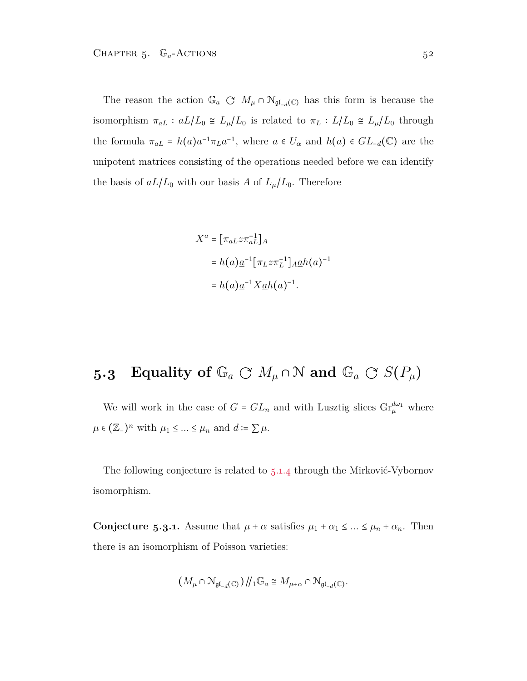<span id="page-57-1"></span>The reason the action  $\mathbb{G}_a \subset M_\mu \cap \mathcal{N}_{\mathfrak{gl}_-d}(\mathbb{C})$  has this form is because the isomorphism  $\pi_{aL}$ :  $aL/L_0 \cong L_\mu/L_0$  is related to  $\pi_L$ :  $L/L_0 \cong L_\mu/L_0$  through the formula  $\pi_{aL} = h(a)\underline{a}^{-1}\pi_L a^{-1}$ , where  $\underline{a} \in U_\alpha$  and  $h(a) \in GL_{-d}(\mathbb{C})$  are the unipotent matrices consisting of the operations needed before we can identify the basis of  $aL/L_0$  with our basis A of  $L_\mu/L_0$ . Therefore

$$
X^{a} = [\pi_{aL} z \pi_{aL}^{-1}]_{A}
$$
  
=  $h(a) \underline{a}^{-1} [\pi_L z \pi_L^{-1}]_{A} \underline{a} h(a)^{-1}$   
=  $h(a) \underline{a}^{-1} X \underline{a} h(a)^{-1}$ .

### <span id="page-57-0"></span>**5.3** Equality of  $\mathbb{G}_a \subset M_\mu \cap \mathbb{N}$  and  $\mathbb{G}_a \subset S(P_\mu)$

We will work in the case of  $G = GL_n$  and with Lusztig slices  $\text{Gr}_{\mu}^{d\omega_1}$  where  $\mu \in (\mathbb{Z}_-)^n$  with  $\mu_1 \leq \ldots \leq \mu_n$  and  $d := \sum \mu$ .

The following conjecture is related to  $5.1.4$  through the Mirković-Vybornov isomorphism.

**Conjecture 5.3.1.** Assume that  $\mu + \alpha$  satisfies  $\mu_1 + \alpha_1 \leq ... \leq \mu_n + \alpha_n$ . Then there is an isomorphism of Poisson varieties:

$$
(M_{\mu} \cap \mathcal{N}_{\mathfrak{gl}_{-d}(\mathbb{C})}) / \mathcal{N}_{1} \mathbb{G}_{a} \cong M_{\mu + \alpha} \cap \mathcal{N}_{\mathfrak{gl}_{-d}(\mathbb{C})}.
$$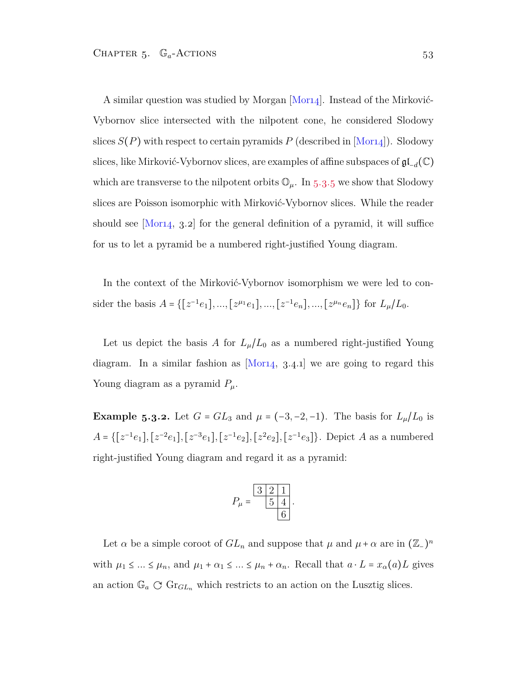<span id="page-58-0"></span>A similar question was studied by Morgan  $[Mor14]$ . Instead of the Mirković-Vybornov slice intersected with the nilpotent cone, he considered Slodowy slices  $S(P)$  with respect to certain pyramids P (described in  $[Mor14]$ ). Slodowy slices, like Mirković-Vybornov slices, are examples of affine subspaces of  $\mathfrak{gl}_{-d}(\mathbb{C})$ which are transverse to the nilpotent orbits  $\mathbb{O}_{\mu}$ . In 5.3.5 we show that Slodowy slices are Poisson isomorphic with Mirković-Vybornov slices. While the reader should see  $[Mor14, 3.2]$  for the general definition of a pyramid, it will suffice for us to let a pyramid be a numbered right-justified Young diagram.

In the context of the Mirković-Vybornov isomorphism we were led to consider the basis  $A = \{ [z^{-1}e_1], ..., [z^{\mu_1}e_1], ..., [z^{-1}e_n], ..., [z^{\mu_n}e_n] \}$  for  $L_{\mu}/L_0$ .

Let us depict the basis *A* for  $L_{\mu}/L_0$  as a numbered right-justified Young diagram. In a similar fashion as  $[Mor14, 3.4.1]$  we are going to regard this Young diagram as a pyramid *Pµ*.

**Example 5.3.2.** Let  $G = GL_3$  and  $\mu = (-3, -2, -1)$ . The basis for  $L_{\mu}/L_0$  is *A* = { $[z^{-1}e_1]$ *,* $[z^{-2}e_1]$ *,* $[z^{-3}e_1]$ *,* $[z^{-1}e_2]$ *,* $[z^{2}e_2]$ *,* $[z^{-1}e_3]$ *}*. Depict *A* as a numbered right-justified Young diagram and regard it as a pyramid:

$$
P_{\mu} = \frac{3 \ 2 \ 1}{5 \ 4}.
$$

Let  $\alpha$  be a simple coroot of  $GL_n$  and suppose that  $\mu$  and  $\mu + \alpha$  are in  $(\mathbb{Z}_-)^n$ with  $\mu_1 \leq \ldots \leq \mu_n$ , and  $\mu_1 + \alpha_1 \leq \ldots \leq \mu_n + \alpha_n$ . Recall that  $a \cdot L = x_\alpha(a)L$  gives an action  $\mathbb{G}_a \subset \mathrm{Gr}_{GL_n}$  which restricts to an action on the Lusztig slices.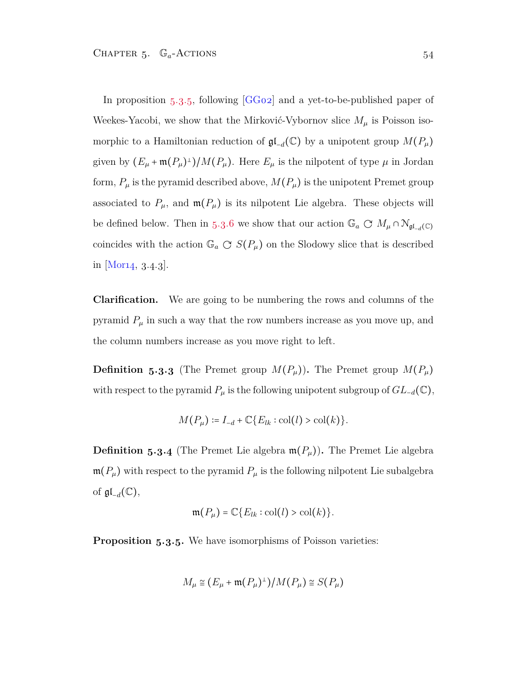In proposition  $5.3.5$ , following [[GG](#page-66-4)02] and a yet-to-be-published paper of Weekes-Yacobi, we show that the Mirković-Vybornov slice  $M_{\mu}$  is Poisson isomorphic to a Hamiltonian reduction of  $\mathfrak{gl}_{-d}(\mathbb{C})$  by a unipotent group  $M(P_\mu)$ given by  $(E_{\mu} + \mathfrak{m}(P_{\mu})^{\perp})/M(P_{\mu})$ . Here  $E_{\mu}$  is the nilpotent of type  $\mu$  in Jordan form,  $P_\mu$  is the pyramid described above,  $M(P_\mu)$  is the unipotent Premet group associated to  $P_{\mu}$ , and  $\mathfrak{m}(P_{\mu})$  is its nilpotent Lie algebra. These objects will be defined below. Then in 5.3.6 we show that our action  $\mathbb{G}_a \subset M_\mu \cap \mathcal{N}_{\mathfrak{gl}_-d}(\mathbb{C})$ coincides with the action  $\mathbb{G}_a \subset S(P_\mu)$  on the Slodowy slice that is described in [Mor14,  $3.4.3$ ].

**Clarification.** We are going to be numbering the rows and columns of the pyramid  $P_\mu$  in such a way that the row numbers increase as you move up, and the column numbers increase as you move right to left.

**Definition 5.3.3** (The Premet group  $M(P_\mu)$ ). The Premet group  $M(P_\mu)$ with respect to the pyramid  $P_\mu$  is the following unipotent subgroup of  $GL_{-d}(\mathbb{C}),$ 

$$
M(P_{\mu}) \coloneqq I_{-d} + \mathbb{C}\{E_{lk} : \text{col}(l) > \text{col}(k)\}.
$$

**Definition 5.3.4** (The Premet Lie algebra  $\mathfrak{m}(P_\mu)$ ). The Premet Lie algebra  $\mathfrak{m}(P_\mu)$  with respect to the pyramid  $P_\mu$  is the following nilpotent Lie subalgebra of  $\mathfrak{gl}_{-d}(\mathbb{C}),$ 

$$
\mathfrak{m}(P_\mu)=\mathbb{C}\{E_{lk}:\mathrm{col}(l)>\mathrm{col}(k)\}.
$$

<span id="page-59-0"></span>**Proposition 5.3.5.** We have isomorphisms of Poisson varieties:

$$
M_{\mu} \cong (E_{\mu} + \mathfrak{m}(P_{\mu})^{\perp})/M(P_{\mu}) \cong S(P_{\mu})
$$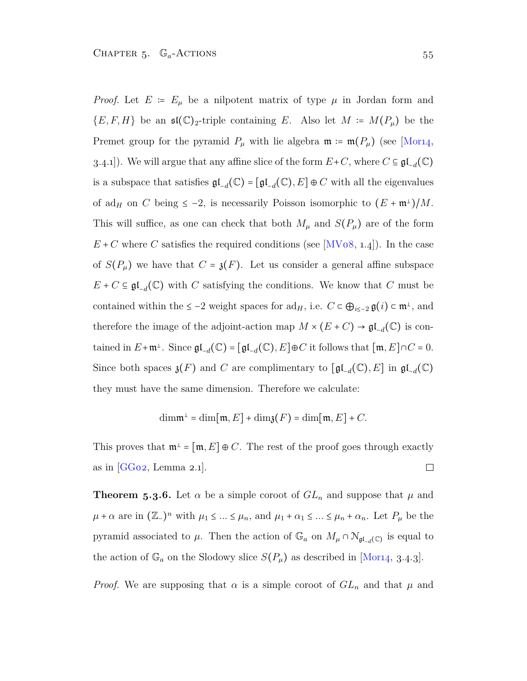*Proof.* Let  $E := E_\mu$  be a nilpotent matrix of type  $\mu$  in Jordan form and  ${E, F, H}$  be an  $\mathfrak{sl}(\mathbb{C})_2$ -triple containing *E*. Also let *M* :=  $M(P_\mu)$  be the Premet group for the pyramid  $P_\mu$  with lie algebra  $\mathfrak{m} := \mathfrak{m}(P_\mu)$  (see [Mor14, 3.4.1]). We will argue that any affine slice of the form  $E+C$ , where  $C \subseteq \mathfrak{gl}_{-d}(\mathbb{C})$ is a subspace that satisfies  $\mathfrak{gl}_{-d}(\mathbb{C}) = [\mathfrak{gl}_{-d}(\mathbb{C}), E] \oplus C$  with all the eigenvalues of ad<sub>*H*</sub> on *C* being ≤ −2, is necessarily Poisson isomorphic to  $(E + m<sup>⊥</sup>)/M$ . This will suffice, as one can check that both  $M_\mu$  and  $S(P_\mu)$  are of the form  $E + C$  where *C* satisfies the required conditions (see [MV $\sigma$ 8, 1.4]). In the case of  $S(P_\mu)$  we have that  $C = \mathfrak{z}(F)$ . Let us consider a general affine subspace  $E + C \subseteq \mathfrak{gl}_{-d}(\mathbb{C})$  with *C* satisfying the conditions. We know that *C* must be contained within the  $\leq -2$  weight spaces for ad<sub>*H*</sub>, i.e.  $C \subset \bigoplus_{i \leq -2} \mathfrak{g}(i) \subset \mathfrak{m}^{\perp}$ , and therefore the image of the adjoint-action map  $M \times (E + C) \to \mathfrak{gl}_{-d}(\mathbb{C})$  is contained in  $E + \mathfrak{m}^{\perp}$ . Since  $\mathfrak{gl}_{-d}(\mathbb{C}) = [\mathfrak{gl}_{-d}(\mathbb{C}), E] \oplus C$  it follows that  $[\mathfrak{m}, E] \cap C = 0$ . Since both spaces  $\mathfrak{z}(F)$  and *C* are complimentary to  $[\mathfrak{gl}_{-d}(\mathbb{C}), E]$  in  $\mathfrak{gl}_{-d}(\mathbb{C})$ they must have the same dimension. Therefore we calculate:

$$
\dim \mathfrak{m}^{\perp} = \dim[\mathfrak{m}, E] + \dim \mathfrak{z}(F) = \dim[\mathfrak{m}, E] + C.
$$

This proves that  $\mathfrak{m}^{\perp} = [\mathfrak{m}, E] \oplus C$ . The rest of the proof goes through exactly as in  $[GGo2, Lemma 2.1].$  $\Box$ 

<span id="page-60-0"></span>**Theorem 5.3.6.** Let  $\alpha$  be a simple coroot of  $GL_n$  and suppose that  $\mu$  and  $\mu + \alpha$  are in  $(\mathbb{Z}_-)^n$  with  $\mu_1 \leq \ldots \leq \mu_n$ , and  $\mu_1 + \alpha_1 \leq \ldots \leq \mu_n + \alpha_n$ . Let  $P_\mu$  be the pyramid associated to  $\mu$ . Then the action of  $\mathbb{G}_a$  on  $M_{\mu} \cap \mathcal{N}_{\mathfrak{gl}_{-d}(\mathbb{C})}$  is equal to the action of  $\mathbb{G}_a$  on the Slodowy slice  $S(P_\mu)$  as described in [[Mor](#page-68-0)14, 3.4.3].

*Proof.* We are supposing that  $\alpha$  is a simple coroot of  $GL_n$  and that  $\mu$  and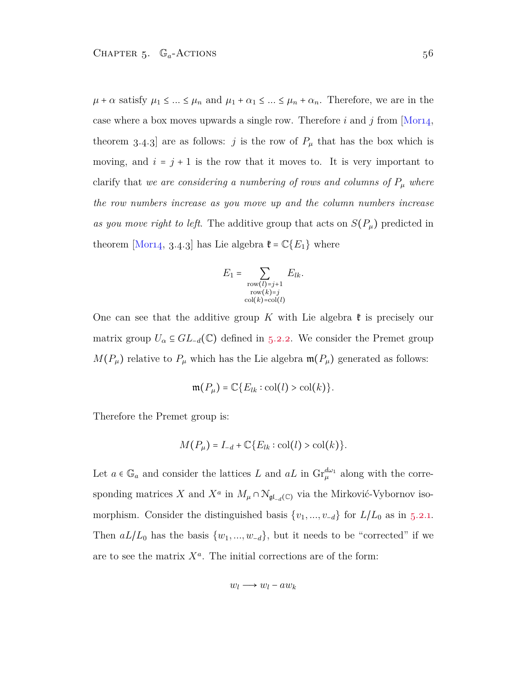$\mu + \alpha$  satisfy  $\mu_1 \leq \ldots \leq \mu_n$  and  $\mu_1 + \alpha_1 \leq \ldots \leq \mu_n + \alpha_n$ . Therefore, we are in the case where a box moves upwards a single row. Therefore  $i$  and  $j$  from [Mor14, theorem 3.4.3 are as follows: *j* is the row of  $P_\mu$  that has the box which is moving, and  $i = j + 1$  is the row that it moves to. It is very important to clarify that *we are considering a numbering of rows and columns of*  $P_\mu$  *where the row numbers increase as you move up and the column numbers increase* as you move right to left. The additive group that acts on  $S(P_\mu)$  predicted in theorem [Mor14, 3.4.3] has Lie algebra  $\mathfrak{k} = \mathbb{C}\{E_1\}$  where

$$
E_1 = \sum_{\substack{\text{row}(l)=j+1 \\ \text{row}(k)=j \\ \text{col}(k)=\text{col}(l)}} E_{lk}.
$$

One can see that the additive group K with Lie algebra  $\mathfrak{k}$  is precisely our matrix group  $U_{\alpha} \subseteq GL_{-d}(\mathbb{C})$  defined in 5.2.2. We consider the Premet group  $M(P_\mu)$  relative to  $P_\mu$  which has the Lie algebra  $\mathfrak{m}(P_\mu)$  generated as follows:

$$
\mathfrak{m}(P_\mu)=\mathbb{C}\{E_{lk}:\mathrm{col}(l)>\mathrm{col}(k)\}.
$$

Therefore the Premet group is:

$$
M(P_{\mu})=I_{-d}+\mathbb{C}\lbrace E_{lk}:\text{col}(l)>\text{col}(k)\rbrace.
$$

Let  $a \in \mathbb{G}_a$  and consider the lattices  $L$  and  $aL$  in  $\text{Gr}_{\mu}^{d\omega_1}$  along with the corresponding matrices *X* and  $X^a$  in  $M_\mu \cap \mathcal{N}_{\mathfrak{gl}_{-d}(\mathbb{C})}$  via the Mirković-Vybornov isomorphism. Consider the distinguished basis  $\{v_1, ..., v_{-d}\}$  $\{v_1, ..., v_{-d}\}$  $\{v_1, ..., v_{-d}\}$  for  $L/L_0$  as in 5.2.1. Then  $aL/L_0$  has the basis  $\{w_1, ..., w_{-d}\}$ , but it needs to be "corrected" if we are to see the matrix  $X^a$ . The initial corrections are of the form:

$$
w_l \longrightarrow w_l - aw_k
$$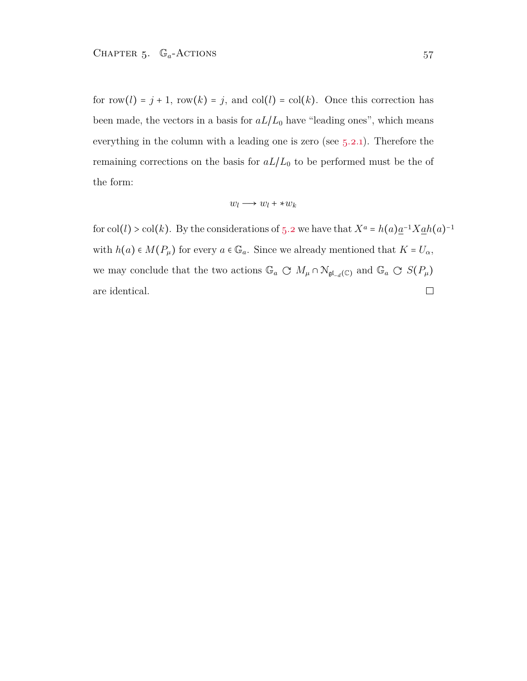for  $row(l) = j + 1$ ,  $row(k) = j$ , and  $col(l) = col(k)$ . Once this correction has been made, the vectors in a basis for  $aL/L_0$  have "leading ones", which means everything in the column with a leading one is zero (see  $5.2.1$ ). Therefore the remaining corrections on the basis for  $aL/L_0$  to be performed must be the of the form:

$$
w_l \longrightarrow w_l + \ast w_k
$$

for col(*l*) > col(*k*)[.](#page-57-1) By the considerations of 5.2 we have that  $X^a = h(a)\underline{a}^{-1}X\underline{a}h(a)^{-1}$ with  $h(a) \in M(P_\mu)$  for every  $a \in \mathbb{G}_a$ . Since we already mentioned that  $K = U_\alpha$ , we may conclude that the two actions  $\mathbb{G}_a \subset M_\mu \cap \mathcal{N}_{\mathfrak{gl}_-d}(\mathbb{C})$  and  $\mathbb{G}_a \subset S(P_\mu)$ are identical. $\Box$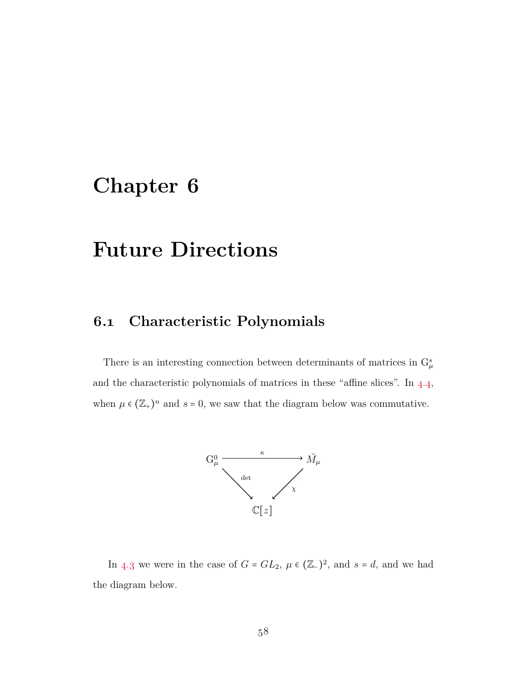### <span id="page-63-0"></span>**Chapter**

### **Future Directions**

#### <span id="page-63-1"></span>**. Characteristic Polynomials**

There is an interesting connection between determinants of matrices in  $G^s_\mu$ and the characteristic polynomials of matrices in these "affine slices". In  $4.4$ , when  $\mu \in (\mathbb{Z}_+)^n$  and  $s = 0$ , we saw that the diagram below was commutative.



In 4[.](#page-34-0)3 we were in the case of  $G = GL_2$ ,  $\mu \in (\mathbb{Z}_2)^2$ , and  $s = d$ , and we had the diagram below.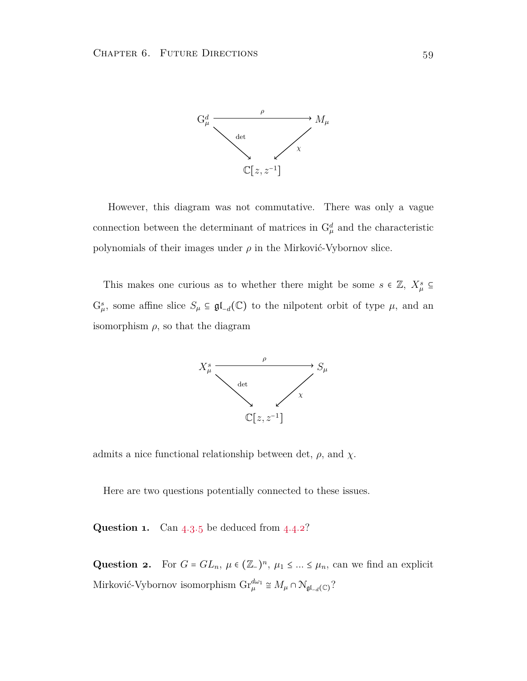

However, this diagram was not commutative. There was only a vague connection between the determinant of matrices in  $G^d_\mu$  and the characteristic polynomials of their images under  $\rho$  in the Mirković-Vybornov slice.

This makes one curious as to whether there might be some  $s \in \mathbb{Z}$ ,  $X^s_\mu \subseteq$  $G^s_\mu$ , some affine slice  $S_\mu \subseteq \mathfrak{gl}_{-d}(\mathbb{C})$  to the nilpotent orbit of type  $\mu$ , and an isomorphism  $\rho$ , so that the diagram



admits a nice functional relationship between det,  $\rho$ , and  $\chi$ .

Here are two questions potentially connected to these issues.

**Question 1.** Can  $4.3.5$  be deduced from  $4.4.2$ ?

Question 2. For  $G = GL_n$ ,  $\mu \in (\mathbb{Z}_-)^n$ ,  $\mu_1 \leq \ldots \leq \mu_n$ , can we find an explicit Mirković-Vybornov isomorphism  $\text{Gr}_{\mu}^{d\omega_1} \cong M_{\mu} \cap \mathcal{N}_{\mathfrak{gl}_{-d}(\mathbb{C})}$ ?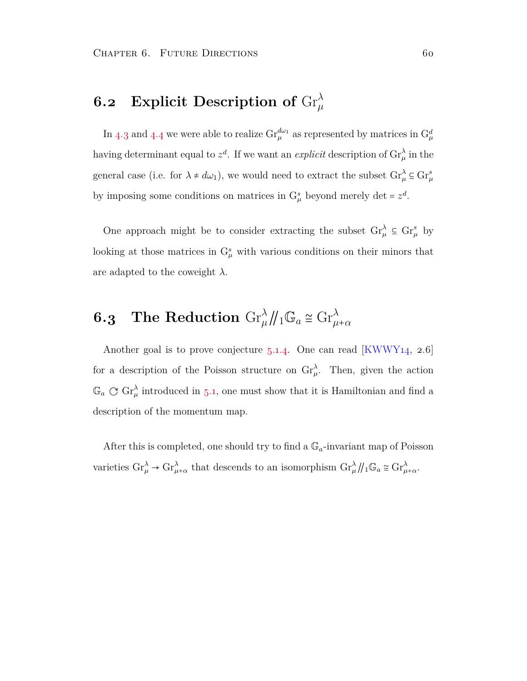### <span id="page-65-0"></span>**6.2** Explicit Description of  $\mathrm{Gr}_{\mu}^{\lambda}$

In 4[.](#page-43-0)3 and 4.4 we were able to realize  $\text{Gr}_{\mu}^{d\omega_1}$  as represented by matrices in  $\text{G}_{\mu}^d$ having determinant equal to  $z^d$ . If we want an *explicit* description of  $\text{Gr}^{\lambda}_{\mu}$  in the general case (i.e. for  $\lambda \neq d\omega_1$ ), we would need to extract the subset  $\text{Gr}^{\lambda}_{\mu} \subseteq \text{Gr}^s_{\mu}$ by imposing some conditions on matrices in  $G^s_\mu$  beyond merely det =  $z^d$ .

One approach might be to consider extracting the subset  $\text{Gr}_{\mu}^{\lambda} \subseteq \text{Gr}_{\mu}^{s}$  by looking at those matrices in  $G^s_\mu$  with various conditions on their minors that are adapted to the coweight *λ*.

# <span id="page-65-1"></span>**6.3** The Reduction  $\mathrm{Gr}_{\mu}^{\lambda}/\!/_1\mathbb{G}_a \cong \mathrm{Gr}_{\mu+\alpha}^{\lambda}$

Another goal is to prove conjecture  $5.1.4$ . One can read [\[KWWY](#page-67-4)14, 2.6] for a description of the Poisson structure on  $\mathrm{Gr}_{\mu}^{\lambda}$ . Then, given the action  $\mathbb{G}_a \subset \mathrm{Gr}^{\lambda}_{\mu}$  introduced in 5.1, one must show that it is Hamiltonian and find a description of the momentum map.

<span id="page-65-2"></span>After this is completed, one should try to find a  $\mathbb{G}_a$ -invariant map of Poisson varieties  $\text{Gr}_{\mu}^{\lambda} \to \text{Gr}_{\mu+\alpha}^{\lambda}$  that descends to an isomorphism  $\text{Gr}_{\mu}^{\lambda}/\!\!/_{1} \mathbb{G}_{a} \cong \text{Gr}_{\mu+\alpha}^{\lambda}$ .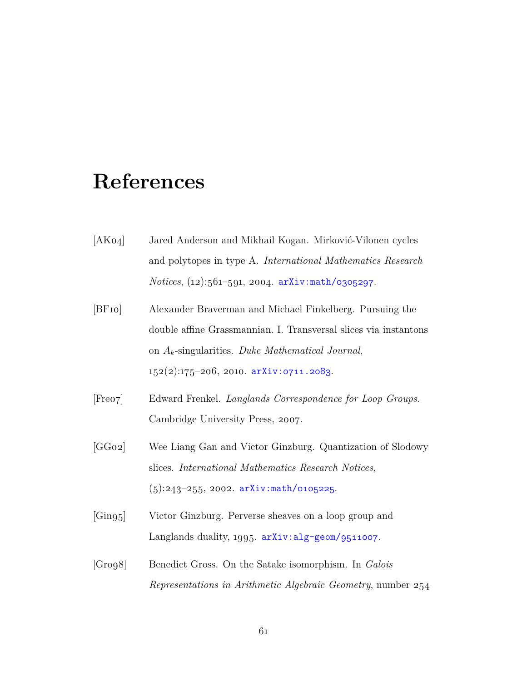### **References**

- <span id="page-66-2"></span>[AK04] Jared Anderson and Mikhail Kogan. Mirković-Vilonen cycles and polytopes in type A. *International Mathematics Research*  $Notice, (12): 561-591, 2004.$   $arXiv:math/0305297.$  $arXiv:math/0305297.$
- [BF] Alexander Braverman and Michael Finkelberg. Pursuing the double affine Grassmannian. I. Transversal slices via instantons on *Ak*-singularities. *Duke Mathematical Journal*,  $152(2):175-206$ , 2010.  $\text{arXiv:}$ 0711.2083.
- <span id="page-66-3"></span>[Freo7] Edward Frenkel. *Langlands Correspondence for Loop Groups*. Cambridge University Press, 2007.
- <span id="page-66-4"></span>[GG02] Wee Liang Gan and Victor Ginzburg. Quantization of Slodowy slices. *International Mathematics Research Notices*,  $(5):243-255$ , 2002. [arXiv:math/](http://arxiv.org/abs/math/0105225v3)0105225.
- <span id="page-66-0"></span>[Ging<sub>5</sub>] Victor Ginzburg. Perverse sheaves on a loop group and Langlands duality,  $1995.$   $arXiv:alg-geom/g511007.$  $arXiv:alg-geom/g511007.$
- <span id="page-66-1"></span>[Grog8] Benedict Gross. On the Satake isomorphism. In *Galois Representations in Arithmetic Algebraic Geometry*, number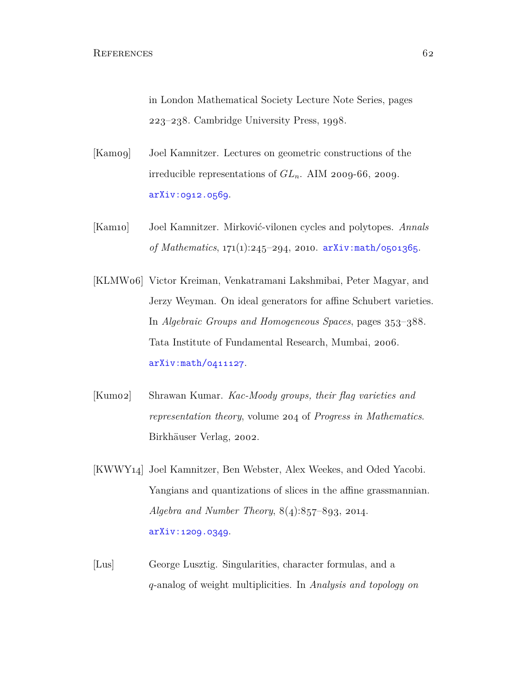in London Mathematical Society Lecture Note Series, pages  $223$ – $238$ . Cambridge University Press, 1998.

- <span id="page-67-3"></span>[Kamog] Joel Kamnitzer. Lectures on geometric constructions of the irreducible representations of  $GL_n$ . AIM 2009-66, 2009.  $arXiv:$ ... $0912.0569$ .
- <span id="page-67-2"></span>[Kam10] Joel Kamnitzer. Mirković-vilonen cycles and polytopes. *Annals* of Mathematics, 171(1):245-294, 2010. [arXiv:math/](http://arxiv.org/abs/math/0501365v2)0501365.
- <span id="page-67-0"></span>[KLMW06] Victor Kreiman, Venkatramani Lakshmibai, Peter Magyar, and Jerzy Weyman. On ideal generators for affine Schubert varieties. In *Algebraic Groups and Homogeneous Spaces*, pages  $353-388$ . Tata Institute of Fundamental Research, Mumbai, 2006.  $arXiv:math/0411127.$  $arXiv:math/0411127.$
- [Kumo2] Shrawan Kumar. *Kac-Moody groups, their flag varieties and representation theory*, volume 204 of *Progress in Mathematics*. Birkhäuser Verlag, 2002.
- <span id="page-67-4"></span>[KWWY14] Joel Kamnitzer, Ben Webster, Alex Weekes, and Oded Yacobi. Yangians and quantizations of slices in the affine grassmannian. *Algebra and Number Theory*,  $8(4):857-893$ , 2014. arXiv:1209.0349
- <span id="page-67-1"></span>[Lus] George Lusztig. Singularities, character formulas, and a *q*-analog of weight multiplicities. In *Analysis and topology on*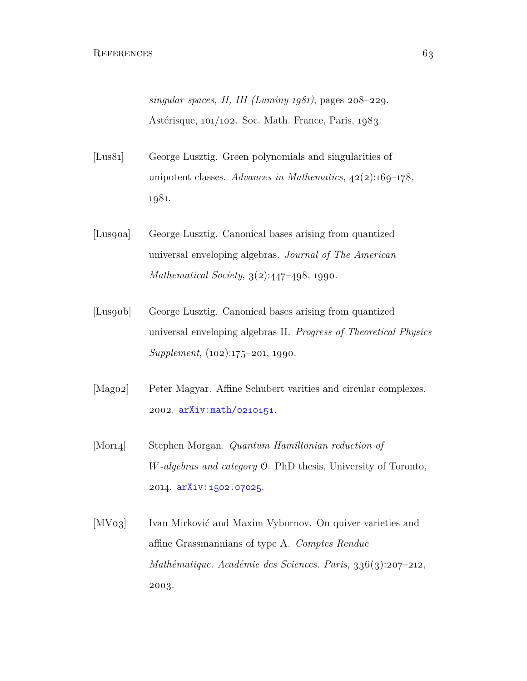$singular$  spaces,  $II$ ,  $III$  (Luminy 1981), pages  $208-229$ . Astérisque,  $101/102$ . Soc. Math. France, Paris,  $1983$ .

- <span id="page-68-1"></span>[Lus81] George Lusztig. Green polynomials and singularities of unipotent classes. *Advances in Mathematics*,  $42(2):169-178$ , 1981.
- <span id="page-68-2"></span>[Lusgoa] George Lusztig. Canonical bases arising from quantized universal enveloping algebras. *Journal of The American Mathematical Society*,  $3(2):447-498$ , 1990.
- [Lusgob] George Lusztig. Canonical bases arising from quantized universal enveloping algebras II. *Progress of Theoretical Physics*  $Supplement, (102):175-201, 1990.$
- <span id="page-68-3"></span>[Mago2] Peter Magyar. Affine Schubert varities and circular complexes. 2002. arXiv: math/0210151.
- <span id="page-68-0"></span>[Moria] Stephen Morgan. *Quantum Hamiltonian reduction of W-algebras and category* O. PhD thesis, University of Toronto, 2014. arXiv:1502.07025.
- [MV03] Ivan Mirković and Maxim Vybornov. On quiver varieties and affine Grassmannians of type A. *Comptes Rendue Mathématique. Académie des Sciences. Paris*, 336(3):207-212, 2003.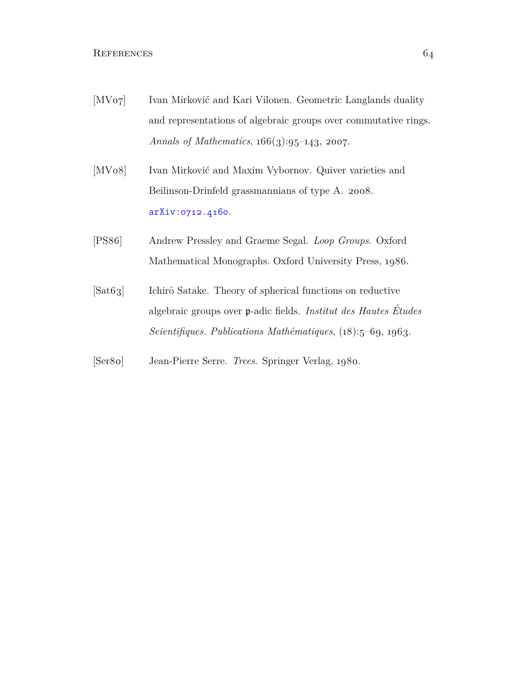#### REFERENCES 64

- <span id="page-69-0"></span>[MV07] Ivan Mirković and Kari Vilonen. Geometric Langlands duality and representations of algebraic groups over commutative rings. *Annals of Mathematics*,  $166(3):95-143$ , 2007.
- <span id="page-69-1"></span>[MV08] Ivan Mirković and Maxim Vybornov. Quiver varieties and Beilinson-Drinfeld grassmannians of type A. 2008.  $arXiv:0712.4160.$
- <span id="page-69-3"></span>[PS86] Andrew Pressley and Graeme Segal. *Loop Groups*. Oxford Mathematical Monographs. Oxford University Press, 1986.
- <span id="page-69-2"></span>[Sat63] Ichirô Satake. Theory of spherical functions on reductive algebraic groups over p-adic fields. *Institut des Hautes Etudes* ´  $Scientifiques. \n*Publications Mathématiques*, \n $(18): 5^{-6}9, 1963$ .$
- [Ser80] Jean-Pierre Serre. *Trees.* Springer Verlag, 1980.